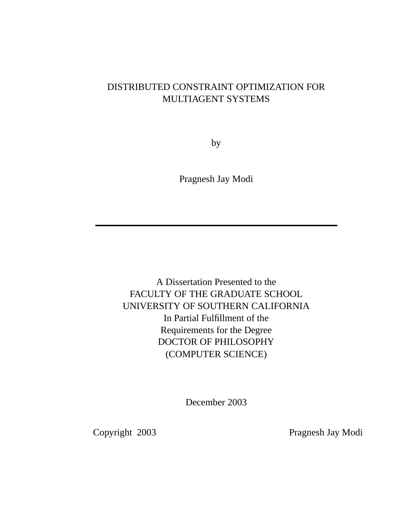#### DISTRIBUTED CONSTRAINT OPTIMIZATION FOR MULTIAGENT SYSTEMS

by

Pragnesh Jay Modi

A Dissertation Presented to the FACULTY OF THE GRADUATE SCHOOL UNIVERSITY OF SOUTHERN CALIFORNIA In Partial Fulfillment of the Requirements for the Degree DOCTOR OF PHILOSOPHY (COMPUTER SCIENCE)

December 2003

Copyright 2003 Pragnesh Jay Modi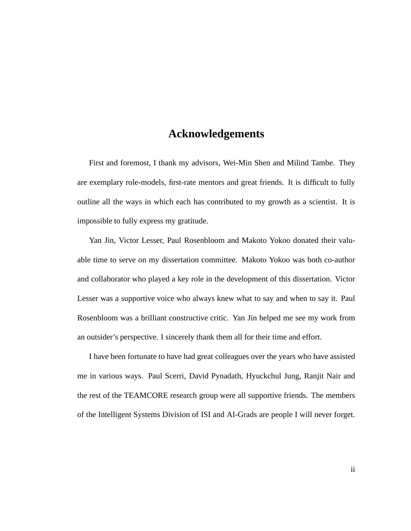#### **Acknowledgements**

First and foremost, I thank my advisors, Wei-Min Shen and Milind Tambe. They are exemplary role-models, first-rate mentors and great friends. It is difficult to fully outline all the ways in which each has contributed to my growth as a scientist. It is impossible to fully express my gratitude.

Yan Jin, Victor Lesser, Paul Rosenbloom and Makoto Yokoo donated their valuable time to serve on my dissertation committee. Makoto Yokoo was both co-author and collaborator who played a key role in the development of this dissertation. Victor Lesser was a supportive voice who always knew what to say and when to say it. Paul Rosenbloom was a brilliant constructive critic. Yan Jin helped me see my work from an outsider's perspective. I sincerely thank them all for their time and effort.

I have been fortunate to have had great colleagues over the years who have assisted me in various ways. Paul Scerri, David Pynadath, Hyuckchul Jung, Ranjit Nair and the rest of the TEAMCORE research group were all supportive friends. The members of the Intelligent Systems Division of ISI and AI-Grads are people I will never forget.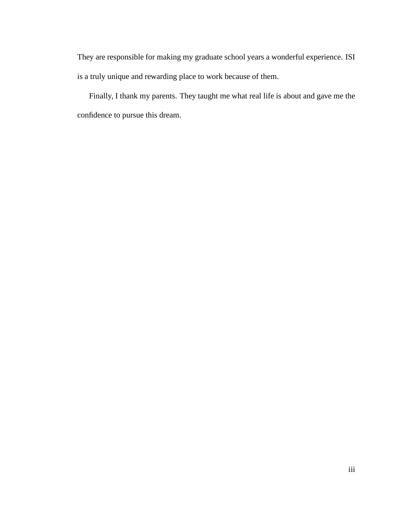They are responsible for making my graduate school years a wonderful experience. ISI is a truly unique and rewarding place to work because of them.

Finally, I thank my parents. They taught me what real life is about and gave me the confidence to pursue this dream.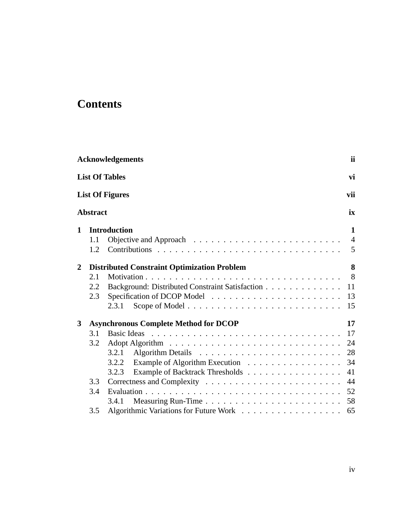# **Contents**

| <b>Acknowledgements</b> |                 |                                                    |                |  |  |
|-------------------------|-----------------|----------------------------------------------------|----------------|--|--|
|                         |                 | <b>List Of Tables</b>                              | vi             |  |  |
|                         |                 | <b>List Of Figures</b>                             | vii            |  |  |
|                         | <b>Abstract</b> |                                                    | ix             |  |  |
| 1                       |                 | <b>Introduction</b>                                | 1              |  |  |
|                         | 1.1             |                                                    | $\overline{4}$ |  |  |
|                         | 1.2             |                                                    | 5              |  |  |
| $\boldsymbol{2}$        |                 | <b>Distributed Constraint Optimization Problem</b> | 8              |  |  |
|                         | 2.1             |                                                    | 8              |  |  |
|                         | 2.2             | Background: Distributed Constraint Satisfaction    | 11             |  |  |
|                         | 2.3             |                                                    | 13             |  |  |
|                         |                 | 2.3.1                                              | 15             |  |  |
| 3                       |                 | <b>Asynchronous Complete Method for DCOP</b>       | 17             |  |  |
|                         | 3.1             |                                                    | 17             |  |  |
|                         | 3.2             |                                                    | 24             |  |  |
|                         |                 | 3.2.1                                              | 28             |  |  |
|                         |                 | Example of Algorithm Execution<br>3.2.2            | 34             |  |  |
|                         |                 | Example of Backtrack Thresholds<br>3.2.3           | 41             |  |  |
|                         | 3.3             |                                                    | 44             |  |  |
|                         | 3.4             |                                                    | 52             |  |  |
|                         |                 | 3.4.1                                              | 58             |  |  |
|                         | 3.5             |                                                    | 65             |  |  |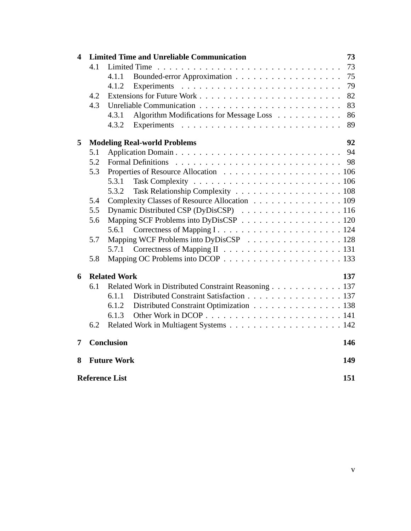|                       |                                                      | 73                                                                                                                                                                                                         |  |  |  |
|-----------------------|------------------------------------------------------|------------------------------------------------------------------------------------------------------------------------------------------------------------------------------------------------------------|--|--|--|
| 4.1                   |                                                      | 73                                                                                                                                                                                                         |  |  |  |
|                       | 4.1.1                                                | 75                                                                                                                                                                                                         |  |  |  |
|                       | 4.1.2<br>Experiments                                 | 79                                                                                                                                                                                                         |  |  |  |
| 4.2                   |                                                      | 82                                                                                                                                                                                                         |  |  |  |
| 4.3                   |                                                      | 83                                                                                                                                                                                                         |  |  |  |
|                       | Algorithm Modifications for Message Loss<br>4.3.1    | 86                                                                                                                                                                                                         |  |  |  |
|                       | 4.3.2                                                | 89                                                                                                                                                                                                         |  |  |  |
|                       |                                                      | 92                                                                                                                                                                                                         |  |  |  |
| 5.1                   | Application Domain                                   | 94                                                                                                                                                                                                         |  |  |  |
| 5.2                   | <b>Formal Definitions</b>                            | 98                                                                                                                                                                                                         |  |  |  |
| 5.3                   |                                                      |                                                                                                                                                                                                            |  |  |  |
|                       | 5.3.1                                                |                                                                                                                                                                                                            |  |  |  |
|                       | 5.3.2                                                |                                                                                                                                                                                                            |  |  |  |
| 5.4                   | Complexity Classes of Resource Allocation 109        |                                                                                                                                                                                                            |  |  |  |
| 5.5                   | Dynamic Distributed CSP (DyDisCSP) 116               |                                                                                                                                                                                                            |  |  |  |
| 5.6                   |                                                      |                                                                                                                                                                                                            |  |  |  |
|                       | 5.6.1                                                |                                                                                                                                                                                                            |  |  |  |
| 5.7                   | Mapping WCF Problems into DyDisCSP 128               |                                                                                                                                                                                                            |  |  |  |
|                       | 5.7.1                                                |                                                                                                                                                                                                            |  |  |  |
| 5.8                   |                                                      |                                                                                                                                                                                                            |  |  |  |
|                       |                                                      | 137                                                                                                                                                                                                        |  |  |  |
| 6.1                   | Related Work in Distributed Constraint Reasoning 137 |                                                                                                                                                                                                            |  |  |  |
|                       | Distributed Constraint Satisfaction 137<br>6.1.1     |                                                                                                                                                                                                            |  |  |  |
|                       | Distributed Constraint Optimization 138<br>6.1.2     |                                                                                                                                                                                                            |  |  |  |
|                       | 6.1.3                                                |                                                                                                                                                                                                            |  |  |  |
| 6.2                   |                                                      |                                                                                                                                                                                                            |  |  |  |
|                       |                                                      | 146                                                                                                                                                                                                        |  |  |  |
|                       |                                                      | 149                                                                                                                                                                                                        |  |  |  |
| <b>Reference List</b> |                                                      |                                                                                                                                                                                                            |  |  |  |
|                       |                                                      | <b>Limited Time and Unreliable Communication</b><br><b>Modeling Real-world Problems</b><br>Mapping SCF Problems into DyDisCSP 120<br><b>Related Work</b><br><b>Conclusion</b><br><b>Future Work</b><br>151 |  |  |  |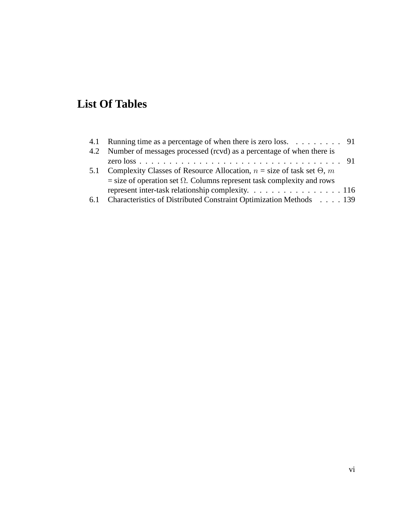# **List Of Tables**

| 4.1 Running time as a percentage of when there is zero loss. 91                    |  |
|------------------------------------------------------------------------------------|--|
| 4.2 Number of messages processed (rcvd) as a percentage of when there is           |  |
|                                                                                    |  |
| 5.1 Complexity Classes of Resource Allocation, $n = size$ of task set $\Theta$ , m |  |
| $=$ size of operation set $\Omega$ . Columns represent task complexity and rows    |  |
| represent inter-task relationship complexity. 116                                  |  |
| 6.1 Characteristics of Distributed Constraint Optimization Methods 139             |  |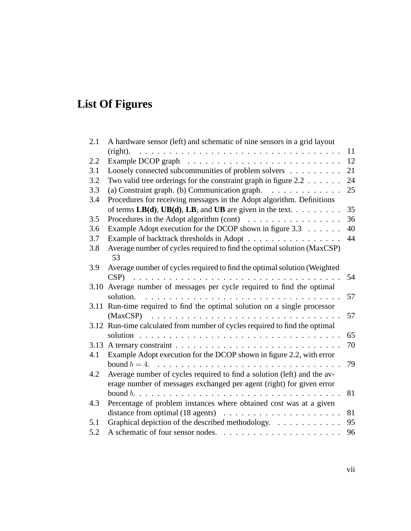# **List Of Figures**

| 2.1  | A hardware sensor (left) and schematic of nine sensors in a grid layout                 |    |
|------|-----------------------------------------------------------------------------------------|----|
|      | (right).                                                                                | 11 |
| 2.2  |                                                                                         | 12 |
| 3.1  | Loosely connected subcommunities of problem solvers                                     | 21 |
| 3.2  | Two valid tree orderings for the constraint graph in figure $2.2 \ldots \ldots$         | 24 |
| 3.3  | (a) Constraint graph. (b) Communication graph.                                          | 25 |
| 3.4  | Procedures for receiving messages in the Adopt algorithm. Definitions                   |    |
|      | of terms $LB(d)$ , $UB(d)$ , $LB$ , and $UB$ are given in the text.                     | 35 |
| 3.5  | Procedures in the Adopt algorithm (cont) $\dots \dots \dots \dots \dots$                | 36 |
| 3.6  | Example Adopt execution for the DCOP shown in figure $3.3 \ldots \ldots$                | 40 |
| 3.7  | Example of backtrack thresholds in Adopt                                                | 44 |
| 3.8  | Average number of cycles required to find the optimal solution (MaxCSP)<br>53           |    |
| 3.9  | Average number of cycles required to find the optimal solution (Weighted                |    |
|      | CSP)                                                                                    | 54 |
| 3.10 | Average number of messages per cycle required to find the optimal                       |    |
|      | solution.                                                                               | 57 |
| 3.11 | Run-time required to find the optimal solution on a single processor                    |    |
|      | (MaxCSP)                                                                                | 57 |
|      | 3.12 Run-time calculated from number of cycles required to find the optimal             |    |
|      |                                                                                         | 65 |
|      |                                                                                         | 70 |
| 4.1  | Example Adopt execution for the DCOP shown in figure 2.2, with error                    |    |
|      | bound $b = 4$ .                                                                         | 79 |
| 4.2  | Average number of cycles required to find a solution (left) and the av-                 |    |
|      | erage number of messages exchanged per agent (right) for given error                    |    |
|      | bound $b. \ldots \ldots \ldots \ldots \ldots \ldots \ldots \ldots \ldots \ldots \ldots$ | 81 |
| 4.3  | Percentage of problem instances where obtained cost was at a given                      |    |
|      | distance from optimal $(18$ agents) $\ldots \ldots \ldots \ldots \ldots \ldots \ldots$  | 81 |
| 5.1  | Graphical depiction of the described methodology.                                       | 95 |
| 5.2  |                                                                                         | 96 |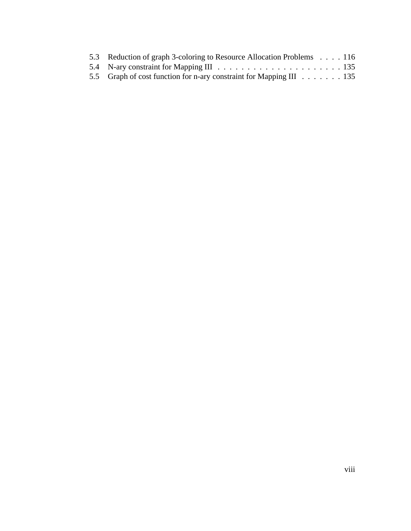| 5.3 Reduction of graph 3-coloring to Resource Allocation Problems 116 |  |
|-----------------------------------------------------------------------|--|
|                                                                       |  |
| 5.5 Graph of cost function for n-ary constraint for Mapping III 135   |  |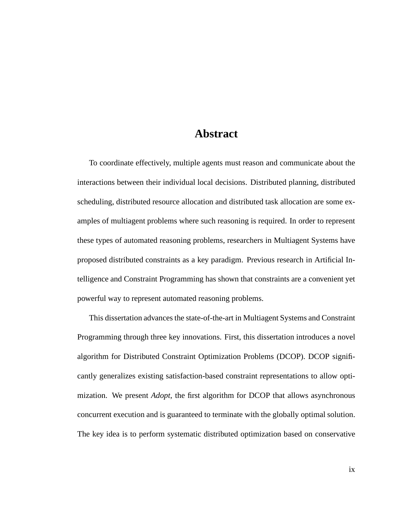#### **Abstract**

To coordinate effectively, multiple agents must reason and communicate about the interactions between their individual local decisions. Distributed planning, distributed scheduling, distributed resource allocation and distributed task allocation are some examples of multiagent problems where such reasoning is required. In order to represent these types of automated reasoning problems, researchers in Multiagent Systems have proposed distributed constraints as a key paradigm. Previous research in Artificial Intelligence and Constraint Programming has shown that constraints are a convenient yet powerful way to represent automated reasoning problems.

This dissertation advances the state-of-the-art in Multiagent Systems and Constraint Programming through three key innovations. First, this dissertation introduces a novel algorithm for Distributed Constraint Optimization Problems (DCOP). DCOP significantly generalizes existing satisfaction-based constraint representations to allow optimization. We present *Adopt*, the first algorithm for DCOP that allows asynchronous concurrent execution and is guaranteed to terminate with the globally optimal solution. The key idea is to perform systematic distributed optimization based on conservative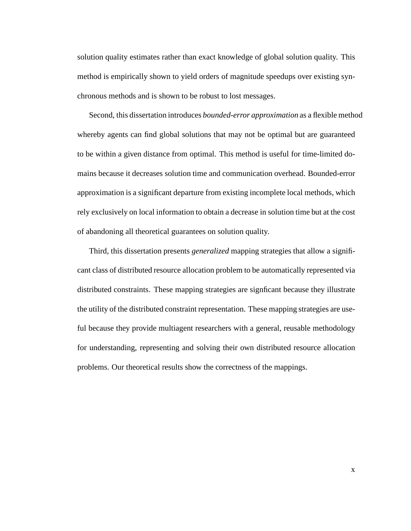solution quality estimates rather than exact knowledge of global solution quality. This method is empirically shown to yield orders of magnitude speedups over existing synchronous methods and is shown to be robust to lost messages.

Second, this dissertation introduces *bounded-error approximation* as a flexible method whereby agents can find global solutions that may not be optimal but are guaranteed to be within a given distance from optimal. This method is useful for time-limited domains because it decreases solution time and communication overhead. Bounded-error approximation is a significant departure from existing incomplete local methods, which rely exclusively on local information to obtain a decrease in solution time but at the cost of abandoning all theoretical guarantees on solution quality.

Third, this dissertation presents *generalized* mapping strategies that allow a significant class of distributed resource allocation problem to be automatically represented via distributed constraints. These mapping strategies are signficant because they illustrate the utility of the distributed constraint representation. These mapping strategies are useful because they provide multiagent researchers with a general, reusable methodology for understanding, representing and solving their own distributed resource allocation problems. Our theoretical results show the correctness of the mappings.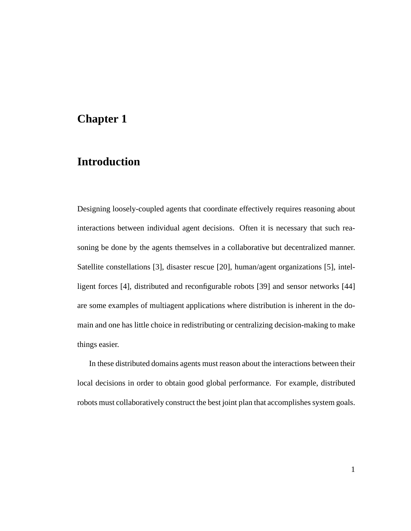#### **Chapter 1**

### **Introduction**

Designing loosely-coupled agents that coordinate effectively requires reasoning about interactions between individual agent decisions. Often it is necessary that such reasoning be done by the agents themselves in a collaborative but decentralized manner. Satellite constellations [3], disaster rescue [20], human/agent organizations [5], intelligent forces [4], distributed and reconfigurable robots [39] and sensor networks [44] are some examples of multiagent applications where distribution is inherent in the domain and one has little choice in redistributing or centralizing decision-making to make things easier.

In these distributed domains agents must reason about the interactions between their local decisions in order to obtain good global performance. For example, distributed robots must collaboratively construct the best joint plan that accomplishes system goals.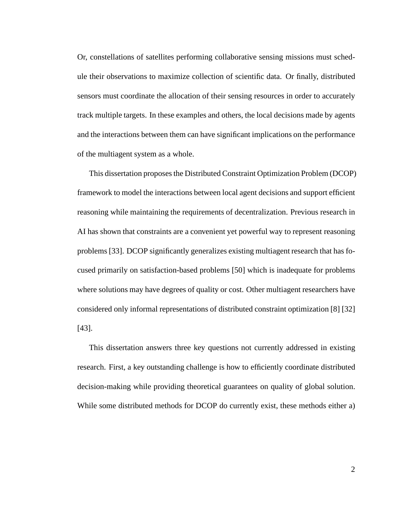Or, constellations of satellites performing collaborative sensing missions must schedule their observations to maximize collection of scientific data. Or finally, distributed sensors must coordinate the allocation of their sensing resources in order to accurately track multiple targets. In these examples and others, the local decisions made by agents and the interactions between them can have significant implications on the performance of the multiagent system as a whole.

This dissertation proposes the Distributed Constraint Optimization Problem (DCOP) framework to model the interactions between local agent decisions and support efficient reasoning while maintaining the requirements of decentralization. Previous research in AI has shown that constraints are a convenient yet powerful way to represent reasoning problems [33]. DCOP significantly generalizes existing multiagent research that has focused primarily on satisfaction-based problems [50] which is inadequate for problems where solutions may have degrees of quality or cost. Other multiagent researchers have considered only informal representations of distributed constraint optimization [8] [32] [43].

This dissertation answers three key questions not currently addressed in existing research. First, a key outstanding challenge is how to efficiently coordinate distributed decision-making while providing theoretical guarantees on quality of global solution. While some distributed methods for DCOP do currently exist, these methods either a)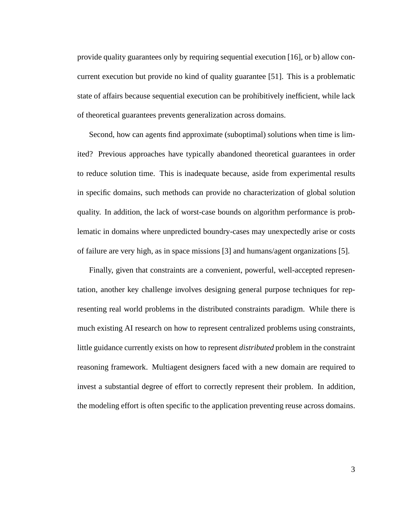provide quality guarantees only by requiring sequential execution [16], or b) allow concurrent execution but provide no kind of quality guarantee [51]. This is a problematic state of affairs because sequential execution can be prohibitively inefficient, while lack of theoretical guarantees prevents generalization across domains.

Second, how can agents find approximate (suboptimal) solutions when time is limited? Previous approaches have typically abandoned theoretical guarantees in order to reduce solution time. This is inadequate because, aside from experimental results in specific domains, such methods can provide no characterization of global solution quality. In addition, the lack of worst-case bounds on algorithm performance is problematic in domains where unpredicted boundry-cases may unexpectedly arise or costs of failure are very high, as in space missions [3] and humans/agent organizations [5].

Finally, given that constraints are a convenient, powerful, well-accepted representation, another key challenge involves designing general purpose techniques for representing real world problems in the distributed constraints paradigm. While there is much existing AI research on how to represent centralized problems using constraints, little guidance currently exists on how to represent *distributed* problem in the constraint reasoning framework. Multiagent designers faced with a new domain are required to invest a substantial degree of effort to correctly represent their problem. In addition, the modeling effort is often specific to the application preventing reuse across domains.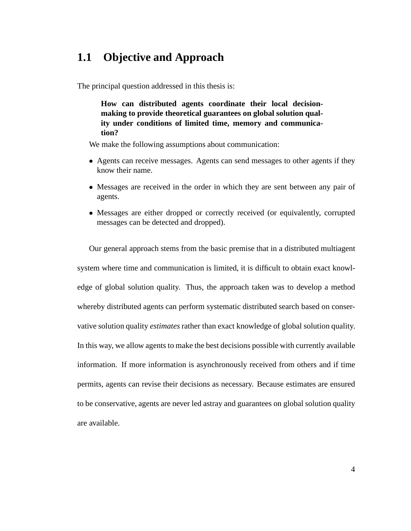### **1.1 Objective and Approach**

The principal question addressed in this thesis is:

**How can distributed agents coordinate their local decisionmaking to provide theoretical guarantees on global solution quality under conditions of limited time, memory and communication?**

We make the following assumptions about communication:

- Agents can receive messages. Agents can send messages to other agents if they know their name.
- Messages are received in the order in which they are sent between any pair of agents.
- Messages are either dropped or correctly received (or equivalently, corrupted messages can be detected and dropped).

Our general approach stems from the basic premise that in a distributed multiagent system where time and communication is limited, it is difficult to obtain exact knowledge of global solution quality. Thus, the approach taken was to develop a method whereby distributed agents can perform systematic distributed search based on conservative solution quality *estimates* rather than exact knowledge of global solution quality. In this way, we allow agents to make the best decisions possible with currently available information. If more information is asynchronously received from others and if time permits, agents can revise their decisions as necessary. Because estimates are ensured to be conservative, agents are never led astray and guarantees on global solution quality are available.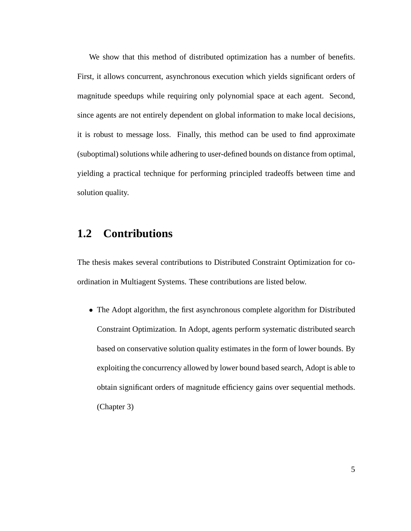We show that this method of distributed optimization has a number of benefits. First, it allows concurrent, asynchronous execution which yields significant orders of magnitude speedups while requiring only polynomial space at each agent. Second, since agents are not entirely dependent on global information to make local decisions, it is robust to message loss. Finally, this method can be used to find approximate (suboptimal) solutions while adhering to user-defined bounds on distance from optimal, yielding a practical technique for performing principled tradeoffs between time and solution quality.

#### **1.2 Contributions**

The thesis makes several contributions to Distributed Constraint Optimization for coordination in Multiagent Systems. These contributions are listed below.

• The Adopt algorithm, the first asynchronous complete algorithm for Distributed Constraint Optimization. In Adopt, agents perform systematic distributed search based on conservative solution quality estimates in the form of lower bounds. By exploiting the concurrency allowed by lower bound based search, Adopt is able to obtain significant orders of magnitude efficiency gains over sequential methods. (Chapter 3)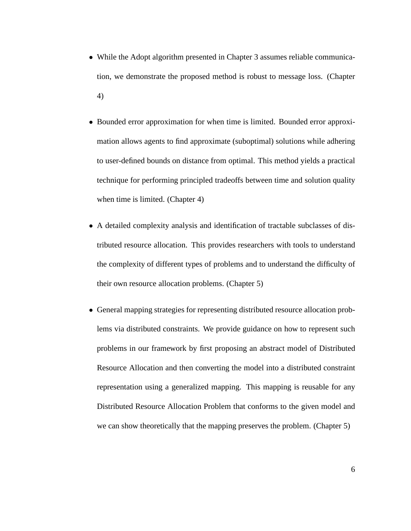- While the Adopt algorithm presented in Chapter 3 assumes reliable communication, we demonstrate the proposed method is robust to message loss. (Chapter 4)
- Bounded error approximation for when time is limited. Bounded error approximation allows agents to find approximate (suboptimal) solutions while adhering to user-defined bounds on distance from optimal. This method yields a practical technique for performing principled tradeoffs between time and solution quality when time is limited. (Chapter 4)
- A detailed complexity analysis and identification of tractable subclasses of distributed resource allocation. This provides researchers with tools to understand the complexity of different types of problems and to understand the difficulty of their own resource allocation problems. (Chapter 5)
- General mapping strategies for representing distributed resource allocation problems via distributed constraints. We provide guidance on how to represent such problems in our framework by first proposing an abstract model of Distributed Resource Allocation and then converting the model into a distributed constraint representation using a generalized mapping. This mapping is reusable for any Distributed Resource Allocation Problem that conforms to the given model and we can show theoretically that the mapping preserves the problem. (Chapter 5)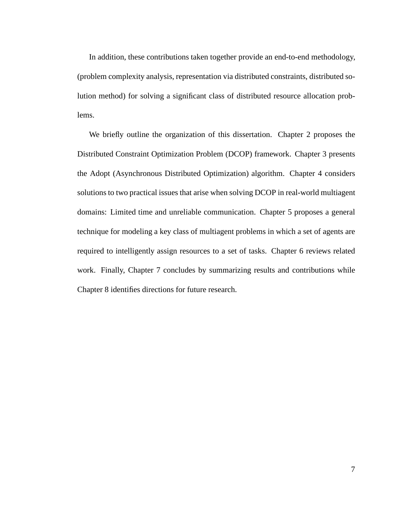In addition, these contributions taken together provide an end-to-end methodology, (problem complexity analysis, representation via distributed constraints, distributed solution method) for solving a significant class of distributed resource allocation problems.

We briefly outline the organization of this dissertation. Chapter 2 proposes the Distributed Constraint Optimization Problem (DCOP) framework. Chapter 3 presents the Adopt (Asynchronous Distributed Optimization) algorithm. Chapter 4 considers solutions to two practical issues that arise when solving DCOP in real-world multiagent domains: Limited time and unreliable communication. Chapter 5 proposes a general technique for modeling a key class of multiagent problems in which a set of agents are required to intelligently assign resources to a set of tasks. Chapter 6 reviews related work. Finally, Chapter 7 concludes by summarizing results and contributions while Chapter 8 identifies directions for future research.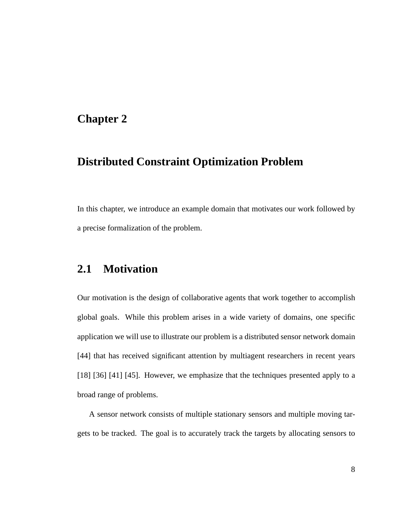#### **Chapter 2**

#### **Distributed Constraint Optimization Problem**

In this chapter, we introduce an example domain that motivates our work followed by a precise formalization of the problem.

#### **2.1 Motivation**

Our motivation is the design of collaborative agents that work together to accomplish global goals. While this problem arises in a wide variety of domains, one specific application we will use to illustrate our problem is a distributed sensor network domain [44] that has received significant attention by multiagent researchers in recent years [18] [36] [41] [45]. However, we emphasize that the techniques presented apply to a broad range of problems.

A sensor network consists of multiple stationary sensors and multiple moving targets to be tracked. The goal is to accurately track the targets by allocating sensors to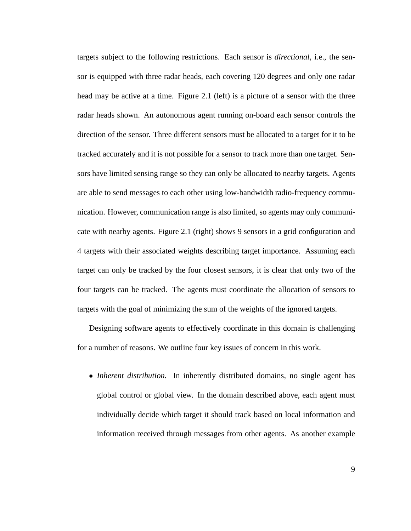targets subject to the following restrictions. Each sensor is *directional*, i.e., the sensor is equipped with three radar heads, each covering 120 degrees and only one radar head may be active at a time. Figure 2.1 (left) is a picture of a sensor with the three radar heads shown. An autonomous agent running on-board each sensor controls the direction of the sensor. Three different sensors must be allocated to a target for it to be tracked accurately and it is not possible for a sensor to track more than one target. Sensors have limited sensing range so they can only be allocated to nearby targets. Agents are able to send messages to each other using low-bandwidth radio-frequency communication. However, communication range is also limited, so agents may only communicate with nearby agents. Figure 2.1 (right) shows 9 sensors in a grid configuration and 4 targets with their associated weights describing target importance. Assuming each target can only be tracked by the four closest sensors, it is clear that only two of the four targets can be tracked. The agents must coordinate the allocation of sensors to targets with the goal of minimizing the sum of the weights of the ignored targets.

Designing software agents to effectively coordinate in this domain is challenging for a number of reasons. We outline four key issues of concern in this work.

• *Inherent distribution.* In inherently distributed domains, no single agent has global control or global view. In the domain described above, each agent must individually decide which target it should track based on local information and information received through messages from other agents. As another example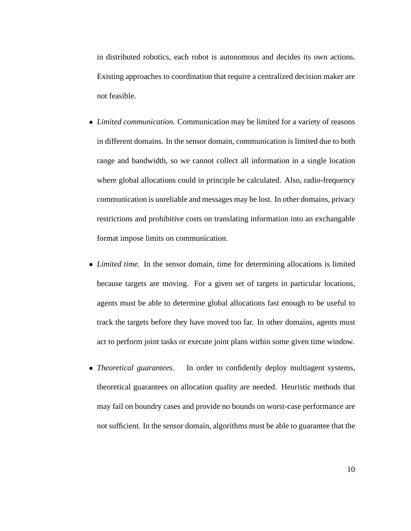in distributed robotics, each robot is autonomous and decides its own actions. Existing approaches to coordination that require a centralized decision maker are not feasible.

- *Limited communication.* Communication may be limited for a variety of reasons in different domains. In the sensor domain, communication is limited due to both range and bandwidth, so we cannot collect all information in a single location where global allocations could in principle be calculated. Also, radio-frequency communication is unreliable and messages may be lost. In other domains, privacy restrictions and prohibitive costs on translating information into an exchangable format impose limits on communication.
- *Limited time.* In the sensor domain, time for determining allocations is limited because targets are moving. For a given set of targets in particular locations, agents must be able to determine global allocations fast enough to be useful to track the targets before they have moved too far. In other domains, agents must act to perform joint tasks or execute joint plans within some given time window.
- *Theoretical guarantees.* In order to confidently deploy multiagent systems, theoretical guarantees on allocation quality are needed. Heuristic methods that may fail on boundry cases and provide no bounds on worst-case performance are not sufficient. In the sensor domain, algorithms must be able to guarantee that the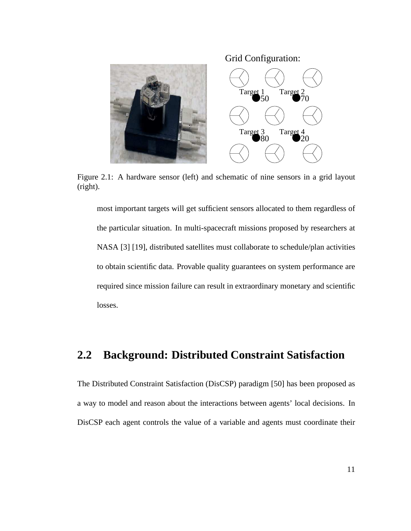Target  $\frac{1}{50}$ Target<sub>2</sub> Target<sub>3</sub> Target<sub>4</sub> Grid Configuration:

Figure 2.1: A hardware sensor (left) and schematic of nine sensors in a grid layout (right).

most important targets will get sufficient sensors allocated to them regardless of the particular situation. In multi-spacecraft missions proposed by researchers at NASA [3] [19], distributed satellites must collaborate to schedule/plan activities to obtain scientific data. Provable quality guarantees on system performance are required since mission failure can result in extraordinary monetary and scientific losses.

#### **2.2 Background: Distributed Constraint Satisfaction**

The Distributed Constraint Satisfaction (DisCSP) paradigm [50] has been proposed as a way to model and reason about the interactions between agents' local decisions. In DisCSP each agent controls the value of a variable and agents must coordinate their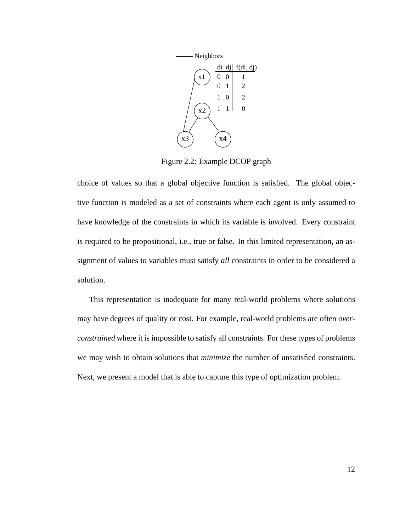

Figure 2.2: Example DCOP graph

choice of values so that a global objective function is satisfied. The global objective function is modeled as a set of constraints where each agent is only assumed to have knowledge of the constraints in which its variable is involved. Every constraint is required to be propositional, i.e., true or false. In this limited representation, an assignment of values to variables must satisfy *all* constraints in order to be considered a solution.

This representation is inadequate for many real-world problems where solutions may have degrees of quality or cost. For example, real-world problems are often *overconstrained* where it is impossible to satisfy all constraints. For these types of problems we may wish to obtain solutions that *minimize* the number of unsatisfied constraints. Next, we present a model that is able to capture this type of optimization problem.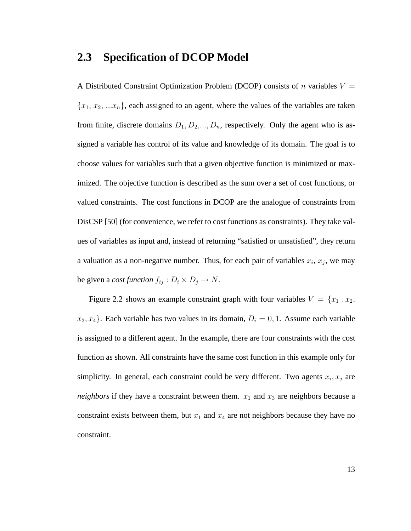#### **2.3 Specification of DCOP Model**

A Distributed Constraint Optimization Problem (DCOP) consists of n variables  $V =$  ${x_1, x_2, ... x_n}$ , each assigned to an agent, where the values of the variables are taken from finite, discrete domains  $D_1, D_2, ..., D_n$ , respectively. Only the agent who is assigned a variable has control of its value and knowledge of its domain. The goal is to choose values for variables such that a given objective function is minimized or maximized. The objective function is described as the sum over a set of cost functions, or valued constraints. The cost functions in DCOP are the analogue of constraints from DisCSP [50] (for convenience, we refer to cost functions as constraints). They take values of variables as input and, instead of returning "satisfied or unsatisfied", they return a valuation as a non-negative number. Thus, for each pair of variables  $x_i$ ,  $x_j$ , we may be given a *cost function*  $f_{ij}: D_i \times D_j \to N$ .

Figure 2.2 shows an example constraint graph with four variables  $V = \{x_1, x_2,$  $x_3, x_4$ . Each variable has two values in its domain,  $D_i = 0, 1$ . Assume each variable is assigned to a different agent. In the example, there are four constraints with the cost function as shown. All constraints have the same cost function in this example only for simplicity. In general, each constraint could be very different. Two agents  $x_i, x_j$  are *neighbors* if they have a constraint between them.  $x_1$  and  $x_3$  are neighbors because a constraint exists between them, but  $x_1$  and  $x_4$  are not neighbors because they have no constraint.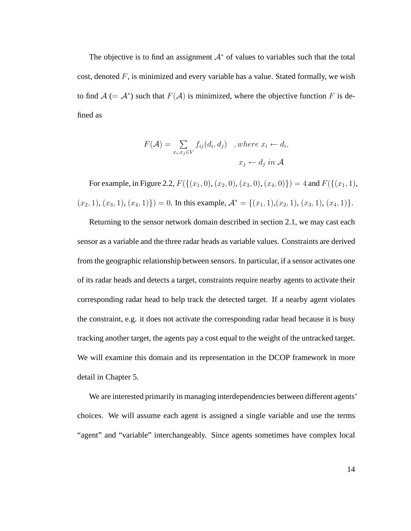The objective is to find an assignment  $A^*$  of values to variables such that the total cost, denoted  $F$ , is minimized and every variable has a value. Stated formally, we wish to find  $A (= A^*)$  such that  $F(A)$  is minimized, where the objective function F is defined as

$$
F(\mathcal{A}) = \sum_{x_i, x_j \in V} f_{ij}(d_i, d_j) \quad, where \ x_i \leftarrow d_i,
$$

$$
x_j \leftarrow d_j \ in \ \mathcal{A}
$$

For example, in Figure 2.2,  $F({(x_1, 0), (x_2, 0), (x_3, 0), (x_4, 0)}) = 4$  and  $F({(x_1, 1),$  $(x_2, 1), (x_3, 1), (x_4, 1)$  = 0. In this example,  $\mathcal{A}^* = \{(x_1, 1), (x_2, 1), (x_3, 1), (x_4, 1)\}.$ 

Returning to the sensor network domain described in section 2.1, we may cast each sensor as a variable and the three radar heads as variable values. Constraints are derived from the geographic relationship between sensors. In particular, if a sensor activates one of its radar heads and detects a target, constraints require nearby agents to activate their corresponding radar head to help track the detected target. If a nearby agent violates the constraint, e.g. it does not activate the corresponding radar head because it is busy tracking another target, the agents pay a cost equal to the weight of the untracked target. We will examine this domain and its representation in the DCOP framework in more detail in Chapter 5.

We are interested primarily in managing interdependencies between different agents' choices. We will assume each agent is assigned a single variable and use the terms "agent" and "variable" interchangeably. Since agents sometimes have complex local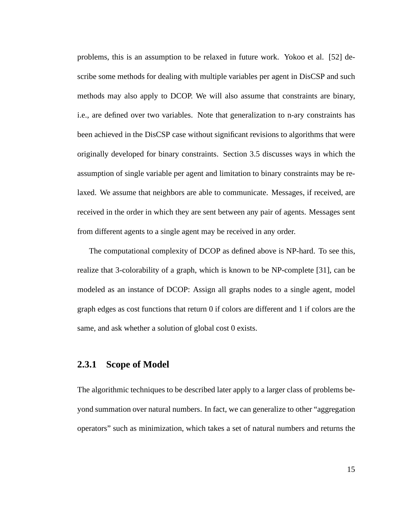problems, this is an assumption to be relaxed in future work. Yokoo et al. [52] describe some methods for dealing with multiple variables per agent in DisCSP and such methods may also apply to DCOP. We will also assume that constraints are binary, i.e., are defined over two variables. Note that generalization to n-ary constraints has been achieved in the DisCSP case without significant revisions to algorithms that were originally developed for binary constraints. Section 3.5 discusses ways in which the assumption of single variable per agent and limitation to binary constraints may be relaxed. We assume that neighbors are able to communicate. Messages, if received, are received in the order in which they are sent between any pair of agents. Messages sent from different agents to a single agent may be received in any order.

The computational complexity of DCOP as defined above is NP-hard. To see this, realize that 3-colorability of a graph, which is known to be NP-complete [31], can be modeled as an instance of DCOP: Assign all graphs nodes to a single agent, model graph edges as cost functions that return 0 if colors are different and 1 if colors are the same, and ask whether a solution of global cost 0 exists.

#### **2.3.1 Scope of Model**

The algorithmic techniques to be described later apply to a larger class of problems beyond summation over natural numbers. In fact, we can generalize to other "aggregation operators" such as minimization, which takes a set of natural numbers and returns the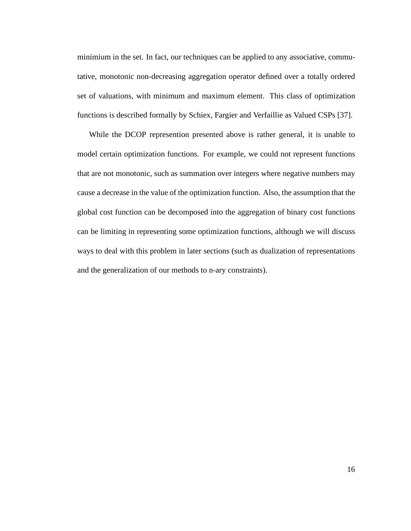minimium in the set. In fact, our techniques can be applied to any associative, commutative, monotonic non-decreasing aggregation operator defined over a totally ordered set of valuations, with minimum and maximum element. This class of optimization functions is described formally by Schiex, Fargier and Verfaillie as Valued CSPs [37].

While the DCOP represention presented above is rather general, it is unable to model certain optimization functions. For example, we could not represent functions that are not monotonic, such as summation over integers where negative numbers may cause a decrease in the value of the optimization function. Also, the assumption that the global cost function can be decomposed into the aggregation of binary cost functions can be limiting in representing some optimization functions, although we will discuss ways to deal with this problem in later sections (such as dualization of representations and the generalization of our methods to n-ary constraints).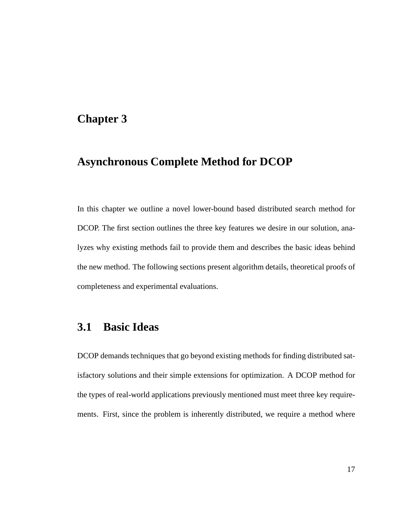#### **Chapter 3**

#### **Asynchronous Complete Method for DCOP**

In this chapter we outline a novel lower-bound based distributed search method for DCOP. The first section outlines the three key features we desire in our solution, analyzes why existing methods fail to provide them and describes the basic ideas behind the new method. The following sections present algorithm details, theoretical proofs of completeness and experimental evaluations.

#### **3.1 Basic Ideas**

DCOP demands techniques that go beyond existing methods for finding distributed satisfactory solutions and their simple extensions for optimization. A DCOP method for the types of real-world applications previously mentioned must meet three key requirements. First, since the problem is inherently distributed, we require a method where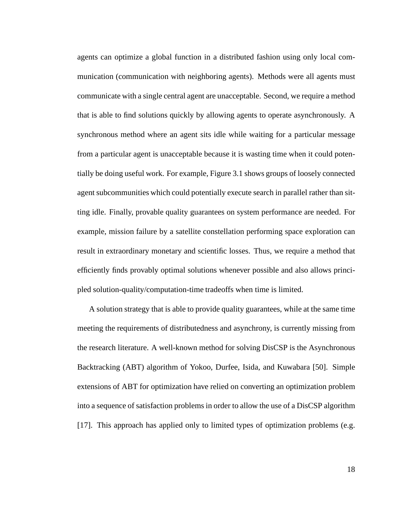agents can optimize a global function in a distributed fashion using only local communication (communication with neighboring agents). Methods were all agents must communicate with a single central agent are unacceptable. Second, we require a method that is able to find solutions quickly by allowing agents to operate asynchronously. A synchronous method where an agent sits idle while waiting for a particular message from a particular agent is unacceptable because it is wasting time when it could potentially be doing useful work. For example, Figure 3.1 shows groups of loosely connected agent subcommunities which could potentially execute search in parallel rather than sitting idle. Finally, provable quality guarantees on system performance are needed. For example, mission failure by a satellite constellation performing space exploration can result in extraordinary monetary and scientific losses. Thus, we require a method that efficiently finds provably optimal solutions whenever possible and also allows principled solution-quality/computation-time tradeoffs when time is limited.

A solution strategy that is able to provide quality guarantees, while at the same time meeting the requirements of distributedness and asynchrony, is currently missing from the research literature. A well-known method for solving DisCSP is the Asynchronous Backtracking (ABT) algorithm of Yokoo, Durfee, Isida, and Kuwabara [50]. Simple extensions of ABT for optimization have relied on converting an optimization problem into a sequence of satisfaction problems in order to allow the use of a DisCSP algorithm [17]. This approach has applied only to limited types of optimization problems (e.g.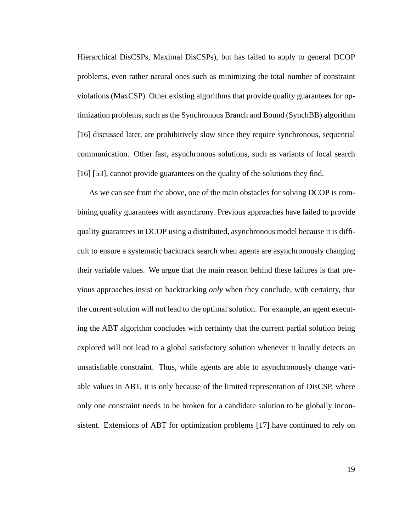Hierarchical DisCSPs, Maximal DisCSPs), but has failed to apply to general DCOP problems, even rather natural ones such as minimizing the total number of constraint violations (MaxCSP). Other existing algorithms that provide quality guarantees for optimization problems, such as the Synchronous Branch and Bound (SynchBB) algorithm [16] discussed later, are prohibitively slow since they require synchronous, sequential communication. Other fast, asynchronous solutions, such as variants of local search [16] [53], cannot provide guarantees on the quality of the solutions they find.

As we can see from the above, one of the main obstacles for solving DCOP is combining quality guarantees with asynchrony. Previous approaches have failed to provide quality guarantees in DCOP using a distributed, asynchronous model because it is difficult to ensure a systematic backtrack search when agents are asynchronously changing their variable values. We argue that the main reason behind these failures is that previous approaches insist on backtracking *only* when they conclude, with certainty, that the current solution will not lead to the optimal solution. For example, an agent executing the ABT algorithm concludes with certainty that the current partial solution being explored will not lead to a global satisfactory solution whenever it locally detects an unsatisfiable constraint. Thus, while agents are able to asynchronously change variable values in ABT, it is only because of the limited representation of DisCSP, where only one constraint needs to be broken for a candidate solution to be globally inconsistent. Extensions of ABT for optimization problems [17] have continued to rely on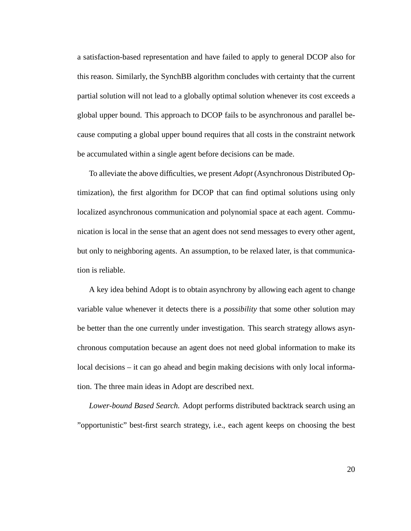a satisfaction-based representation and have failed to apply to general DCOP also for this reason. Similarly, the SynchBB algorithm concludes with certainty that the current partial solution will not lead to a globally optimal solution whenever its cost exceeds a global upper bound. This approach to DCOP fails to be asynchronous and parallel because computing a global upper bound requires that all costs in the constraint network be accumulated within a single agent before decisions can be made.

To alleviate the above difficulties, we present *Adopt* (Asynchronous Distributed Optimization), the first algorithm for DCOP that can find optimal solutions using only localized asynchronous communication and polynomial space at each agent. Communication is local in the sense that an agent does not send messages to every other agent, but only to neighboring agents. An assumption, to be relaxed later, is that communication is reliable.

A key idea behind Adopt is to obtain asynchrony by allowing each agent to change variable value whenever it detects there is a *possibility* that some other solution may be better than the one currently under investigation. This search strategy allows asynchronous computation because an agent does not need global information to make its local decisions – it can go ahead and begin making decisions with only local information. The three main ideas in Adopt are described next.

*Lower-bound Based Search.* Adopt performs distributed backtrack search using an "opportunistic" best-first search strategy, i.e., each agent keeps on choosing the best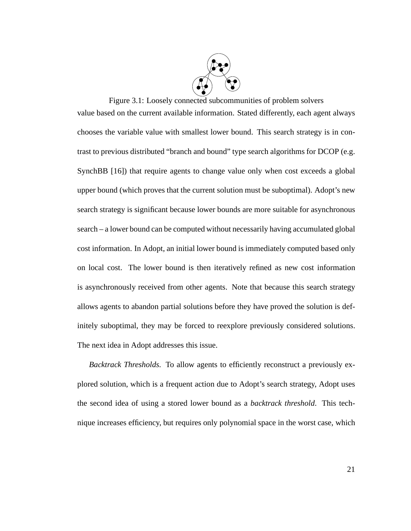

Figure 3.1: Loosely connected subcommunities of problem solvers value based on the current available information. Stated differently, each agent always chooses the variable value with smallest lower bound. This search strategy is in contrast to previous distributed "branch and bound" type search algorithms for DCOP (e.g. SynchBB [16]) that require agents to change value only when cost exceeds a global upper bound (which proves that the current solution must be suboptimal). Adopt's new search strategy is significant because lower bounds are more suitable for asynchronous search – a lower bound can be computed without necessarily having accumulated global cost information. In Adopt, an initial lower bound is immediately computed based only on local cost. The lower bound is then iteratively refined as new cost information is asynchronously received from other agents. Note that because this search strategy allows agents to abandon partial solutions before they have proved the solution is definitely suboptimal, they may be forced to reexplore previously considered solutions. The next idea in Adopt addresses this issue.

*Backtrack Thresholds.* To allow agents to efficiently reconstruct a previously explored solution, which is a frequent action due to Adopt's search strategy, Adopt uses the second idea of using a stored lower bound as a *backtrack threshold*. This technique increases efficiency, but requires only polynomial space in the worst case, which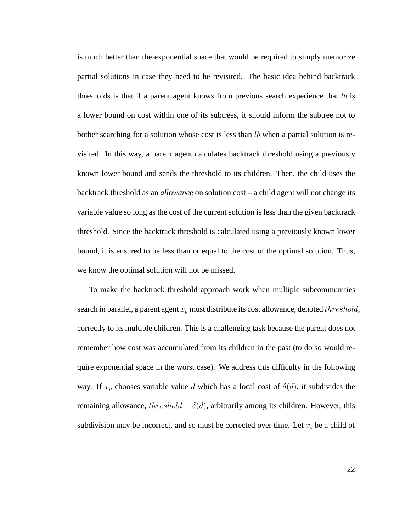is much better than the exponential space that would be required to simply memorize partial solutions in case they need to be revisited. The basic idea behind backtrack thresholds is that if a parent agent knows from previous search experience that  $lb$  is a lower bound on cost within one of its subtrees, it should inform the subtree not to bother searching for a solution whose cost is less than  $lb$  when a partial solution is revisited. In this way, a parent agent calculates backtrack threshold using a previously known lower bound and sends the threshold to its children. Then, the child uses the backtrack threshold as an *allowance* on solution cost – a child agent will not change its variable value so long as the cost of the current solution is less than the given backtrack threshold. Since the backtrack threshold is calculated using a previously known lower bound, it is ensured to be less than or equal to the cost of the optimal solution. Thus, we know the optimal solution will not be missed.

To make the backtrack threshold approach work when multiple subcommunities search in parallel, a parent agent  $x_p$  must distribute its cost allowance, denoted threshold, correctly to its multiple children. This is a challenging task because the parent does not remember how cost was accumulated from its children in the past (to do so would require exponential space in the worst case). We address this difficulty in the following way. If  $x_p$  chooses variable value d which has a local cost of  $\delta(d)$ , it subdivides the remaining allowance,  $threshold - \delta(d)$ , arbitrarily among its children. However, this subdivision may be incorrect, and so must be corrected over time. Let  $x_i$  be a child of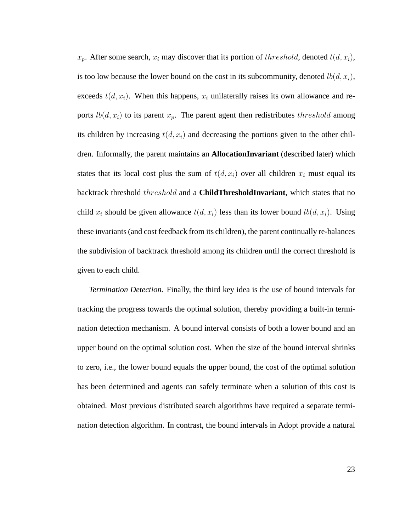$x_p$ . After some search,  $x_i$  may discover that its portion of threshold, denoted  $t(d, x_i)$ , is too low because the lower bound on the cost in its subcommunity, denoted  $lb(d, x_i)$ , exceeds  $t(d, x_i)$ . When this happens,  $x_i$  unilaterally raises its own allowance and reports  $lb(d, x_i)$  to its parent  $x_p$ . The parent agent then redistributes the *reshold* among its children by increasing  $t(d, x<sub>i</sub>)$  and decreasing the portions given to the other children. Informally, the parent maintains an **AllocationInvariant** (described later) which states that its local cost plus the sum of  $t(d, x_i)$  over all children  $x_i$  must equal its backtrack threshold threshold and a **ChildThresholdInvariant**, which states that no child  $x_i$  should be given allowance  $t(d, x_i)$  less than its lower bound  $lb(d, x_i)$ . Using these invariants (and cost feedback from its children), the parent continually re-balances the subdivision of backtrack threshold among its children until the correct threshold is given to each child.

*Termination Detection.* Finally, the third key idea is the use of bound intervals for tracking the progress towards the optimal solution, thereby providing a built-in termination detection mechanism. A bound interval consists of both a lower bound and an upper bound on the optimal solution cost. When the size of the bound interval shrinks to zero, i.e., the lower bound equals the upper bound, the cost of the optimal solution has been determined and agents can safely terminate when a solution of this cost is obtained. Most previous distributed search algorithms have required a separate termination detection algorithm. In contrast, the bound intervals in Adopt provide a natural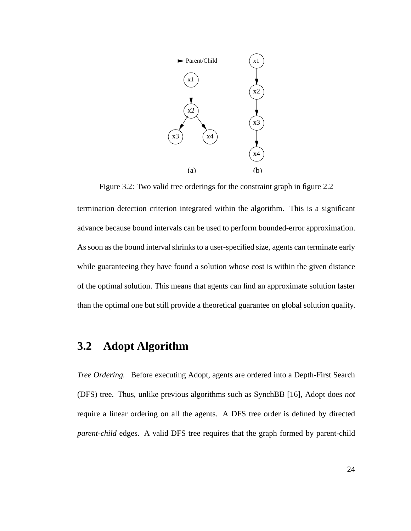

Figure 3.2: Two valid tree orderings for the constraint graph in figure 2.2 termination detection criterion integrated within the algorithm. This is a significant advance because bound intervals can be used to perform bounded-error approximation. As soon as the bound interval shrinks to a user-specified size, agents can terminate early while guaranteeing they have found a solution whose cost is within the given distance of the optimal solution. This means that agents can find an approximate solution faster than the optimal one but still provide a theoretical guarantee on global solution quality.

## **3.2 Adopt Algorithm**

*Tree Ordering.* Before executing Adopt, agents are ordered into a Depth-First Search (DFS) tree. Thus, unlike previous algorithms such as SynchBB [16], Adopt does *not* require a linear ordering on all the agents. A DFS tree order is defined by directed *parent-child* edges. A valid DFS tree requires that the graph formed by parent-child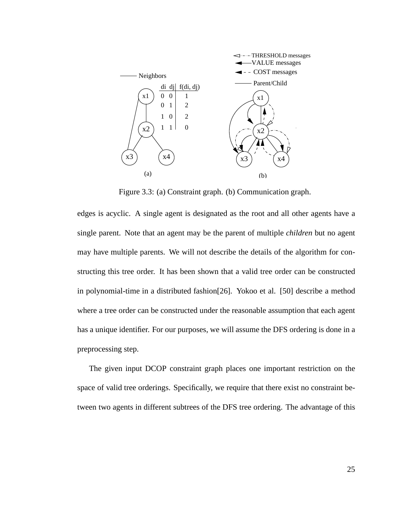

Figure 3.3: (a) Constraint graph. (b) Communication graph.

edges is acyclic. A single agent is designated as the root and all other agents have a single parent. Note that an agent may be the parent of multiple *children* but no agent may have multiple parents. We will not describe the details of the algorithm for constructing this tree order. It has been shown that a valid tree order can be constructed in polynomial-time in a distributed fashion[26]. Yokoo et al. [50] describe a method where a tree order can be constructed under the reasonable assumption that each agent has a unique identifier. For our purposes, we will assume the DFS ordering is done in a preprocessing step.

The given input DCOP constraint graph places one important restriction on the space of valid tree orderings. Specifically, we require that there exist no constraint between two agents in different subtrees of the DFS tree ordering. The advantage of this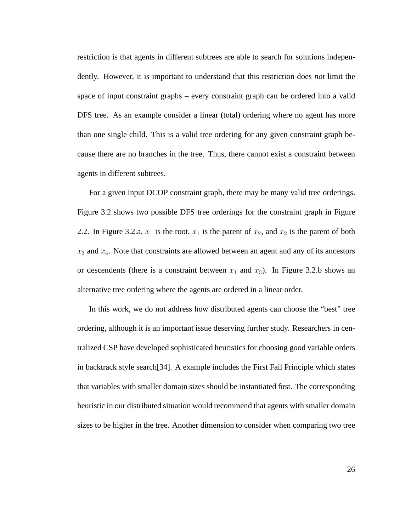restriction is that agents in different subtrees are able to search for solutions independently. However, it is important to understand that this restriction does *not* limit the space of input constraint graphs – every constraint graph can be ordered into a valid DFS tree. As an example consider a linear (total) ordering where no agent has more than one single child. This is a valid tree ordering for any given constraint graph because there are no branches in the tree. Thus, there cannot exist a constraint between agents in different subtrees.

For a given input DCOP constraint graph, there may be many valid tree orderings. Figure 3.2 shows two possible DFS tree orderings for the constraint graph in Figure 2.2. In Figure 3.2.a,  $x_1$  is the root,  $x_1$  is the parent of  $x_2$ , and  $x_2$  is the parent of both  $x_3$  and  $x_4$ . Note that constraints are allowed between an agent and any of its ancestors or descendents (there is a constraint between  $x_1$  and  $x_3$ ). In Figure 3.2.b shows an alternative tree ordering where the agents are ordered in a linear order.

In this work, we do not address how distributed agents can choose the "best" tree ordering, although it is an important issue deserving further study. Researchers in centralized CSP have developed sophisticated heuristics for choosing good variable orders in backtrack style search[34]. A example includes the First Fail Principle which states that variables with smaller domain sizes should be instantiated first. The corresponding heuristic in our distributed situation would recommend that agents with smaller domain sizes to be higher in the tree. Another dimension to consider when comparing two tree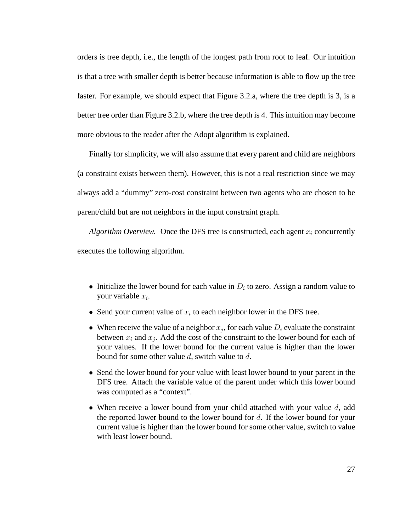orders is tree depth, i.e., the length of the longest path from root to leaf. Our intuition is that a tree with smaller depth is better because information is able to flow up the tree faster. For example, we should expect that Figure 3.2.a, where the tree depth is 3, is a better tree order than Figure 3.2.b, where the tree depth is 4. This intuition may become more obvious to the reader after the Adopt algorithm is explained.

Finally for simplicity, we will also assume that every parent and child are neighbors (a constraint exists between them). However, this is not a real restriction since we may always add a "dummy" zero-cost constraint between two agents who are chosen to be parent/child but are not neighbors in the input constraint graph.

*Algorithm Overview.* Once the DFS tree is constructed, each agent  $x_i$  concurrently executes the following algorithm.

- Initialize the lower bound for each value in  $D_i$  to zero. Assign a random value to your variable  $x_i$ .
- Send your current value of  $x_i$  to each neighbor lower in the DFS tree.
- When receive the value of a neighbor  $x_j$ , for each value  $D_i$  evaluate the constraint between  $x_i$  and  $x_j$ . Add the cost of the constraint to the lower bound for each of your values. If the lower bound for the current value is higher than the lower bound for some other value d, switch value to d.
- Send the lower bound for your value with least lower bound to your parent in the DFS tree. Attach the variable value of the parent under which this lower bound was computed as a "context".
- When receive a lower bound from your child attached with your value  $d$ , add the reported lower bound to the lower bound for d. If the lower bound for your current value is higher than the lower bound for some other value, switch to value with least lower bound.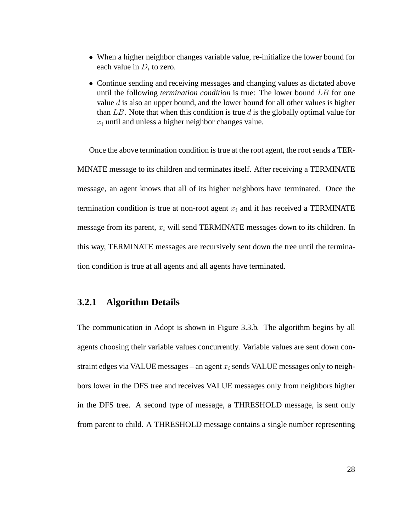- When a higher neighbor changes variable value, re-initialize the lower bound for each value in  $D_i$  to zero.
- Continue sending and receiving messages and changing values as dictated above until the following *termination condition* is true: The lower bound LB for one value  $d$  is also an upper bound, and the lower bound for all other values is higher than  $LB$ . Note that when this condition is true d is the globally optimal value for  $x_i$  until and unless a higher neighbor changes value.

Once the above termination condition is true at the root agent, the root sends a TER-MINATE message to its children and terminates itself. After receiving a TERMINATE message, an agent knows that all of its higher neighbors have terminated. Once the termination condition is true at non-root agent  $x_i$  and it has received a TERMINATE message from its parent,  $x_i$  will send TERMINATE messages down to its children. In this way, TERMINATE messages are recursively sent down the tree until the termination condition is true at all agents and all agents have terminated.

# **3.2.1 Algorithm Details**

The communication in Adopt is shown in Figure 3.3.b. The algorithm begins by all agents choosing their variable values concurrently. Variable values are sent down constraint edges via VALUE messages – an agent  $x_i$  sends VALUE messages only to neighbors lower in the DFS tree and receives VALUE messages only from neighbors higher in the DFS tree. A second type of message, a THRESHOLD message, is sent only from parent to child. A THRESHOLD message contains a single number representing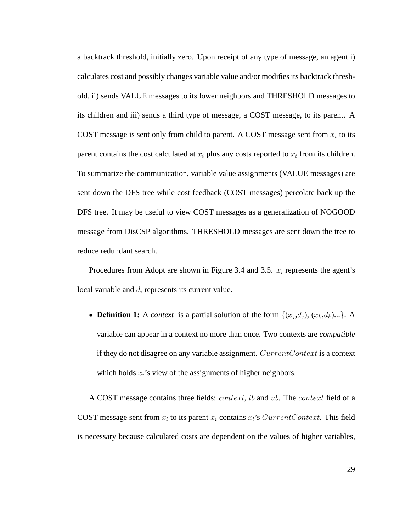a backtrack threshold, initially zero. Upon receipt of any type of message, an agent i) calculates cost and possibly changes variable value and/or modifies its backtrack threshold, ii) sends VALUE messages to its lower neighbors and THRESHOLD messages to its children and iii) sends a third type of message, a COST message, to its parent. A COST message is sent only from child to parent. A COST message sent from  $x_i$  to its parent contains the cost calculated at  $x_i$  plus any costs reported to  $x_i$  from its children. To summarize the communication, variable value assignments (VALUE messages) are sent down the DFS tree while cost feedback (COST messages) percolate back up the DFS tree. It may be useful to view COST messages as a generalization of NOGOOD message from DisCSP algorithms. THRESHOLD messages are sent down the tree to reduce redundant search.

Procedures from Adopt are shown in Figure 3.4 and 3.5.  $x_i$  represents the agent's local variable and  $d_i$  represents its current value.

• **Definition 1:** A *context* is a partial solution of the form  $\{(x_j, d_j), (x_k, d_k)...\}$ . A variable can appear in a context no more than once. Two contexts are *compatible* if they do not disagree on any variable assignment. CurrentContext is a context which holds  $x_i$ 's view of the assignments of higher neighbors.

A COST message contains three fields: *context*, *lb* and *ub*. The *context* field of a COST message sent from  $x_l$  to its parent  $x_i$  contains  $x_l$ 's CurrentContext. This field is necessary because calculated costs are dependent on the values of higher variables,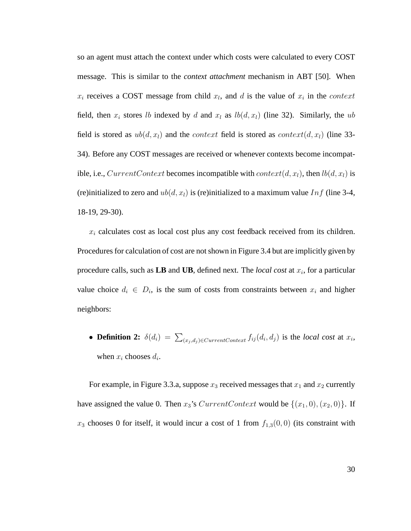so an agent must attach the context under which costs were calculated to every COST message. This is similar to the *context attachment* mechanism in ABT [50]. When  $x_i$  receives a COST message from child  $x_i$ , and d is the value of  $x_i$  in the *context* field, then  $x_i$  stores lb indexed by d and  $x_i$  as  $lb(d, x_i)$  (line 32). Similarly, the ub field is stored as  $ub(d, x_l)$  and the *context* field is stored as *context*(d, x<sub>l</sub>) (line 33-34). Before any COST messages are received or whenever contexts become incompatible, i.e., CurrentContext becomes incompatible with context(d, x<sub>l</sub>), then  $lb(d, x_l)$  is (re)initialized to zero and  $ub(d, x_l)$  is (re)initialized to a maximum value Inf (line 3-4, 18-19, 29-30).

 $x_i$  calculates cost as local cost plus any cost feedback received from its children. Procedures for calculation of cost are not shown in Figure 3.4 but are implicitly given by procedure calls, such as  $LB$  and  $UB$ , defined next. The *local cost* at  $x_i$ , for a particular value choice  $d_i \in D_i$ , is the sum of costs from constraints between  $x_i$  and higher neighbors:

• **Definition 2:**  $\delta(d_i) = \sum_{(x_j, d_j) \in CurrentContext} f_{ij}(d_i, d_j)$  is the *local cost* at  $x_i$ , when  $x_i$  chooses  $d_i$ .

For example, in Figure 3.3.a, suppose  $x_3$  received messages that  $x_1$  and  $x_2$  currently have assigned the value 0. Then  $x_3$ 's CurrentContext would be  $\{(x_1, 0), (x_2, 0)\}$ . If  $x_3$  chooses 0 for itself, it would incur a cost of 1 from  $f_{1,3}(0,0)$  (its constraint with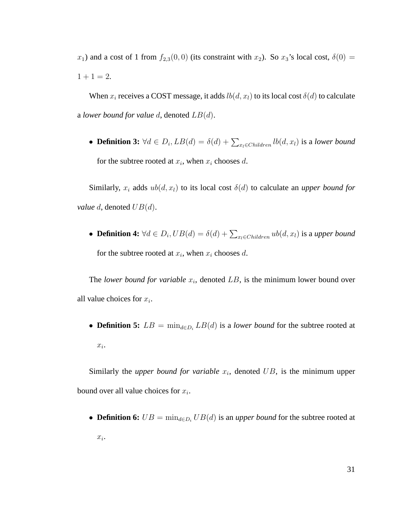$x_1$ ) and a cost of 1 from  $f_{2,3}(0,0)$  (its constraint with  $x_2$ ). So  $x_3$ 's local cost,  $\delta(0)$  =  $1 + 1 = 2.$ 

When  $x_i$  receives a COST message, it adds  $lb(d, x_i)$  to its local cost  $\delta(d)$  to calculate a *lower bound for value* d, denoted LB(d).

• **Definition 3:**  $\forall d \in D_i$ ,  $LB(d) = \delta(d) + \sum_{x_i \in Children} lb(d, x_i)$  is a lower bound for the subtree rooted at  $x_i$ , when  $x_i$  chooses d.

Similarly,  $x_i$  adds  $ub(d, x_i)$  to its local cost  $\delta(d)$  to calculate an *upper bound for value d*, denoted  $UB(d)$ .

• **Definition 4:**  $\forall d \in D_i, UB(d) = \delta(d) + \sum_{x_l \in Children} ub(d, x_l)$  is a *upper bound* for the subtree rooted at  $x_i$ , when  $x_i$  chooses d.

The *lower bound for variable*  $x_i$ , denoted  $LB$ , is the minimum lower bound over all value choices for  $x_i$ .

• **Definition 5:**  $LB = \min_{d \in D_i} LB(d)$  is a *lower bound* for the subtree rooted at  $x_i$ .

Similarly the *upper bound for variable*  $x_i$ , denoted  $UB$ , is the minimum upper bound over all value choices for  $x_i$ .

• **Definition 6:**  $UB = \min_{d \in D_i} UB(d)$  is an *upper bound* for the subtree rooted at  $x_i$ .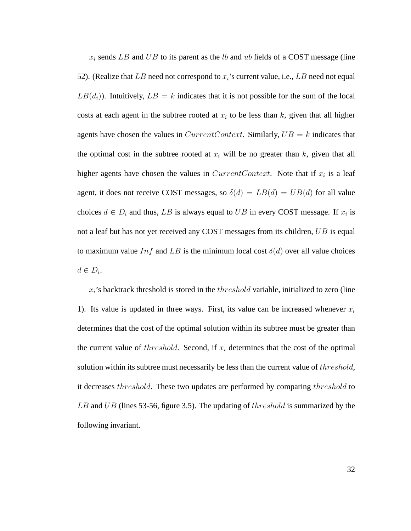$x_i$  sends LB and UB to its parent as the lb and ub fields of a COST message (line 52). (Realize that LB need not correspond to  $x_i$ 's current value, i.e., LB need not equal  $LB(d_i)$ ). Intuitively,  $LB = k$  indicates that it is not possible for the sum of the local costs at each agent in the subtree rooted at  $x_i$  to be less than k, given that all higher agents have chosen the values in  $CurrentContext$ . Similarly,  $UB = k$  indicates that the optimal cost in the subtree rooted at  $x_i$  will be no greater than k, given that all higher agents have chosen the values in  $CurrentContext$ . Note that if  $x_i$  is a leaf agent, it does not receive COST messages, so  $\delta(d) = LB(d) = UB(d)$  for all value choices  $d \in D_i$  and thus, LB is always equal to UB in every COST message. If  $x_i$  is not a leaf but has not yet received any COST messages from its children, UB is equal to maximum value  $Inf$  and  $LB$  is the minimum local cost  $\delta(d)$  over all value choices  $d \in D_i$ .

 $x_i$ 's backtrack threshold is stored in the  $threshold$  variable, initialized to zero (line 1). Its value is updated in three ways. First, its value can be increased whenever  $x_i$ determines that the cost of the optimal solution within its subtree must be greater than the current value of *threshold*. Second, if  $x_i$  determines that the cost of the optimal solution within its subtree must necessarily be less than the current value of threshold, it decreases threshold. These two updates are performed by comparing threshold to  $LB$  and  $UB$  (lines 53-56, figure 3.5). The updating of the *reshold* is summarized by the following invariant.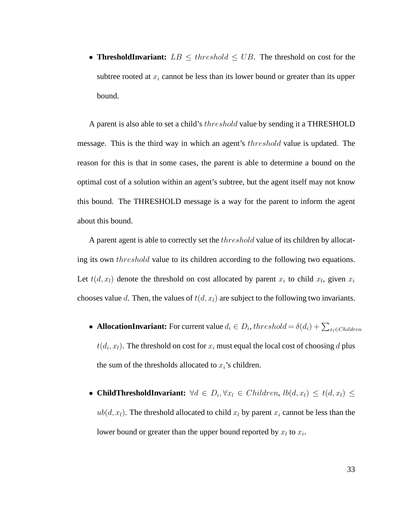• **ThresholdInvariant:**  $LB \leq threshold \leq UB$ . The threshold on cost for the subtree rooted at  $x_i$  cannot be less than its lower bound or greater than its upper bound.

A parent is also able to set a child's *threshold* value by sending it a THRESHOLD message. This is the third way in which an agent's threshold value is updated. The reason for this is that in some cases, the parent is able to determine a bound on the optimal cost of a solution within an agent's subtree, but the agent itself may not know this bound. The THRESHOLD message is a way for the parent to inform the agent about this bound.

A parent agent is able to correctly set the *threshold* value of its children by allocating its own threshold value to its children according to the following two equations. Let  $t(d, x_l)$  denote the threshold on cost allocated by parent  $x_i$  to child  $x_l$ , given  $x_i$ chooses value d. Then, the values of  $t(d, x_l)$  are subject to the following two invariants.

- **AllocationInvariant:** For current value  $d_i \in D_i$ ,  $threshold = \delta(d_i) + \sum_{x_i \in Children}$  $t(d_i, x_l)$ . The threshold on cost for  $x_i$  must equal the local cost of choosing  $d$  plus the sum of the thresholds allocated to  $x_i$ 's children.
- **ChildThresholdInvariant:**  $\forall d \in D_i, \forall x_l \in Children, \, lb(d, x_l) \leq t(d, x_l) \leq t$  $ub(d, x_l)$ . The threshold allocated to child  $x_l$  by parent  $x_i$  cannot be less than the lower bound or greater than the upper bound reported by  $x_l$  to  $x_i$ .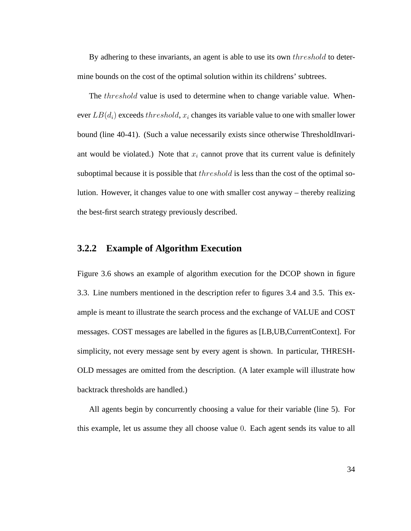By adhering to these invariants, an agent is able to use its own *threshold* to determine bounds on the cost of the optimal solution within its childrens' subtrees.

The *threshold* value is used to determine when to change variable value. Whenever  $LB(d_i)$  exceeds threshold,  $x_i$  changes its variable value to one with smaller lower bound (line 40-41). (Such a value necessarily exists since otherwise ThresholdInvariant would be violated.) Note that  $x_i$  cannot prove that its current value is definitely suboptimal because it is possible that *threshold* is less than the cost of the optimal solution. However, it changes value to one with smaller cost anyway – thereby realizing the best-first search strategy previously described.

# **3.2.2 Example of Algorithm Execution**

Figure 3.6 shows an example of algorithm execution for the DCOP shown in figure 3.3. Line numbers mentioned in the description refer to figures 3.4 and 3.5. This example is meant to illustrate the search process and the exchange of VALUE and COST messages. COST messages are labelled in the figures as [LB,UB,CurrentContext]. For simplicity, not every message sent by every agent is shown. In particular, THRESH-OLD messages are omitted from the description. (A later example will illustrate how backtrack thresholds are handled.)

All agents begin by concurrently choosing a value for their variable (line 5). For this example, let us assume they all choose value 0. Each agent sends its value to all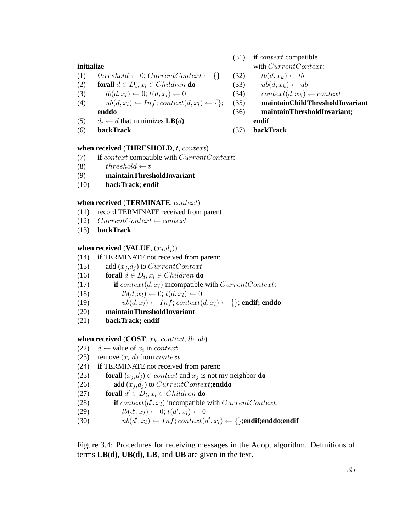## **initialize**

- (1)  $threshold \leftarrow 0; CurrentContext \leftarrow \{\}$
- (2) **forall**  $d \in D_i$ ,  $x_l \in Children$  **do**
- (3)  $lb(d, x_l) \leftarrow 0; t(d, x_l) \leftarrow 0$
- (4)  $ub(d, x_l) \leftarrow Inf$ ; context $(d, x_l) \leftarrow \{\};$ **enddo**
- (5)  $d_i \leftarrow d$  that minimizes  $\mathbf{LB}(d)$
- (6) **backTrack**

## **when received** (**THRESHOLD**, t, context)

- (7) **if** context compatible with CurrentContext:
- (8)  $threshold \leftarrow t$
- (9) **maintainThresholdInvariant**
- (10) **backTrack**; **endif**

# **when received** (**TERMINATE**, context)

- (11) record TERMINATE received from parent
- (12)  $CurrentContext \leftarrow context$
- (13) **backTrack**

## **when received** (**VALUE**,  $(x_j, d_j)$ )

- (14) **if** TERMINATE not received from parent:
- (15) add  $(x_i, d_i)$  to CurrentContext
- (16) **forall**  $d \in D_i$ ,  $x_l \in Children$  **do**
- (17) **if**  $context(d, x_l)$  incompatible with  $CurrentContext$ :
- (18)  $lb(d, x_l) \leftarrow 0; t(d, x_l) \leftarrow 0$
- (19)  $ub(d, x_l) \leftarrow Inf$ ;  $context(d, x_l) \leftarrow \{\}$ ; **endif; enddo**
- (20) **maintainThresholdInvariant**
- (21) **backTrack; endif**

## **when received** (**COST**,  $x_k$ , context, *lb*, *ub*)

- (22)  $d \leftarrow$  value of  $x_i$  in *context*
- (23) remove  $(x_i, d)$  from *context*
- (24) **if** TERMINATE not received from parent:
- (25) **forall**  $(x_j, d_j) \in context$  and  $x_j$  is not my neighbor **do**
- (26) add  $(x_j, d_j)$  to *CurrentContext*; **enddo**
- (27) **forall**  $d' \in D_i$ ,  $x_l \in Children$  **do**
- (28) **if**  $context(d', x_l)$  incompatible with  $CurrentContext$ :
- (29)  $\textit{lb}(d', x_l) \leftarrow 0; t(d', x_l) \leftarrow 0$
- (30)  $ub(d', x_l) \leftarrow Inf; context(d', x_l) \leftarrow \{\}; \text{endif}; \text{endif}$

Figure 3.4: Procedures for receiving messages in the Adopt algorithm. Definitions of terms **LB(d)**, **UB(d)**, **LB**, and **UB** are given in the text.

- (31) **if** context compatible with CurrentContext:
- (32)  $lb(d, x_k) \leftarrow lb$
- (33)  $ub(d, x_k) \leftarrow ub$
- (34) context $(d, x_k) \leftarrow context$
- (35) **maintainChildThresholdInvariant**
- (36) **maintainThresholdInvariant**;
	- **endif**
- (37) **backTrack**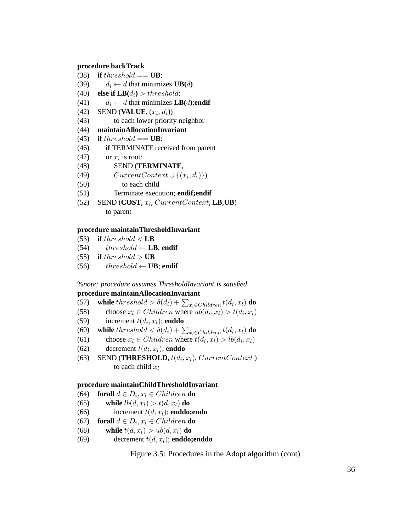# **procedure backTrack**

- (38) **if** threshold  $==$  **UB**:
- (39)  $d_i \leftarrow d$  that minimizes  $\textbf{UB}(d)$
- (40) **else if**  $LB(d_i) > threshold$ **:**
- (41)  $d_i \leftarrow d$  that minimizes **LB**(*d*);**endif**
- $(42)$  SEND (**VALUE**,  $(x_i, d_i)$ )
- (43) to each lower priority neighbor
- (44) **maintainAllocationInvariant**
- (45) **if** threshold  $==$  **UB**:
- (46) **if** TERMINATE received from parent
- (47) or  $x_i$  is root:
- (48) SEND (**TERMINATE**,
- (49)  $CurrentContext \cup \{(x_i, d_i)\})$
- (50) to each child
- (51) Terminate execution; **endif;endif**
- $(52)$  SEND  $(COST, x_i, CurrentContext, LB, UB)$ to parent

#### **procedure maintainThresholdInvariant**

- (53) **if** threshold  $\lt$  **LB**
- (54)  $threshold \leftarrow LB$ ; **endif**
- (55) **if** threshold  $>$  **UB**
- (56)  $threshold \leftarrow \textbf{UB}$ ; endif

# %*note: procedure assumes ThresholdInvariant is satisfied* **procedure maintainAllocationInvariant**

- (57) **while**  $threshold > \delta(d_i) + \sum_{x_l \in Children} t(d_i, x_l)$  **do**
- (58) choose  $x_l \in Children$  where  $ub(d_i, x_l) > t(d_i, x_l)$
- (59) increment  $t(d_i, x_l)$ ; **enddo**
- (60) **while**  $threshold < \delta(d_i) + \sum_{x_l \in Children} t(d_i, x_l)$  **do**
- (61) choose  $x_l \in Children$  where  $t(d_i, x_l) > lb(d_i, x_l)$
- (62) decrement  $t(d_i, x_l)$ ; **enddo**
- (63) SEND (**THRESHOLD**,  $t(d_i, x_l)$ , CurrentContext) to each child  $x_l$

## **procedure maintainChildThresholdInvariant**

- (64) **forall**  $d \in D_i$ ,  $x_l \in Children$  **do**
- (65) **while**  $lb(d, x_l) > t(d, x_l)$  **do**
- (66) increment  $t(d, x_l)$ ; **enddo;endo**
- (67) **forall**  $d \in D_i$ ,  $x_l \in Children$  **do**
- (68) **while**  $t(d, x_l) > ub(d, x_l)$  **do**
- (69) decrement  $t(d, x_l)$ ; **enddo;enddo**

Figure 3.5: Procedures in the Adopt algorithm (cont)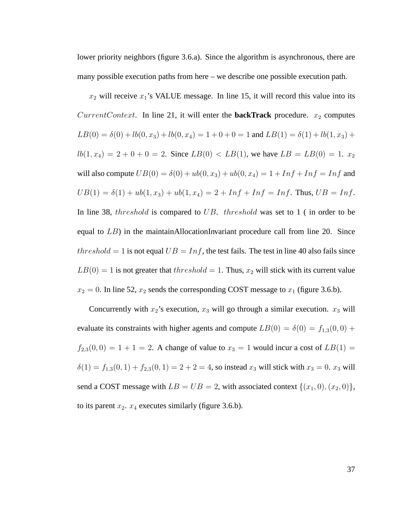lower priority neighbors (figure 3.6.a). Since the algorithm is asynchronous, there are many possible execution paths from here – we describe one possible execution path.

 $x_2$  will receive  $x_1$ 's VALUE message. In line 15, it will record this value into its CurrentContext. In line 21, it will enter the **backTrack** procedure.  $x_2$  computes  $LB(0) = \delta(0) + lb(0, x_3) + lb(0, x_4) = 1 + 0 + 0 = 1$  and  $LB(1) = \delta(1) + lb(1, x_3) +$  $lb(1, x_4) = 2 + 0 + 0 = 2$ . Since  $LB(0) < LB(1)$ , we have  $LB = LB(0) = 1$ .  $x_2$ will also compute  $UB(0) = \delta(0) + ub(0, x_3) + ub(0, x_4) = 1 + Inf + Inf = Inf$  and  $UB(1) = \delta(1) + ub(1, x_3) + ub(1, x_4) = 2 + Inf + Inf = Inf$ . Thus,  $UB = Inf$ . In line 38, threshold is compared to UB. threshold was set to 1 (in order to be equal to  $LB$ ) in the maintainAllocationInvariant procedure call from line 20. Since threshold = 1 is not equal  $UB = Inf$ , the test fails. The test in line 40 also fails since  $LB(0) = 1$  is not greater that  $threshold = 1$ . Thus,  $x_2$  will stick with its current value  $x_2 = 0$ . In line 52,  $x_2$  sends the corresponding COST message to  $x_1$  (figure 3.6.b).

Concurrently with  $x_2$ 's execution,  $x_3$  will go through a similar execution.  $x_3$  will evaluate its constraints with higher agents and compute  $LB(0) = \delta(0) = f_{1,3}(0,0) +$  $f_{2,3}(0,0) = 1 + 1 = 2$ . A change of value to  $x_3 = 1$  would incur a cost of  $LB(1) = 1$  $\delta(1) = f_{1,3}(0,1) + f_{2,3}(0,1) = 2 + 2 = 4$ , so instead  $x_3$  will stick with  $x_3 = 0$ .  $x_3$  will send a COST message with  $LB = UB = 2$ , with associated context  $\{(x_1, 0), (x_2, 0)\},$ to its parent  $x_2$ .  $x_4$  executes similarly (figure 3.6.b).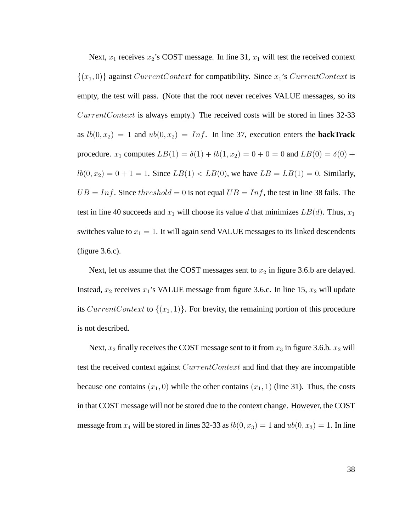Next,  $x_1$  receives  $x_2$ 's COST message. In line 31,  $x_1$  will test the received context  ${(x_1, 0)}$  against *CurrentContext* for compatibility. Since  $x_1$ 's *CurrentContext* is empty, the test will pass. (Note that the root never receives VALUE messages, so its CurrentContext is always empty.) The received costs will be stored in lines 32-33 as  $lb(0, x_2) = 1$  and  $ub(0, x_2) = Inf$ . In line 37, execution enters the **backTrack** procedure.  $x_1$  computes  $LB(1) = \delta(1) + lb(1, x_2) = 0 + 0 = 0$  and  $LB(0) = \delta(0) +$  $lb(0, x_2) = 0 + 1 = 1$ . Since  $LB(1) < LB(0)$ , we have  $LB = LB(1) = 0$ . Similarly,  $UB = Inf$ . Since threshold = 0 is not equal  $UB = Inf$ , the test in line 38 fails. The test in line 40 succeeds and  $x_1$  will choose its value d that minimizes  $LB(d)$ . Thus,  $x_1$ switches value to  $x_1 = 1$ . It will again send VALUE messages to its linked descendents (figure 3.6.c).

Next, let us assume that the COST messages sent to  $x_2$  in figure 3.6.b are delayed. Instead,  $x_2$  receives  $x_1$ 's VALUE message from figure 3.6.c. In line 15,  $x_2$  will update its CurrentContext to  $\{(x_1, 1)\}\)$ . For brevity, the remaining portion of this procedure is not described.

Next,  $x_2$  finally receives the COST message sent to it from  $x_3$  in figure 3.6.b.  $x_2$  will test the received context against CurrentContext and find that they are incompatible because one contains  $(x_1, 0)$  while the other contains  $(x_1, 1)$  (line 31). Thus, the costs in that COST message will not be stored due to the context change. However, the COST message from  $x_4$  will be stored in lines 32-33 as  $lb(0, x_3) = 1$  and  $ub(0, x_3) = 1$ . In line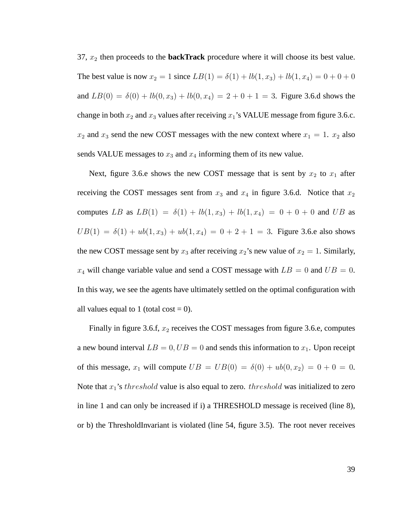37,  $x_2$  then proceeds to the **backTrack** procedure where it will choose its best value. The best value is now  $x_2 = 1$  since  $LB(1) = \delta(1) + lb(1, x_3) + lb(1, x_4) = 0 + 0 + 0$ and  $LB(0) = \delta(0) + lb(0, x_3) + lb(0, x_4) = 2 + 0 + 1 = 3$ . Figure 3.6.d shows the change in both  $x_2$  and  $x_3$  values after receiving  $x_1$ 's VALUE message from figure 3.6.c.  $x_2$  and  $x_3$  send the new COST messages with the new context where  $x_1 = 1$ .  $x_2$  also sends VALUE messages to  $x_3$  and  $x_4$  informing them of its new value.

Next, figure 3.6.e shows the new COST message that is sent by  $x_2$  to  $x_1$  after receiving the COST messages sent from  $x_3$  and  $x_4$  in figure 3.6.d. Notice that  $x_2$ computes LB as  $LB(1) = \delta(1) + lb(1, x_3) + lb(1, x_4) = 0 + 0 + 0$  and UB as  $UB(1) = \delta(1) + ub(1, x_3) + ub(1, x_4) = 0 + 2 + 1 = 3$ . Figure 3.6.e also shows the new COST message sent by  $x_3$  after receiving  $x_2$ 's new value of  $x_2 = 1$ . Similarly,  $x_4$  will change variable value and send a COST message with  $LB = 0$  and  $UB = 0$ . In this way, we see the agents have ultimately settled on the optimal configuration with all values equal to 1 (total cost  $= 0$ ).

Finally in figure 3.6.f,  $x_2$  receives the COST messages from figure 3.6.e, computes a new bound interval  $LB = 0$ ,  $UB = 0$  and sends this information to  $x_1$ . Upon receipt of this message,  $x_1$  will compute  $UB = UB(0) = \delta(0) + ub(0, x_2) = 0 + 0 = 0$ . Note that  $x_1$ 's *threshold* value is also equal to zero. *threshold* was initialized to zero in line 1 and can only be increased if i) a THRESHOLD message is received (line 8), or b) the ThresholdInvariant is violated (line 54, figure 3.5). The root never receives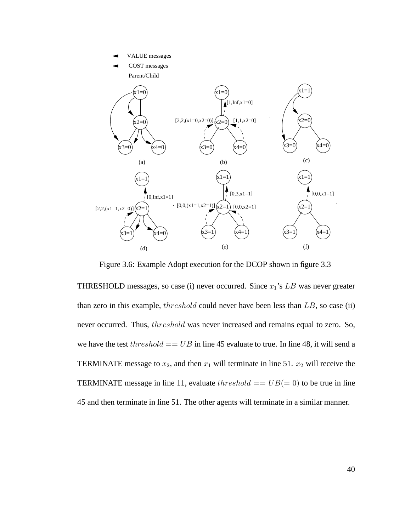

Figure 3.6: Example Adopt execution for the DCOP shown in figure 3.3

THRESHOLD messages, so case (i) never occurred. Since  $x_1$ 's LB was never greater than zero in this example,  $threshold$  could never have been less than  $LB$ , so case (ii) never occurred. Thus, threshold was never increased and remains equal to zero. So, we have the test  $threshold == UB$  in line 45 evaluate to true. In line 48, it will send a TERMINATE message to  $x_2$ , and then  $x_1$  will terminate in line 51.  $x_2$  will receive the TERMINATE message in line 11, evaluate  $threshold == UB(= 0)$  to be true in line 45 and then terminate in line 51. The other agents will terminate in a similar manner.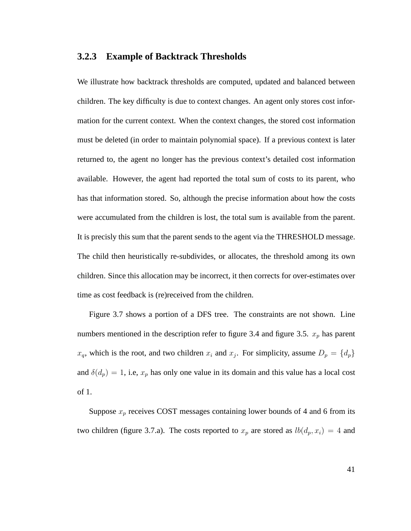# **3.2.3 Example of Backtrack Thresholds**

We illustrate how backtrack thresholds are computed, updated and balanced between children. The key difficulty is due to context changes. An agent only stores cost information for the current context. When the context changes, the stored cost information must be deleted (in order to maintain polynomial space). If a previous context is later returned to, the agent no longer has the previous context's detailed cost information available. However, the agent had reported the total sum of costs to its parent, who has that information stored. So, although the precise information about how the costs were accumulated from the children is lost, the total sum is available from the parent. It is precisly this sum that the parent sends to the agent via the THRESHOLD message. The child then heuristically re-subdivides, or allocates, the threshold among its own children. Since this allocation may be incorrect, it then corrects for over-estimates over time as cost feedback is (re)received from the children.

Figure 3.7 shows a portion of a DFS tree. The constraints are not shown. Line numbers mentioned in the description refer to figure 3.4 and figure 3.5.  $x_p$  has parent  $x_q$ , which is the root, and two children  $x_i$  and  $x_j$ . For simplicity, assume  $D_p = \{d_p\}$ and  $\delta(d_p) = 1$ , i.e,  $x_p$  has only one value in its domain and this value has a local cost of 1.

Suppose  $x_p$  receives COST messages containing lower bounds of 4 and 6 from its two children (figure 3.7.a). The costs reported to  $x_p$  are stored as  $lb(d_p, x_i) = 4$  and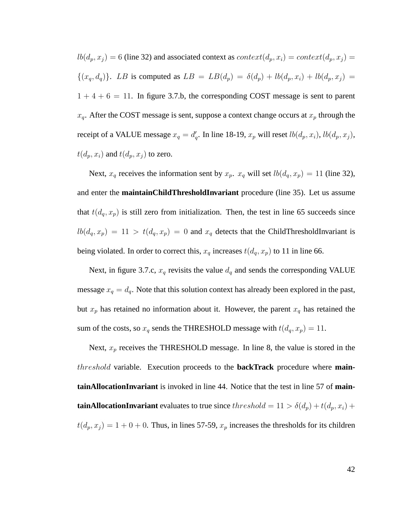$lb(d_p, x_j) = 6$  (line 32) and associated context as  $context(d_p, x_i) = context(d_p, x_j) =$  $\{(x_q, d_q)\}\.$  LB is computed as  $LB = LB(d_p) = \delta(d_p) + lb(d_p, x_i) + lb(d_p, x_j) =$  $1 + 4 + 6 = 11$ . In figure 3.7.b, the corresponding COST message is sent to parent  $x_q$ . After the COST message is sent, suppose a context change occurs at  $x_p$  through the receipt of a VALUE message  $x_q = d'_q$ . In line 18-19,  $x_p$  will reset  $lb(d_p, x_i)$ ,  $lb(d_p, x_j)$ ,  $t(d_p, x_i)$  and  $t(d_p, x_j)$  to zero.

Next,  $x_q$  receives the information sent by  $x_p$ .  $x_q$  will set  $lb(d_q, x_p) = 11$  (line 32), and enter the **maintainChildThresholdInvariant** procedure (line 35). Let us assume that  $t(d_q, x_p)$  is still zero from initialization. Then, the test in line 65 succeeds since  $lb(d_q, x_p) = 11 > t(d_q, x_p) = 0$  and  $x_q$  detects that the ChildThresholdInvariant is being violated. In order to correct this,  $x_q$  increases  $t(d_q, x_p)$  to 11 in line 66.

Next, in figure 3.7.c,  $x_q$  revisits the value  $d_q$  and sends the corresponding VALUE message  $x_q = d_q$ . Note that this solution context has already been explored in the past, but  $x_p$  has retained no information about it. However, the parent  $x_q$  has retained the sum of the costs, so  $x_q$  sends the THRESHOLD message with  $t(d_q, x_p) = 11$ .

Next,  $x_p$  receives the THRESHOLD message. In line 8, the value is stored in the threshold variable. Execution proceeds to the **backTrack** procedure where **maintainAllocationInvariant** is invoked in line 44. Notice that the test in line 57 of **maintainAllocationInvariant** evaluates to true since  $threshold = 11 > \delta(d_p) + t(d_p, x_i) +$  $t(d_p, x_j) = 1 + 0 + 0$ . Thus, in lines 57-59,  $x_p$  increases the thresholds for its children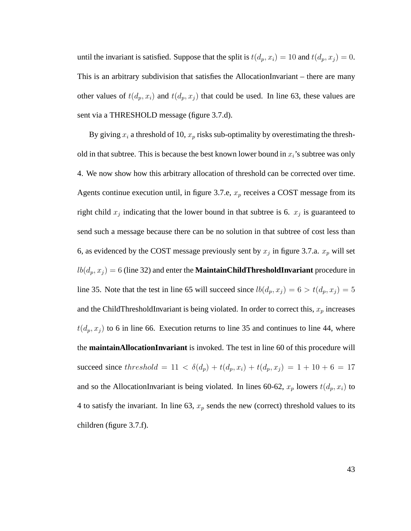until the invariant is satisfied. Suppose that the split is  $t(d_p, x_i) = 10$  and  $t(d_p, x_j) = 0$ . This is an arbitrary subdivision that satisfies the AllocationInvariant – there are many other values of  $t(d_p, x_i)$  and  $t(d_p, x_j)$  that could be used. In line 63, these values are sent via a THRESHOLD message (figure 3.7.d).

By giving  $x_i$  a threshold of 10,  $x_p$  risks sub-optimality by overestimating the threshold in that subtree. This is because the best known lower bound in  $x_i$ 's subtree was only 4. We now show how this arbitrary allocation of threshold can be corrected over time. Agents continue execution until, in figure 3.7.e,  $x_p$  receives a COST message from its right child  $x_j$  indicating that the lower bound in that subtree is 6.  $x_j$  is guaranteed to send such a message because there can be no solution in that subtree of cost less than 6, as evidenced by the COST message previously sent by  $x_j$  in figure 3.7.a.  $x_p$  will set  $lb(d_p, x_j) = 6$  (line 32) and enter the **MaintainChildThresholdInvariant** procedure in line 35. Note that the test in line 65 will succeed since  $lb(d_p, x_j) = 6 > t(d_p, x_j) = 5$ and the ChildThresholdInvariant is being violated. In order to correct this,  $x_p$  increases  $t(d_p, x_j)$  to 6 in line 66. Execution returns to line 35 and continues to line 44, where the **maintainAllocationInvariant** is invoked. The test in line 60 of this procedure will succeed since threshold = 11 <  $\delta(d_p) + t(d_p, x_i) + t(d_p, x_j) = 1 + 10 + 6 = 17$ and so the AllocationInvariant is being violated. In lines 60-62,  $x_p$  lowers  $t(d_p, x_i)$  to 4 to satisfy the invariant. In line 63,  $x_p$  sends the new (correct) threshold values to its children (figure 3.7.f).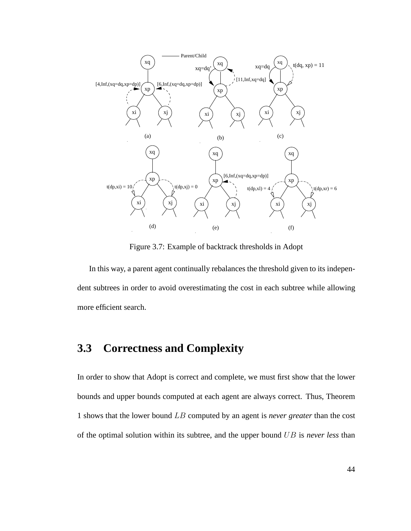

Figure 3.7: Example of backtrack thresholds in Adopt

In this way, a parent agent continually rebalances the threshold given to its independent subtrees in order to avoid overestimating the cost in each subtree while allowing more efficient search.

# **3.3 Correctness and Complexity**

In order to show that Adopt is correct and complete, we must first show that the lower bounds and upper bounds computed at each agent are always correct. Thus, Theorem 1 shows that the lower bound LB computed by an agent is *never greater* than the cost of the optimal solution within its subtree, and the upper bound UB is *never less* than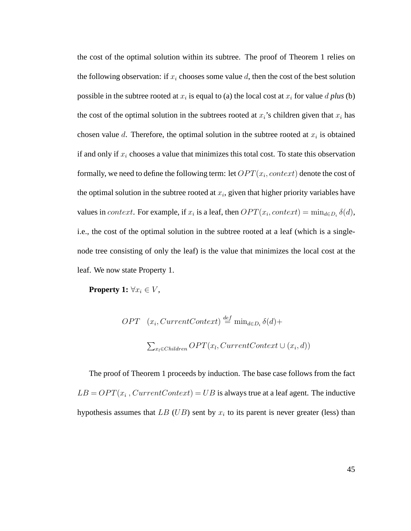the cost of the optimal solution within its subtree. The proof of Theorem 1 relies on the following observation: if  $x_i$  chooses some value d, then the cost of the best solution possible in the subtree rooted at  $x_i$  is equal to (a) the local cost at  $x_i$  for value d *plus* (b) the cost of the optimal solution in the subtrees rooted at  $x_i$ 's children given that  $x_i$  has chosen value d. Therefore, the optimal solution in the subtree rooted at  $x_i$  is obtained if and only if  $x_i$  chooses a value that minimizes this total cost. To state this observation formally, we need to define the following term: let  $OPT(x_i, context)$  denote the cost of the optimal solution in the subtree rooted at  $x_i$ , given that higher priority variables have values in *context*. For example, if  $x_i$  is a leaf, then  $OPT(x_i, context) = \min_{d \in D_i} \delta(d)$ , i.e., the cost of the optimal solution in the subtree rooted at a leaf (which is a singlenode tree consisting of only the leaf) is the value that minimizes the local cost at the leaf. We now state Property 1.

**Property 1:**  $\forall x_i \in V$ ,

$$
OPT (x_i, CurrentContext) \stackrel{def}{=} \min_{d \in D_i} \delta(d) +
$$

$$
\sum_{x_l \in Children} OPT(x_l, CurrentContext \cup (x_i, d))
$$

The proof of Theorem 1 proceeds by induction. The base case follows from the fact  $LB = OPT(x_i, CurrentContext) = UB$  is always true at a leaf agent. The inductive hypothesis assumes that  $LB$  (UB) sent by  $x_i$  to its parent is never greater (less) than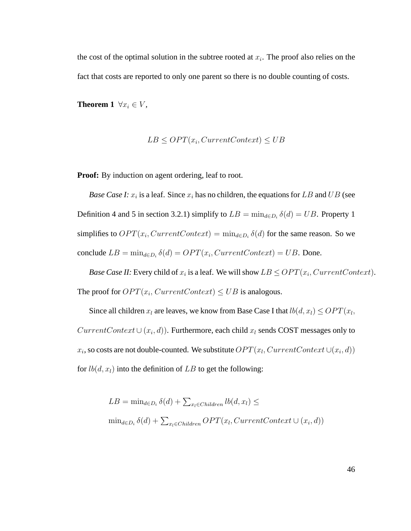the cost of the optimal solution in the subtree rooted at  $x_i$ . The proof also relies on the fact that costs are reported to only one parent so there is no double counting of costs.

**Theorem 1**  $\forall x_i \in V$ ,

$$
LB \le OPT(x_i, CurrentContext) \le UB
$$

**Proof:** By induction on agent ordering, leaf to root.

*Base Case I:*  $x_i$  is a leaf. Since  $x_i$  has no children, the equations for LB and UB (see Definition 4 and 5 in section 3.2.1) simplify to  $LB = \min_{d \in D_i} \delta(d) = UB$ . Property 1 simplifies to  $OPT(x_i, CurrentContext) = min_{d \in D_i} \delta(d)$  for the same reason. So we conclude  $LB = \min_{d \in D_i} \delta(d) = OPT(x_i, CurrentContext) = UB$ . Done.

*Base Case II:* Every child of  $x_i$  is a leaf. We will show  $LB \leq OPT(x_i, CurrentContext)$ . The proof for  $OPT(x_i, CurrentContext) \leq UB$  is analogous.

Since all children  $x_l$  are leaves, we know from Base Case I that  $lb(d, x_l) \leq OPT(x_l,$  $CurrentContext\cup (x_i, d))$ . Furthermore, each child  $x_l$  sends COST messages only to  $x_i$ , so costs are not double-counted. We substitute  $OPT(x_l, CurrentContext\cup(x_i, d))$ for  $lb(d, x_l)$  into the definition of LB to get the following:

$$
LB = \min_{d \in D_i} \delta(d) + \sum_{x_l \in Children} lb(d, x_l) \le
$$
  

$$
\min_{d \in D_i} \delta(d) + \sum_{x_l \in Children} OPT(x_l, CurrentContext \cup (x_i, d))
$$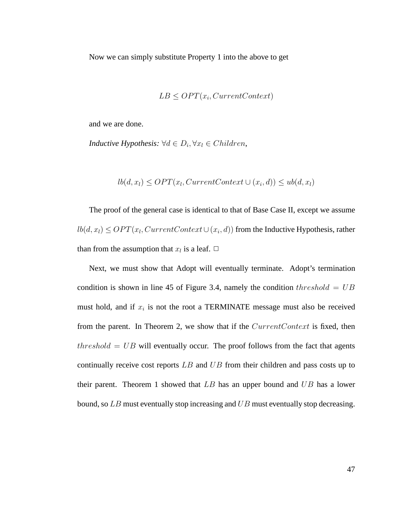Now we can simply substitute Property 1 into the above to get

$$
LB \le OPT(x_i, CurrentContext)
$$

and we are done.

*Inductive Hypothesis:*  $\forall d \in D_i, \forall x_l \in Children$ ,

$$
lb(d, x_l) \le OPT(x_l, CurrentContext \cup (x_i, d)) \le ub(d, x_l)
$$

The proof of the general case is identical to that of Base Case II, except we assume  $lb(d, x_l) \leq OPT(x_l, CurrentContext \cup (x_i, d))$  from the Inductive Hypothesis, rather than from the assumption that  $x_l$  is a leaf.  $\Box$ 

Next, we must show that Adopt will eventually terminate. Adopt's termination condition is shown in line 45 of Figure 3.4, namely the condition threshold =  $UB$ must hold, and if  $x_i$  is not the root a TERMINATE message must also be received from the parent. In Theorem 2, we show that if the CurrentContext is fixed, then  $threshold = UB$  will eventually occur. The proof follows from the fact that agents continually receive cost reports LB and UB from their children and pass costs up to their parent. Theorem 1 showed that  $LB$  has an upper bound and  $UB$  has a lower bound, so LB must eventually stop increasing and UB must eventually stop decreasing.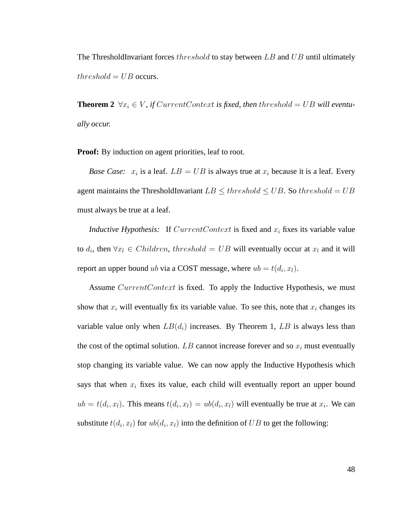The ThresholdInvariant forces threshold to stay between LB and UB until ultimately  $threshold = UB$  occurs.

**Theorem 2**  $\forall x_i \in V$ , if CurrentContext is fixed, then threshold = UB will eventu*ally occur.*

**Proof:** By induction on agent priorities, leaf to root.

*Base Case:*  $x_i$  is a leaf.  $LB = UB$  is always true at  $x_i$  because it is a leaf. Every agent maintains the ThresholdInvariant  $LB \leq threshold \leq UB$ . So threshold = UB must always be true at a leaf.

*Inductive Hypothesis:* If  $CurrentContext$  is fixed and  $x_i$  fixes its variable value to  $d_i$ , then  $\forall x_l \in Children$ , threshold = UB will eventually occur at  $x_l$  and it will report an upper bound ub via a COST message, where  $ub = t(d_i, x_l)$ .

Assume CurrentContext is fixed. To apply the Inductive Hypothesis, we must show that  $x_i$  will eventually fix its variable value. To see this, note that  $x_i$  changes its variable value only when  $LB(d_i)$  increases. By Theorem 1, LB is always less than the cost of the optimal solution. LB cannot increase forever and so  $x_i$  must eventually stop changing its variable value. We can now apply the Inductive Hypothesis which says that when  $x_i$  fixes its value, each child will eventually report an upper bound  $ub = t(d_i, x_i)$ . This means  $t(d_i, x_i) = ub(d_i, x_i)$  will eventually be true at  $x_i$ . We can substitute  $t(d_i, x_i)$  for  $ub(d_i, x_i)$  into the definition of  $UB$  to get the following: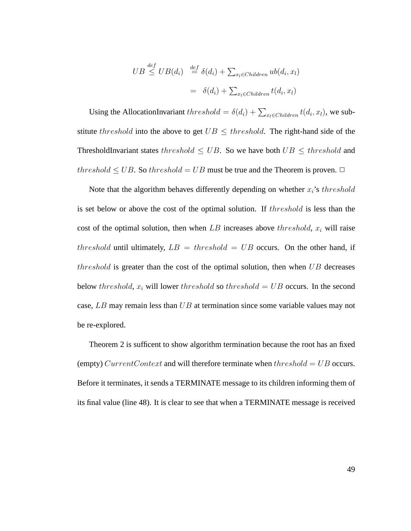$$
UB \stackrel{def}{\leq} UB(d_i) \stackrel{def}{=} \delta(d_i) + \sum_{x_l \in Children} ub(d_i, x_l)
$$

$$
= \delta(d_i) + \sum_{x_l \in Children} t(d_i, x_l)
$$

Using the AllocationInvariant  $threshold = \delta(d_i) + \sum_{x_i \in Children} t(d_i, x_i)$ , we substitute threshold into the above to get  $UB \leq threshold$ . The right-hand side of the ThresholdInvariant states threshold  $\leq UB$ . So we have both  $UB \leq threshold$  and threshold  $\leq UB$ . So threshold = UB must be true and the Theorem is proven.  $\Box$ 

Note that the algorithm behaves differently depending on whether  $x_i$ 's threshold is set below or above the cost of the optimal solution. If threshold is less than the cost of the optimal solution, then when  $LB$  increases above threshold,  $x_i$  will raise threshold until ultimately,  $LB = threshold = UB$  occurs. On the other hand, if threshold is greater than the cost of the optimal solution, then when  $UB$  decreases below threshold,  $x_i$  will lower threshold so threshold = UB occurs. In the second case,  $LB$  may remain less than  $UB$  at termination since some variable values may not be re-explored.

Theorem 2 is sufficent to show algorithm termination because the root has an fixed (empty) CurrentContext and will therefore terminate when threshold =  $UB$  occurs. Before it terminates, it sends a TERMINATE message to its children informing them of its final value (line 48). It is clear to see that when a TERMINATE message is received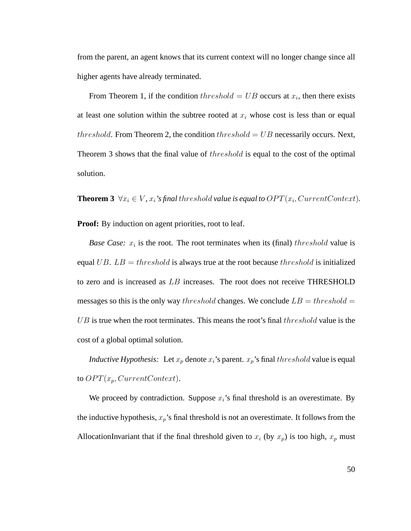from the parent, an agent knows that its current context will no longer change since all higher agents have already terminated.

From Theorem 1, if the condition  $threshold = UB$  occurs at  $x_i$ , then there exists at least one solution within the subtree rooted at  $x_i$  whose cost is less than or equal threshold. From Theorem 2, the condition threshold  $=UB$  necessarily occurs. Next, Theorem 3 shows that the final value of threshold is equal to the cost of the optimal solution.

**Theorem 3**  $\forall x_i \in V$ ,  $x_i$ 's final threshold value is equal to  $OPT(x_i, CurrentContext)$ .

**Proof:** By induction on agent priorities, root to leaf.

*Base Case:*  $x_i$  is the root. The root terminates when its (final) the *reshold* value is equal UB.  $LB = threshold$  is always true at the root because the reshold is initialized to zero and is increased as LB increases. The root does not receive THRESHOLD messages so this is the only way threshold changes. We conclude  $LB = threshold =$  $UB$  is true when the root terminates. This means the root's final  $threshold$  value is the cost of a global optimal solution.

*Inductive Hypothesis:* Let  $x_p$  denote  $x_i$ 's parent.  $x_p$ 's final threshold value is equal to  $OPT(x_p, CurrentContext)$ .

We proceed by contradiction. Suppose  $x_i$ 's final threshold is an overestimate. By the inductive hypothesis,  $x_p$ 's final threshold is not an overestimate. It follows from the AllocationInvariant that if the final threshold given to  $x_i$  (by  $x_p$ ) is too high,  $x_p$  must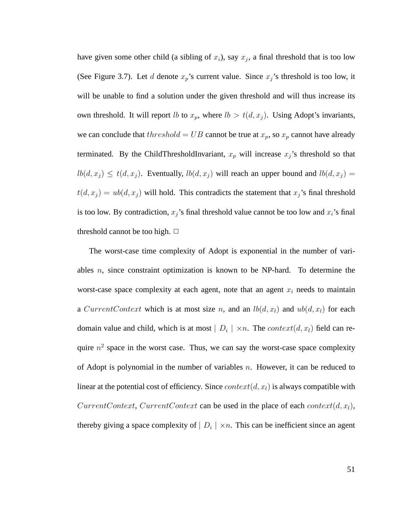have given some other child (a sibling of  $x_i$ ), say  $x_j$ , a final threshold that is too low (See Figure 3.7). Let d denote  $x_p$ 's current value. Since  $x_j$ 's threshold is too low, it will be unable to find a solution under the given threshold and will thus increase its own threshold. It will report *lb* to  $x_p$ , where  $lb > t(d, x_j)$ . Using Adopt's invariants, we can conclude that  $threshold = UB$  cannot be true at  $x_p$ , so  $x_p$  cannot have already terminated. By the ChildThresholdInvariant,  $x_p$  will increase  $x_j$ 's threshold so that  $lb(d, x_j) \le t(d, x_j)$ . Eventually,  $lb(d, x_j)$  will reach an upper bound and  $lb(d, x_j)$  =  $t(d, x_j) = ub(d, x_j)$  will hold. This contradicts the statement that  $x_j$ 's final threshold is too low. By contradiction,  $x_j$ 's final threshold value cannot be too low and  $x_i$ 's final threshold cannot be too high.  $\Box$ 

The worst-case time complexity of Adopt is exponential in the number of variables  $n$ , since constraint optimization is known to be NP-hard. To determine the worst-case space complexity at each agent, note that an agent  $x_i$  needs to maintain a CurrentContext which is at most size n, and an  $lb(d, x_l)$  and  $ub(d, x_l)$  for each domain value and child, which is at most  $|D_i| \times n$ . The  $context(d, x_l)$  field can require  $n^2$  space in the worst case. Thus, we can say the worst-case space complexity of Adopt is polynomial in the number of variables  $n$ . However, it can be reduced to linear at the potential cost of efficiency. Since  $context(d, x_l)$  is always compatible with CurrentContext, CurrentContext can be used in the place of each context $(d, x_l)$ , thereby giving a space complexity of  $|D_i| \times n$ . This can be inefficient since an agent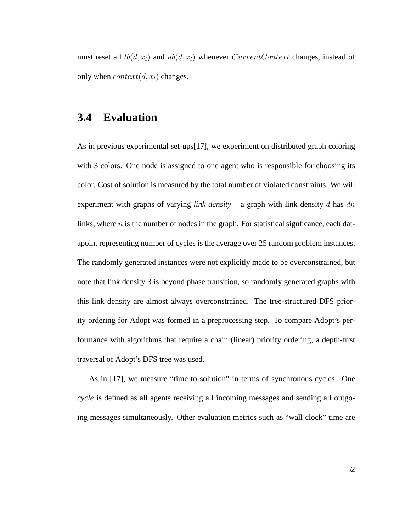must reset all  $lb(d, x_l)$  and  $ub(d, x_l)$  whenever  $CurrentContext$  changes, instead of only when  $context(d, x_l)$  changes.

# **3.4 Evaluation**

As in previous experimental set-ups[17], we experiment on distributed graph coloring with 3 colors. One node is assigned to one agent who is responsible for choosing its color. Cost of solution is measured by the total number of violated constraints. We will experiment with graphs of varying *link density* – a graph with link density d has dn links, where  $n$  is the number of nodes in the graph. For statistical signficance, each datapoint representing number of cycles is the average over 25 random problem instances. The randomly generated instances were not explicitly made to be overconstrained, but note that link density 3 is beyond phase transition, so randomly generated graphs with this link density are almost always overconstrained. The tree-structured DFS priority ordering for Adopt was formed in a preprocessing step. To compare Adopt's performance with algorithms that require a chain (linear) priority ordering, a depth-first traversal of Adopt's DFS tree was used.

As in [17], we measure "time to solution" in terms of synchronous cycles. One *cycle* is defined as all agents receiving all incoming messages and sending all outgoing messages simultaneously. Other evaluation metrics such as "wall clock" time are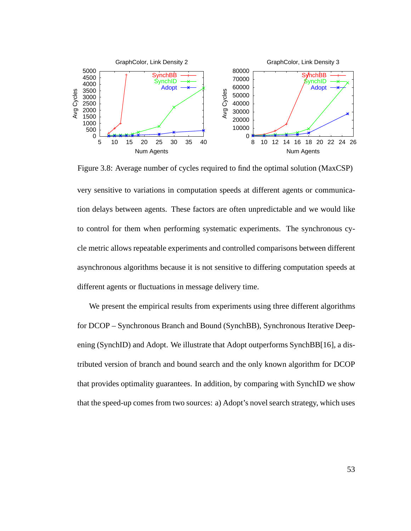

very sensitive to variations in computation speeds at different agents or communication delays between agents. These factors are often unpredictable and we would like to control for them when performing systematic experiments. The synchronous cycle metric allows repeatable experiments and controlled comparisons between different asynchronous algorithms because it is not sensitive to differing computation speeds at different agents or fluctuations in message delivery time.

Figure 3.8: Average number of cycles required to find the optimal solution (MaxCSP)

We present the empirical results from experiments using three different algorithms for DCOP – Synchronous Branch and Bound (SynchBB), Synchronous Iterative Deepening (SynchID) and Adopt. We illustrate that Adopt outperforms SynchBB[16], a distributed version of branch and bound search and the only known algorithm for DCOP that provides optimality guarantees. In addition, by comparing with SynchID we show that the speed-up comes from two sources: a) Adopt's novel search strategy, which uses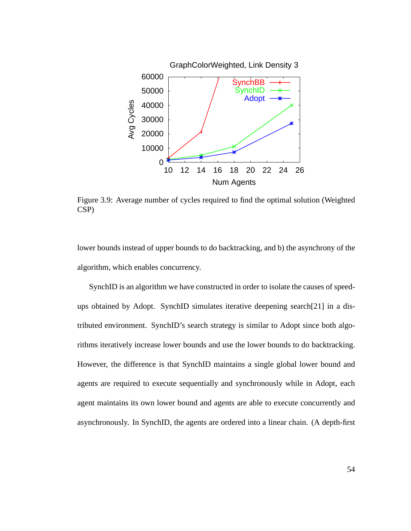

Figure 3.9: Average number of cycles required to find the optimal solution (Weighted CSP)

lower bounds instead of upper bounds to do backtracking, and b) the asynchrony of the algorithm, which enables concurrency.

SynchID is an algorithm we have constructed in order to isolate the causes of speedups obtained by Adopt. SynchID simulates iterative deepening search[21] in a distributed environment. SynchID's search strategy is similar to Adopt since both algorithms iteratively increase lower bounds and use the lower bounds to do backtracking. However, the difference is that SynchID maintains a single global lower bound and agents are required to execute sequentially and synchronously while in Adopt, each agent maintains its own lower bound and agents are able to execute concurrently and asynchronously. In SynchID, the agents are ordered into a linear chain. (A depth-first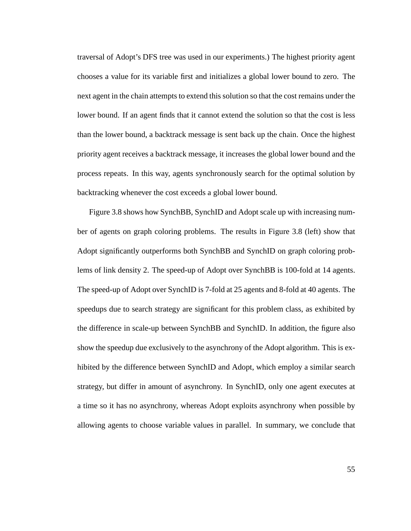traversal of Adopt's DFS tree was used in our experiments.) The highest priority agent chooses a value for its variable first and initializes a global lower bound to zero. The next agent in the chain attempts to extend this solution so that the cost remains under the lower bound. If an agent finds that it cannot extend the solution so that the cost is less than the lower bound, a backtrack message is sent back up the chain. Once the highest priority agent receives a backtrack message, it increases the global lower bound and the process repeats. In this way, agents synchronously search for the optimal solution by backtracking whenever the cost exceeds a global lower bound.

Figure 3.8 shows how SynchBB, SynchID and Adopt scale up with increasing number of agents on graph coloring problems. The results in Figure 3.8 (left) show that Adopt significantly outperforms both SynchBB and SynchID on graph coloring problems of link density 2. The speed-up of Adopt over SynchBB is 100-fold at 14 agents. The speed-up of Adopt over SynchID is 7-fold at 25 agents and 8-fold at 40 agents. The speedups due to search strategy are significant for this problem class, as exhibited by the difference in scale-up between SynchBB and SynchID. In addition, the figure also show the speedup due exclusively to the asynchrony of the Adopt algorithm. This is exhibited by the difference between SynchID and Adopt, which employ a similar search strategy, but differ in amount of asynchrony. In SynchID, only one agent executes at a time so it has no asynchrony, whereas Adopt exploits asynchrony when possible by allowing agents to choose variable values in parallel. In summary, we conclude that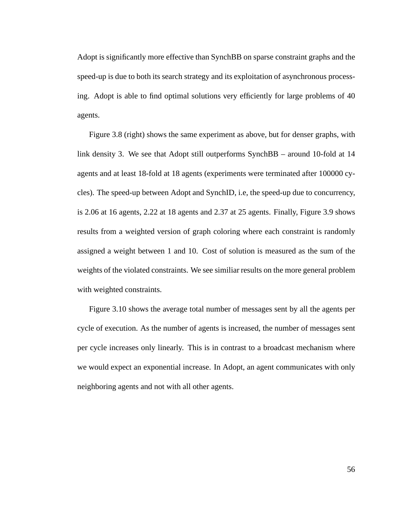Adopt is significantly more effective than SynchBB on sparse constraint graphs and the speed-up is due to both its search strategy and its exploitation of asynchronous processing. Adopt is able to find optimal solutions very efficiently for large problems of 40 agents.

Figure 3.8 (right) shows the same experiment as above, but for denser graphs, with link density 3. We see that Adopt still outperforms SynchBB – around 10-fold at 14 agents and at least 18-fold at 18 agents (experiments were terminated after 100000 cycles). The speed-up between Adopt and SynchID, i.e, the speed-up due to concurrency, is 2.06 at 16 agents, 2.22 at 18 agents and 2.37 at 25 agents. Finally, Figure 3.9 shows results from a weighted version of graph coloring where each constraint is randomly assigned a weight between 1 and 10. Cost of solution is measured as the sum of the weights of the violated constraints. We see similiar results on the more general problem with weighted constraints.

Figure 3.10 shows the average total number of messages sent by all the agents per cycle of execution. As the number of agents is increased, the number of messages sent per cycle increases only linearly. This is in contrast to a broadcast mechanism where we would expect an exponential increase. In Adopt, an agent communicates with only neighboring agents and not with all other agents.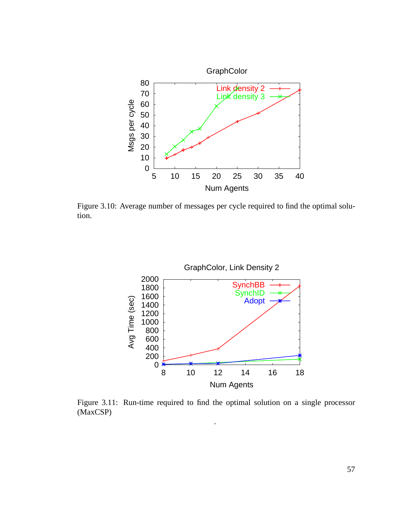

Figure 3.10: Average number of messages per cycle required to find the optimal solution.



Figure 3.11: Run-time required to find the optimal solution on a single processor (MaxCSP)

.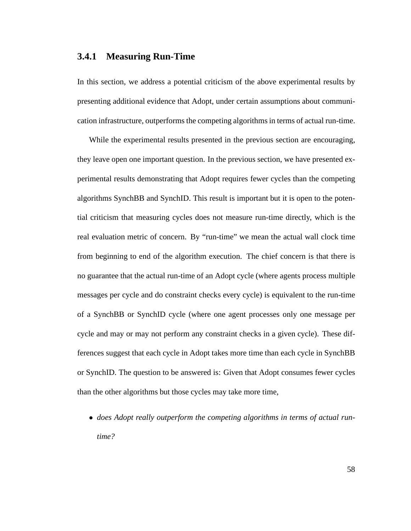# **3.4.1 Measuring Run-Time**

In this section, we address a potential criticism of the above experimental results by presenting additional evidence that Adopt, under certain assumptions about communication infrastructure, outperforms the competing algorithms in terms of actual run-time.

While the experimental results presented in the previous section are encouraging, they leave open one important question. In the previous section, we have presented experimental results demonstrating that Adopt requires fewer cycles than the competing algorithms SynchBB and SynchID. This result is important but it is open to the potential criticism that measuring cycles does not measure run-time directly, which is the real evaluation metric of concern. By "run-time" we mean the actual wall clock time from beginning to end of the algorithm execution. The chief concern is that there is no guarantee that the actual run-time of an Adopt cycle (where agents process multiple messages per cycle and do constraint checks every cycle) is equivalent to the run-time of a SynchBB or SynchID cycle (where one agent processes only one message per cycle and may or may not perform any constraint checks in a given cycle). These differences suggest that each cycle in Adopt takes more time than each cycle in SynchBB or SynchID. The question to be answered is: Given that Adopt consumes fewer cycles than the other algorithms but those cycles may take more time,

• *does Adopt really outperform the competing algorithms in terms of actual runtime?*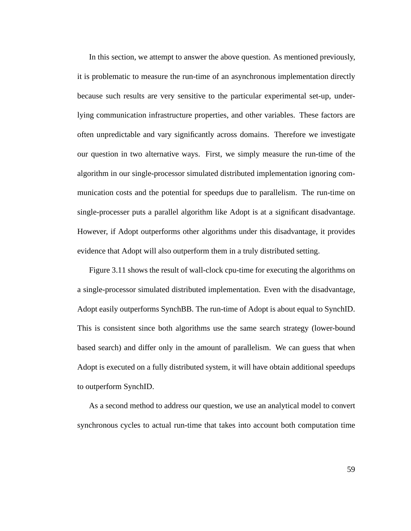In this section, we attempt to answer the above question. As mentioned previously, it is problematic to measure the run-time of an asynchronous implementation directly because such results are very sensitive to the particular experimental set-up, underlying communication infrastructure properties, and other variables. These factors are often unpredictable and vary significantly across domains. Therefore we investigate our question in two alternative ways. First, we simply measure the run-time of the algorithm in our single-processor simulated distributed implementation ignoring communication costs and the potential for speedups due to parallelism. The run-time on single-processer puts a parallel algorithm like Adopt is at a significant disadvantage. However, if Adopt outperforms other algorithms under this disadvantage, it provides evidence that Adopt will also outperform them in a truly distributed setting.

Figure 3.11 shows the result of wall-clock cpu-time for executing the algorithms on a single-processor simulated distributed implementation. Even with the disadvantage, Adopt easily outperforms SynchBB. The run-time of Adopt is about equal to SynchID. This is consistent since both algorithms use the same search strategy (lower-bound based search) and differ only in the amount of parallelism. We can guess that when Adopt is executed on a fully distributed system, it will have obtain additional speedups to outperform SynchID.

As a second method to address our question, we use an analytical model to convert synchronous cycles to actual run-time that takes into account both computation time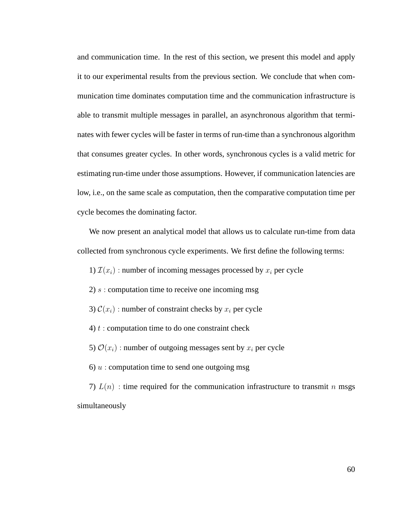and communication time. In the rest of this section, we present this model and apply it to our experimental results from the previous section. We conclude that when communication time dominates computation time and the communication infrastructure is able to transmit multiple messages in parallel, an asynchronous algorithm that terminates with fewer cycles will be faster in terms of run-time than a synchronous algorithm that consumes greater cycles. In other words, synchronous cycles is a valid metric for estimating run-time under those assumptions. However, if communication latencies are low, i.e., on the same scale as computation, then the comparative computation time per cycle becomes the dominating factor.

We now present an analytical model that allows us to calculate run-time from data collected from synchronous cycle experiments. We first define the following terms:

1)  $\mathcal{I}(x_i)$ : number of incoming messages processed by  $x_i$  per cycle

2)  $s$ : computation time to receive one incoming msg

3)  $\mathcal{C}(x_i)$ : number of constraint checks by  $x_i$  per cycle

4)  $t$  : computation time to do one constraint check

5)  $\mathcal{O}(x_i)$ : number of outgoing messages sent by  $x_i$  per cycle

6)  $u$  : computation time to send one outgoing msg

7)  $L(n)$ : time required for the communication infrastructure to transmit n msgs simultaneously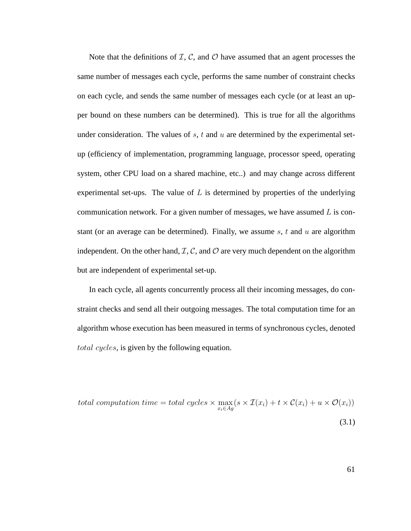Note that the definitions of  $I, C$ , and  $O$  have assumed that an agent processes the same number of messages each cycle, performs the same number of constraint checks on each cycle, and sends the same number of messages each cycle (or at least an upper bound on these numbers can be determined). This is true for all the algorithms under consideration. The values of  $s$ ,  $t$  and  $u$  are determined by the experimental setup (efficiency of implementation, programming language, processor speed, operating system, other CPU load on a shared machine, etc..) and may change across different experimental set-ups. The value of  $L$  is determined by properties of the underlying communication network. For a given number of messages, we have assumed  $L$  is constant (or an average can be determined). Finally, we assume s, t and u are algorithm independent. On the other hand,  $\mathcal{I}, \mathcal{C}$ , and  $\mathcal{O}$  are very much dependent on the algorithm but are independent of experimental set-up.

In each cycle, all agents concurrently process all their incoming messages, do constraint checks and send all their outgoing messages. The total computation time for an algorithm whose execution has been measured in terms of synchronous cycles, denoted total cycles, is given by the following equation.

total computation time = total cycles 
$$
\times \max_{x_i \in Ag} (s \times \mathcal{I}(x_i) + t \times \mathcal{C}(x_i) + u \times \mathcal{O}(x_i))
$$
  
(3.1)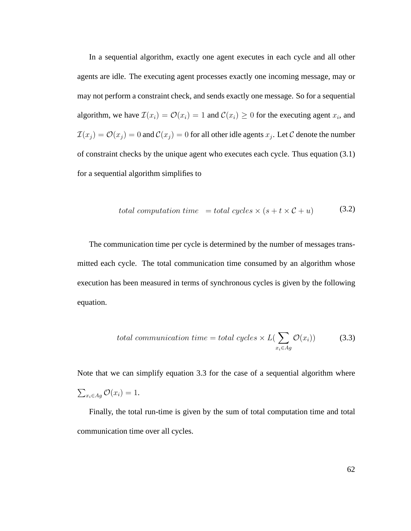In a sequential algorithm, exactly one agent executes in each cycle and all other agents are idle. The executing agent processes exactly one incoming message, may or may not perform a constraint check, and sends exactly one message. So for a sequential algorithm, we have  $\mathcal{I}(x_i) = \mathcal{O}(x_i) = 1$  and  $\mathcal{C}(x_i) \geq 0$  for the executing agent  $x_i$ , and  $\mathcal{I}(x_j) = \mathcal{O}(x_j) = 0$  and  $\mathcal{C}(x_j) = 0$  for all other idle agents  $x_j$ . Let  $\mathcal C$  denote the number of constraint checks by the unique agent who executes each cycle. Thus equation (3.1) for a sequential algorithm simplifies to

total computation time = total cycles 
$$
\times
$$
 (s + t  $\times$  C + u) (3.2)

The communication time per cycle is determined by the number of messages transmitted each cycle. The total communication time consumed by an algorithm whose execution has been measured in terms of synchronous cycles is given by the following equation.

total communication time = total cycles 
$$
\times L(\sum_{x_i \in Ag} \mathcal{O}(x_i))
$$
 (3.3)

Note that we can simplify equation 3.3 for the case of a sequential algorithm where  $\sum_{x_i \in Ag} \mathcal{O}(x_i) = 1.$ 

Finally, the total run-time is given by the sum of total computation time and total communication time over all cycles.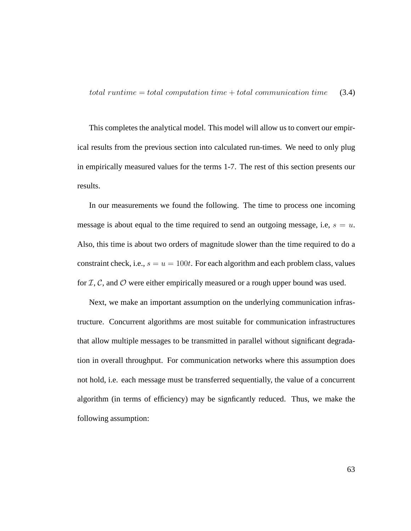This completes the analytical model. This model will allow us to convert our empirical results from the previous section into calculated run-times. We need to only plug in empirically measured values for the terms 1-7. The rest of this section presents our results.

In our measurements we found the following. The time to process one incoming message is about equal to the time required to send an outgoing message, i.e,  $s = u$ . Also, this time is about two orders of magnitude slower than the time required to do a constraint check, i.e.,  $s = u = 100t$ . For each algorithm and each problem class, values for  $I, C$ , and  $O$  were either empirically measured or a rough upper bound was used.

Next, we make an important assumption on the underlying communication infrastructure. Concurrent algorithms are most suitable for communication infrastructures that allow multiple messages to be transmitted in parallel without significant degradation in overall throughput. For communication networks where this assumption does not hold, i.e. each message must be transferred sequentially, the value of a concurrent algorithm (in terms of efficiency) may be signficantly reduced. Thus, we make the following assumption: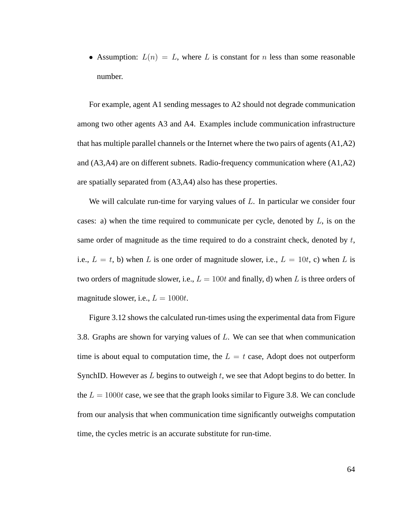• Assumption:  $L(n) = L$ , where L is constant for n less than some reasonable number.

For example, agent A1 sending messages to A2 should not degrade communication among two other agents A3 and A4. Examples include communication infrastructure that has multiple parallel channels or the Internet where the two pairs of agents (A1,A2) and (A3,A4) are on different subnets. Radio-frequency communication where (A1,A2) are spatially separated from (A3,A4) also has these properties.

We will calculate run-time for varying values of  $L$ . In particular we consider four cases: a) when the time required to communicate per cycle, denoted by  $L$ , is on the same order of magnitude as the time required to do a constraint check, denoted by  $t$ , i.e.,  $L = t$ , b) when L is one order of magnitude slower, i.e.,  $L = 10t$ , c) when L is two orders of magnitude slower, i.e.,  $L = 100t$  and finally, d) when L is three orders of magnitude slower, i.e.,  $L = 1000t$ .

Figure 3.12 shows the calculated run-times using the experimental data from Figure 3.8. Graphs are shown for varying values of L. We can see that when communication time is about equal to computation time, the  $L = t$  case, Adopt does not outperform SynchID. However as  $L$  begins to outweigh  $t$ , we see that Adopt begins to do better. In the  $L = 1000t$  case, we see that the graph looks similar to Figure 3.8. We can conclude from our analysis that when communication time significantly outweighs computation time, the cycles metric is an accurate substitute for run-time.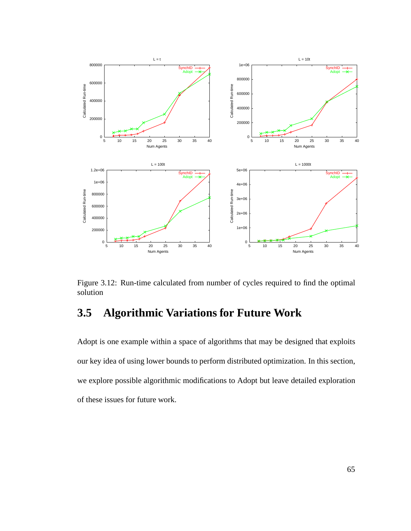

Figure 3.12: Run-time calculated from number of cycles required to find the optimal solution

# **3.5 Algorithmic Variations for Future Work**

Adopt is one example within a space of algorithms that may be designed that exploits our key idea of using lower bounds to perform distributed optimization. In this section, we explore possible algorithmic modifications to Adopt but leave detailed exploration of these issues for future work.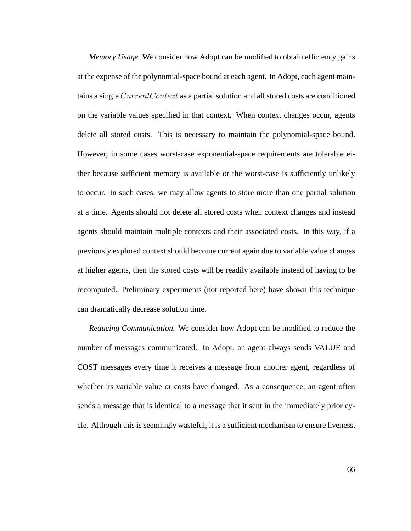*Memory Usage.* We consider how Adopt can be modified to obtain efficiency gains at the expense of the polynomial-space bound at each agent. In Adopt, each agent maintains a single CurrentContext as a partial solution and all stored costs are conditioned on the variable values specified in that context. When context changes occur, agents delete all stored costs. This is necessary to maintain the polynomial-space bound. However, in some cases worst-case exponential-space requirements are tolerable either because sufficient memory is available or the worst-case is sufficiently unlikely to occur. In such cases, we may allow agents to store more than one partial solution at a time. Agents should not delete all stored costs when context changes and instead agents should maintain multiple contexts and their associated costs. In this way, if a previously explored context should become current again due to variable value changes at higher agents, then the stored costs will be readily available instead of having to be recomputed. Preliminary experiments (not reported here) have shown this technique can dramatically decrease solution time.

*Reducing Communication.* We consider how Adopt can be modified to reduce the number of messages communicated. In Adopt, an agent always sends VALUE and COST messages every time it receives a message from another agent, regardless of whether its variable value or costs have changed. As a consequence, an agent often sends a message that is identical to a message that it sent in the immediately prior cycle. Although this is seemingly wasteful, it is a sufficient mechanism to ensure liveness.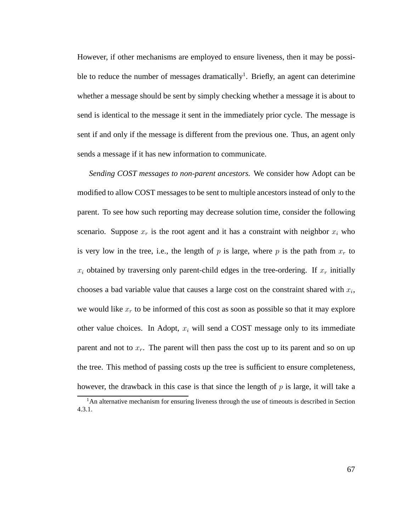However, if other mechanisms are employed to ensure liveness, then it may be possible to reduce the number of messages dramatically<sup>1</sup>. Briefly, an agent can deterimine whether a message should be sent by simply checking whether a message it is about to send is identical to the message it sent in the immediately prior cycle. The message is sent if and only if the message is different from the previous one. Thus, an agent only sends a message if it has new information to communicate.

*Sending COST messages to non-parent ancestors.* We consider how Adopt can be modified to allow COST messages to be sent to multiple ancestors instead of only to the parent. To see how such reporting may decrease solution time, consider the following scenario. Suppose  $x_r$  is the root agent and it has a constraint with neighbor  $x_i$  who is very low in the tree, i.e., the length of p is large, where p is the path from  $x_r$  to  $x_i$  obtained by traversing only parent-child edges in the tree-ordering. If  $x_r$  initially chooses a bad variable value that causes a large cost on the constraint shared with  $x_i$ , we would like  $x_r$  to be informed of this cost as soon as possible so that it may explore other value choices. In Adopt,  $x_i$  will send a COST message only to its immediate parent and not to  $x_r$ . The parent will then pass the cost up to its parent and so on up the tree. This method of passing costs up the tree is sufficient to ensure completeness, however, the drawback in this case is that since the length of  $p$  is large, it will take a

<sup>&</sup>lt;sup>1</sup>An alternative mechanism for ensuring liveness through the use of timeouts is described in Section 4.3.1.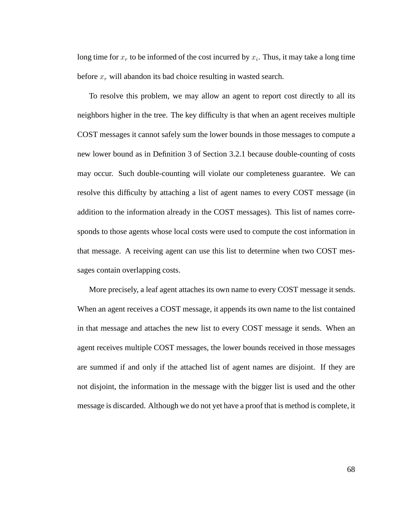long time for  $x_r$  to be informed of the cost incurred by  $x_i$ . Thus, it may take a long time before  $x_r$  will abandon its bad choice resulting in wasted search.

To resolve this problem, we may allow an agent to report cost directly to all its neighbors higher in the tree. The key difficulty is that when an agent receives multiple COST messages it cannot safely sum the lower bounds in those messages to compute a new lower bound as in Definition 3 of Section 3.2.1 because double-counting of costs may occur. Such double-counting will violate our completeness guarantee. We can resolve this difficulty by attaching a list of agent names to every COST message (in addition to the information already in the COST messages). This list of names corresponds to those agents whose local costs were used to compute the cost information in that message. A receiving agent can use this list to determine when two COST messages contain overlapping costs.

More precisely, a leaf agent attaches its own name to every COST message it sends. When an agent receives a COST message, it appends its own name to the list contained in that message and attaches the new list to every COST message it sends. When an agent receives multiple COST messages, the lower bounds received in those messages are summed if and only if the attached list of agent names are disjoint. If they are not disjoint, the information in the message with the bigger list is used and the other message is discarded. Although we do not yet have a proof that is method is complete, it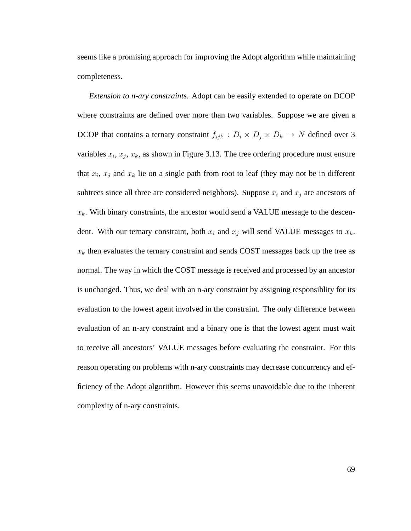seems like a promising approach for improving the Adopt algorithm while maintaining completeness.

*Extension to n-ary constraints.* Adopt can be easily extended to operate on DCOP where constraints are defined over more than two variables. Suppose we are given a DCOP that contains a ternary constraint  $f_{ijk}$  :  $D_i \times D_j \times D_k \to N$  defined over 3 variables  $x_i$ ,  $x_j$ ,  $x_k$ , as shown in Figure 3.13. The tree ordering procedure must ensure that  $x_i$ ,  $x_j$  and  $x_k$  lie on a single path from root to leaf (they may not be in different subtrees since all three are considered neighbors). Suppose  $x_i$  and  $x_j$  are ancestors of  $x_k$ . With binary constraints, the ancestor would send a VALUE message to the descendent. With our ternary constraint, both  $x_i$  and  $x_j$  will send VALUE messages to  $x_k$ .  $x_k$  then evaluates the ternary constraint and sends COST messages back up the tree as normal. The way in which the COST message is received and processed by an ancestor is unchanged. Thus, we deal with an n-ary constraint by assigning responsiblity for its evaluation to the lowest agent involved in the constraint. The only difference between evaluation of an n-ary constraint and a binary one is that the lowest agent must wait to receive all ancestors' VALUE messages before evaluating the constraint. For this reason operating on problems with n-ary constraints may decrease concurrency and efficiency of the Adopt algorithm. However this seems unavoidable due to the inherent complexity of n-ary constraints.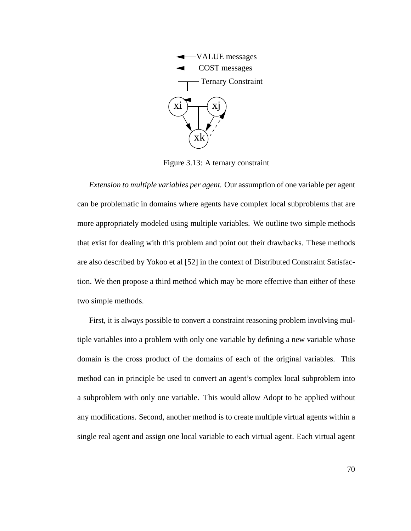

Figure 3.13: A ternary constraint

*Extension to multiple variables per agent.* Our assumption of one variable per agent can be problematic in domains where agents have complex local subproblems that are more appropriately modeled using multiple variables. We outline two simple methods that exist for dealing with this problem and point out their drawbacks. These methods are also described by Yokoo et al [52] in the context of Distributed Constraint Satisfaction. We then propose a third method which may be more effective than either of these two simple methods.

First, it is always possible to convert a constraint reasoning problem involving multiple variables into a problem with only one variable by defining a new variable whose domain is the cross product of the domains of each of the original variables. This method can in principle be used to convert an agent's complex local subproblem into a subproblem with only one variable. This would allow Adopt to be applied without any modifications. Second, another method is to create multiple virtual agents within a single real agent and assign one local variable to each virtual agent. Each virtual agent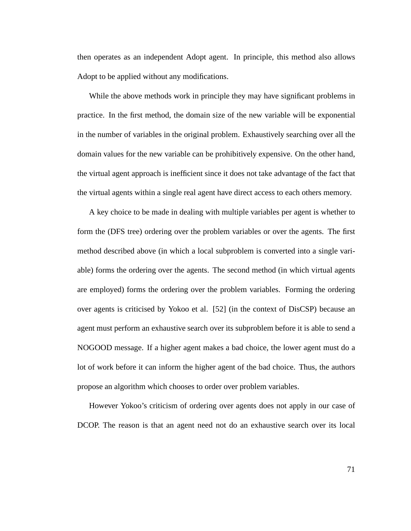then operates as an independent Adopt agent. In principle, this method also allows Adopt to be applied without any modifications.

While the above methods work in principle they may have significant problems in practice. In the first method, the domain size of the new variable will be exponential in the number of variables in the original problem. Exhaustively searching over all the domain values for the new variable can be prohibitively expensive. On the other hand, the virtual agent approach is inefficient since it does not take advantage of the fact that the virtual agents within a single real agent have direct access to each others memory.

A key choice to be made in dealing with multiple variables per agent is whether to form the (DFS tree) ordering over the problem variables or over the agents. The first method described above (in which a local subproblem is converted into a single variable) forms the ordering over the agents. The second method (in which virtual agents are employed) forms the ordering over the problem variables. Forming the ordering over agents is criticised by Yokoo et al. [52] (in the context of DisCSP) because an agent must perform an exhaustive search over its subproblem before it is able to send a NOGOOD message. If a higher agent makes a bad choice, the lower agent must do a lot of work before it can inform the higher agent of the bad choice. Thus, the authors propose an algorithm which chooses to order over problem variables.

However Yokoo's criticism of ordering over agents does not apply in our case of DCOP. The reason is that an agent need not do an exhaustive search over its local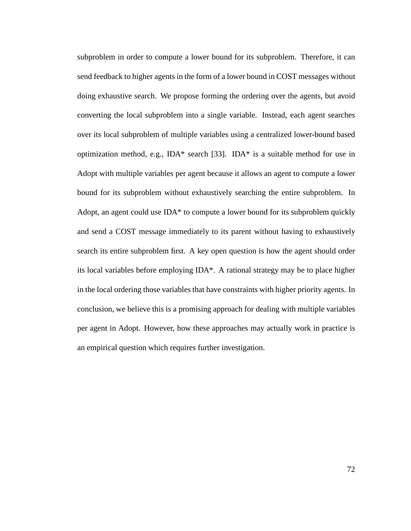subproblem in order to compute a lower bound for its subproblem. Therefore, it can send feedback to higher agents in the form of a lower bound in COST messages without doing exhaustive search. We propose forming the ordering over the agents, but avoid converting the local subproblem into a single variable. Instead, each agent searches over its local subproblem of multiple variables using a centralized lower-bound based optimization method, e.g., IDA\* search [33]. IDA\* is a suitable method for use in Adopt with multiple variables per agent because it allows an agent to compute a lower bound for its subproblem without exhaustively searching the entire subproblem. In Adopt, an agent could use IDA\* to compute a lower bound for its subproblem quickly and send a COST message immediately to its parent without having to exhaustively search its entire subproblem first. A key open question is how the agent should order its local variables before employing IDA\*. A rational strategy may be to place higher in the local ordering those variables that have constraints with higher priority agents. In conclusion, we believe this is a promising approach for dealing with multiple variables per agent in Adopt. However, how these approaches may actually work in practice is an empirical question which requires further investigation.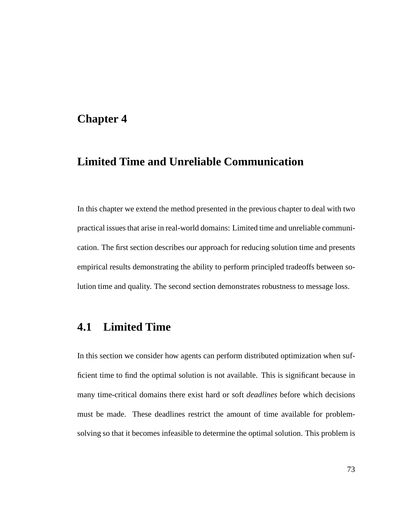# **Chapter 4**

# **Limited Time and Unreliable Communication**

In this chapter we extend the method presented in the previous chapter to deal with two practical issues that arise in real-world domains: Limited time and unreliable communication. The first section describes our approach for reducing solution time and presents empirical results demonstrating the ability to perform principled tradeoffs between solution time and quality. The second section demonstrates robustness to message loss.

# **4.1 Limited Time**

In this section we consider how agents can perform distributed optimization when sufficient time to find the optimal solution is not available. This is significant because in many time-critical domains there exist hard or soft *deadlines* before which decisions must be made. These deadlines restrict the amount of time available for problemsolving so that it becomes infeasible to determine the optimal solution. This problem is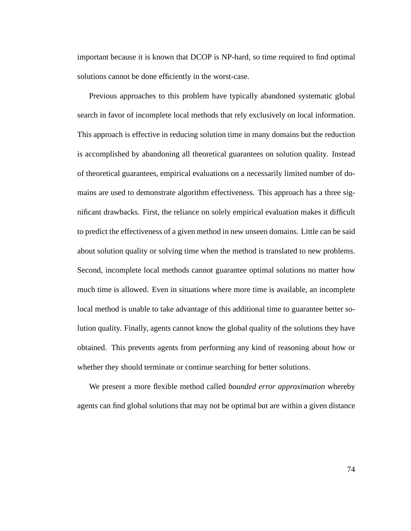important because it is known that DCOP is NP-hard, so time required to find optimal solutions cannot be done efficiently in the worst-case.

Previous approaches to this problem have typically abandoned systematic global search in favor of incomplete local methods that rely exclusively on local information. This approach is effective in reducing solution time in many domains but the reduction is accomplished by abandoning all theoretical guarantees on solution quality. Instead of theoretical guarantees, empirical evaluations on a necessarily limited number of domains are used to demonstrate algorithm effectiveness. This approach has a three significant drawbacks. First, the reliance on solely empirical evaluation makes it difficult to predict the effectiveness of a given method in new unseen domains. Little can be said about solution quality or solving time when the method is translated to new problems. Second, incomplete local methods cannot guarantee optimal solutions no matter how much time is allowed. Even in situations where more time is available, an incomplete local method is unable to take advantage of this additional time to guarantee better solution quality. Finally, agents cannot know the global quality of the solutions they have obtained. This prevents agents from performing any kind of reasoning about how or whether they should terminate or continue searching for better solutions.

We present a more flexible method called *bounded error approximation* whereby agents can find global solutions that may not be optimal but are within a given distance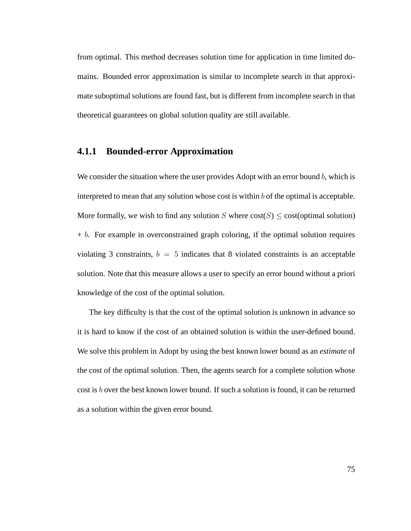from optimal. This method decreases solution time for application in time limited domains. Bounded error approximation is similar to incomplete search in that approximate suboptimal solutions are found fast, but is different from incomplete search in that theoretical guarantees on global solution quality are still available.

#### **4.1.1 Bounded-error Approximation**

We consider the situation where the user provides Adopt with an error bound  $b$ , which is interpreted to mean that any solution whose cost is within  $b$  of the optimal is acceptable. More formally, we wish to find any solution S where  $cost(S) \leq cost($ optimal solution)  $+ b$ . For example in overconstrained graph coloring, if the optimal solution requires violating 3 constraints,  $b = 5$  indicates that 8 violated constraints is an acceptable solution. Note that this measure allows a user to specify an error bound without a priori knowledge of the cost of the optimal solution.

The key difficulty is that the cost of the optimal solution is unknown in advance so it is hard to know if the cost of an obtained solution is within the user-defined bound. We solve this problem in Adopt by using the best known lower bound as an *estimate* of the cost of the optimal solution. Then, the agents search for a complete solution whose cost is b over the best known lower bound. If such a solution is found, it can be returned as a solution within the given error bound.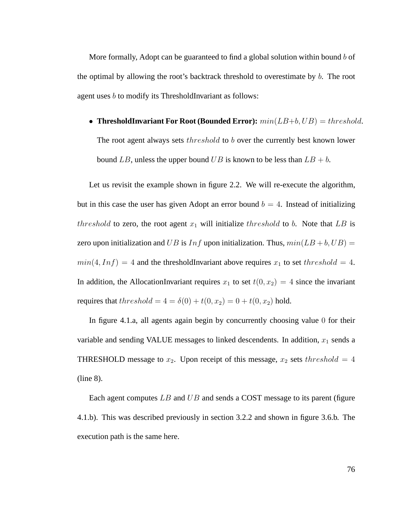More formally, Adopt can be guaranteed to find a global solution within bound  $b$  of the optimal by allowing the root's backtrack threshold to overestimate by b. The root agent uses b to modify its ThresholdInvariant as follows:

• **ThresholdInvariant For Root (Bounded Error):**  $min(LB+b, UB) = threshold$ . The root agent always sets *threshold* to b over the currently best known lower bound LB, unless the upper bound UB is known to be less than  $LB + b$ .

Let us revisit the example shown in figure 2.2. We will re-execute the algorithm, but in this case the user has given Adopt an error bound  $b = 4$ . Instead of initializing threshold to zero, the root agent  $x_1$  will initialize threshold to b. Note that LB is zero upon initialization and UB is  $Inf$  upon initialization. Thus,  $min(LB + b, UB) =$  $min(4, Inf) = 4$  and the thresholdInvariant above requires  $x_1$  to set threshold = 4. In addition, the AllocationInvariant requires  $x_1$  to set  $t(0, x_2) = 4$  since the invariant requires that threshold =  $4 = \delta(0) + t(0, x_2) = 0 + t(0, x_2)$  hold.

In figure 4.1.a, all agents again begin by concurrently choosing value 0 for their variable and sending VALUE messages to linked descendents. In addition,  $x_1$  sends a THRESHOLD message to  $x_2$ . Upon receipt of this message,  $x_2$  sets threshold = 4 (line 8).

Each agent computes  $LB$  and  $UB$  and sends a COST message to its parent (figure 4.1.b). This was described previously in section 3.2.2 and shown in figure 3.6.b. The execution path is the same here.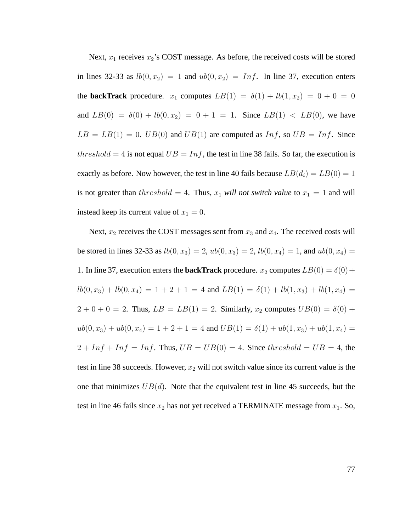Next,  $x_1$  receives  $x_2$ 's COST message. As before, the received costs will be stored in lines 32-33 as  $lb(0, x_2) = 1$  and  $ub(0, x_2) = Inf$ . In line 37, execution enters the **backTrack** procedure.  $x_1$  computes  $LB(1) = \delta(1) + lb(1, x_2) = 0 + 0 = 0$ and  $LB(0) = \delta(0) + lb(0, x_2) = 0 + 1 = 1$ . Since  $LB(1) < LB(0)$ , we have  $LB = LB(1) = 0$ .  $UB(0)$  and  $UB(1)$  are computed as  $Inf$ , so  $UB = Inf$ . Since threshold = 4 is not equal  $UB = Inf$ , the test in line 38 fails. So far, the execution is exactly as before. Now however, the test in line 40 fails because  $LB(d_i) = LB(0) = 1$ is not greater than  $threshold = 4$ . Thus,  $x_1$  *will not switch value* to  $x_1 = 1$  and will instead keep its current value of  $x_1 = 0$ .

Next,  $x_2$  receives the COST messages sent from  $x_3$  and  $x_4$ . The received costs will be stored in lines 32-33 as  $lb(0, x_3) = 2$ ,  $ub(0, x_3) = 2$ ,  $lb(0, x_4) = 1$ , and  $ub(0, x_4) =$ 1. In line 37, execution enters the **backTrack** procedure.  $x_2$  computes  $LB(0) = \delta(0) +$  $lb(0, x_3) + lb(0, x_4) = 1 + 2 + 1 = 4$  and  $LB(1) = \delta(1) + lb(1, x_3) + lb(1, x_4) =$  $2 + 0 + 0 = 2$ . Thus,  $LB = LB(1) = 2$ . Similarly,  $x_2$  computes  $UB(0) = \delta(0) +$  $ub(0, x_3) + ub(0, x_4) = 1 + 2 + 1 = 4$  and  $UB(1) = \delta(1) + ub(1, x_3) + ub(1, x_4) =$  $2 + Inf + Inf = Inf$ . Thus,  $UB = UB(0) = 4$ . Since threshold =  $UB = 4$ , the test in line 38 succeeds. However,  $x_2$  will not switch value since its current value is the one that minimizes  $UB(d)$ . Note that the equivalent test in line 45 succeeds, but the test in line 46 fails since  $x_2$  has not yet received a TERMINATE message from  $x_1$ . So,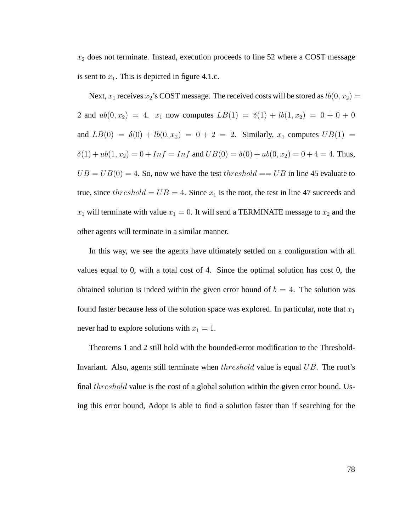$x_2$  does not terminate. Instead, execution proceeds to line 52 where a COST message is sent to  $x_1$ . This is depicted in figure 4.1.c.

Next,  $x_1$  receives  $x_2$ 's COST message. The received costs will be stored as  $lb(0, x_2) =$ 2 and  $ub(0, x_2) = 4$ .  $x_1$  now computes  $LB(1) = \delta(1) + lb(1, x_2) = 0 + 0 + 0$ and  $LB(0) = \delta(0) + lb(0, x_2) = 0 + 2 = 2$ . Similarly,  $x_1$  computes  $UB(1) =$  $\delta(1) + ub(1, x_2) = 0 + Inf = Inf$  and  $UB(0) = \delta(0) + ub(0, x_2) = 0 + 4 = 4$ . Thus,  $UB = UB(0) = 4$ . So, now we have the test threshold  $== UB$  in line 45 evaluate to true, since threshold =  $UB = 4$ . Since  $x_1$  is the root, the test in line 47 succeeds and  $x_1$  will terminate with value  $x_1 = 0$ . It will send a TERMINATE message to  $x_2$  and the other agents will terminate in a similar manner.

In this way, we see the agents have ultimately settled on a configuration with all values equal to 0, with a total cost of 4. Since the optimal solution has cost 0, the obtained solution is indeed within the given error bound of  $b = 4$ . The solution was found faster because less of the solution space was explored. In particular, note that  $x_1$ never had to explore solutions with  $x_1 = 1$ .

Theorems 1 and 2 still hold with the bounded-error modification to the Threshold-Invariant. Also, agents still terminate when threshold value is equal UB. The root's final threshold value is the cost of a global solution within the given error bound. Using this error bound, Adopt is able to find a solution faster than if searching for the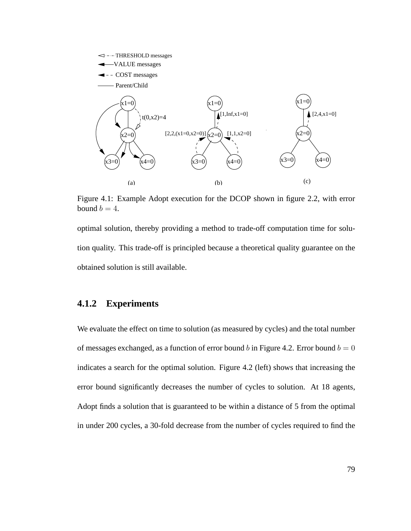

Figure 4.1: Example Adopt execution for the DCOP shown in figure 2.2, with error bound  $b = 4$ .

optimal solution, thereby providing a method to trade-off computation time for solution quality. This trade-off is principled because a theoretical quality guarantee on the obtained solution is still available.

### **4.1.2 Experiments**

We evaluate the effect on time to solution (as measured by cycles) and the total number of messages exchanged, as a function of error bound b in Figure 4.2. Error bound  $b = 0$ indicates a search for the optimal solution. Figure 4.2 (left) shows that increasing the error bound significantly decreases the number of cycles to solution. At 18 agents, Adopt finds a solution that is guaranteed to be within a distance of 5 from the optimal in under 200 cycles, a 30-fold decrease from the number of cycles required to find the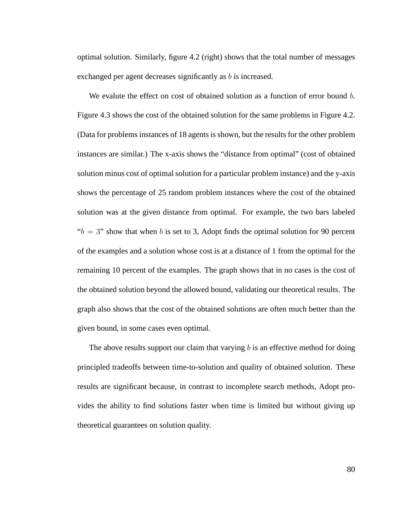optimal solution. Similarly, figure 4.2 (right) shows that the total number of messages exchanged per agent decreases significantly as b is increased.

We evalute the effect on cost of obtained solution as a function of error bound b. Figure 4.3 shows the cost of the obtained solution for the same problems in Figure 4.2. (Data for problems instances of 18 agents is shown, but the results for the other problem instances are similar.) The x-axis shows the "distance from optimal" (cost of obtained solution minus cost of optimal solution for a particular problem instance) and the y-axis shows the percentage of 25 random problem instances where the cost of the obtained solution was at the given distance from optimal. For example, the two bars labeled " $b = 3$ " show that when b is set to 3, Adopt finds the optimal solution for 90 percent of the examples and a solution whose cost is at a distance of 1 from the optimal for the remaining 10 percent of the examples. The graph shows that in no cases is the cost of the obtained solution beyond the allowed bound, validating our theoretical results. The graph also shows that the cost of the obtained solutions are often much better than the given bound, in some cases even optimal.

The above results support our claim that varying  $b$  is an effective method for doing principled tradeoffs between time-to-solution and quality of obtained solution. These results are significant because, in contrast to incomplete search methods, Adopt provides the ability to find solutions faster when time is limited but without giving up theoretical guarantees on solution quality.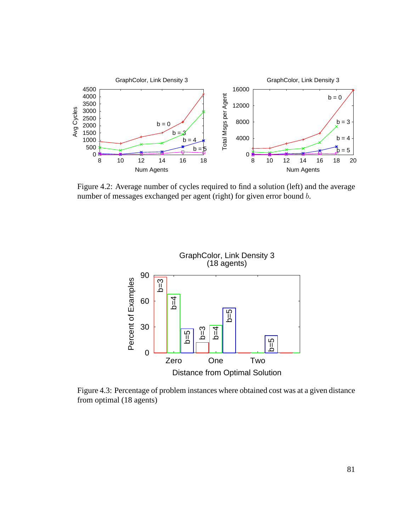

Figure 4.2: Average number of cycles required to find a solution (left) and the average number of messages exchanged per agent (right) for given error bound b.



Figure 4.3: Percentage of problem instances where obtained cost was at a given distance from optimal (18 agents)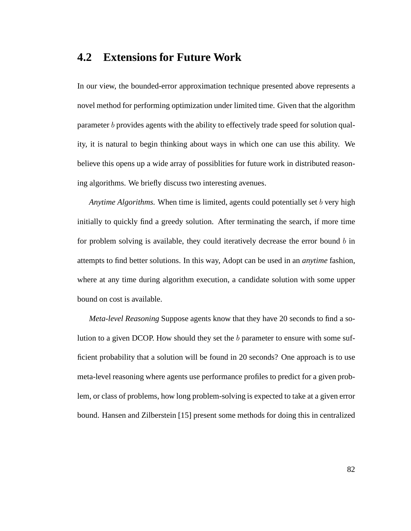# **4.2 Extensions for Future Work**

In our view, the bounded-error approximation technique presented above represents a novel method for performing optimization under limited time. Given that the algorithm parameter b provides agents with the ability to effectively trade speed for solution quality, it is natural to begin thinking about ways in which one can use this ability. We believe this opens up a wide array of possiblities for future work in distributed reasoning algorithms. We briefly discuss two interesting avenues.

*Anytime Algorithms.* When time is limited, agents could potentially set b very high initially to quickly find a greedy solution. After terminating the search, if more time for problem solving is available, they could iteratively decrease the error bound  $b$  in attempts to find better solutions. In this way, Adopt can be used in an *anytime* fashion, where at any time during algorithm execution, a candidate solution with some upper bound on cost is available.

*Meta-level Reasoning* Suppose agents know that they have 20 seconds to find a solution to a given DCOP. How should they set the b parameter to ensure with some sufficient probability that a solution will be found in 20 seconds? One approach is to use meta-level reasoning where agents use performance profiles to predict for a given problem, or class of problems, how long problem-solving is expected to take at a given error bound. Hansen and Zilberstein [15] present some methods for doing this in centralized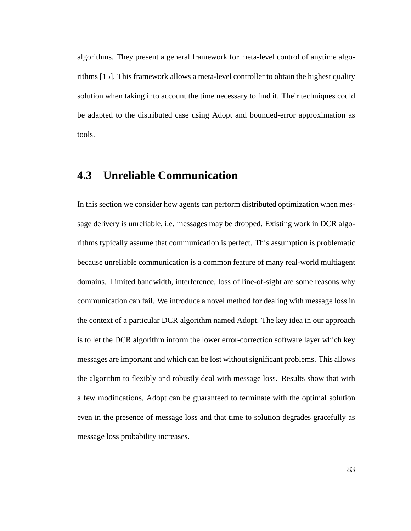algorithms. They present a general framework for meta-level control of anytime algorithms [15]. This framework allows a meta-level controller to obtain the highest quality solution when taking into account the time necessary to find it. Their techniques could be adapted to the distributed case using Adopt and bounded-error approximation as tools.

# **4.3 Unreliable Communication**

In this section we consider how agents can perform distributed optimization when message delivery is unreliable, i.e. messages may be dropped. Existing work in DCR algorithms typically assume that communication is perfect. This assumption is problematic because unreliable communication is a common feature of many real-world multiagent domains. Limited bandwidth, interference, loss of line-of-sight are some reasons why communication can fail. We introduce a novel method for dealing with message loss in the context of a particular DCR algorithm named Adopt. The key idea in our approach is to let the DCR algorithm inform the lower error-correction software layer which key messages are important and which can be lost without significant problems. This allows the algorithm to flexibly and robustly deal with message loss. Results show that with a few modifications, Adopt can be guaranteed to terminate with the optimal solution even in the presence of message loss and that time to solution degrades gracefully as message loss probability increases.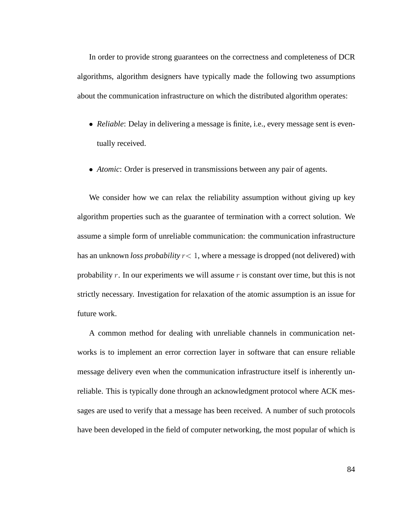In order to provide strong guarantees on the correctness and completeness of DCR algorithms, algorithm designers have typically made the following two assumptions about the communication infrastructure on which the distributed algorithm operates:

- *Reliable*: Delay in delivering a message is finite, i.e., every message sent is eventually received.
- *Atomic*: Order is preserved in transmissions between any pair of agents.

We consider how we can relax the reliability assumption without giving up key algorithm properties such as the guarantee of termination with a correct solution. We assume a simple form of unreliable communication: the communication infrastructure has an unknown *loss probability* r< 1, where a message is dropped (not delivered) with probability r. In our experiments we will assume r is constant over time, but this is not strictly necessary. Investigation for relaxation of the atomic assumption is an issue for future work.

A common method for dealing with unreliable channels in communication networks is to implement an error correction layer in software that can ensure reliable message delivery even when the communication infrastructure itself is inherently unreliable. This is typically done through an acknowledgment protocol where ACK messages are used to verify that a message has been received. A number of such protocols have been developed in the field of computer networking, the most popular of which is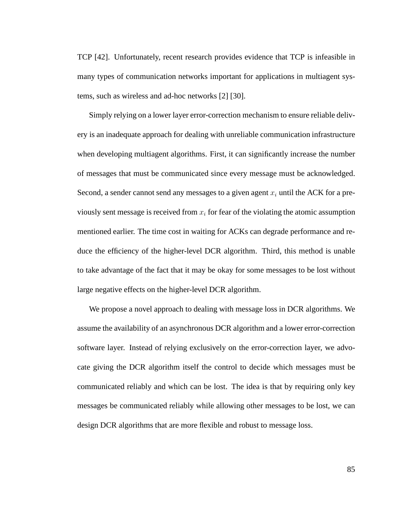TCP [42]. Unfortunately, recent research provides evidence that TCP is infeasible in many types of communication networks important for applications in multiagent systems, such as wireless and ad-hoc networks [2] [30].

Simply relying on a lower layer error-correction mechanism to ensure reliable delivery is an inadequate approach for dealing with unreliable communication infrastructure when developing multiagent algorithms. First, it can significantly increase the number of messages that must be communicated since every message must be acknowledged. Second, a sender cannot send any messages to a given agent  $x_i$  until the ACK for a previously sent message is received from  $x_i$  for fear of the violating the atomic assumption mentioned earlier. The time cost in waiting for ACKs can degrade performance and reduce the efficiency of the higher-level DCR algorithm. Third, this method is unable to take advantage of the fact that it may be okay for some messages to be lost without large negative effects on the higher-level DCR algorithm.

We propose a novel approach to dealing with message loss in DCR algorithms. We assume the availability of an asynchronous DCR algorithm and a lower error-correction software layer. Instead of relying exclusively on the error-correction layer, we advocate giving the DCR algorithm itself the control to decide which messages must be communicated reliably and which can be lost. The idea is that by requiring only key messages be communicated reliably while allowing other messages to be lost, we can design DCR algorithms that are more flexible and robust to message loss.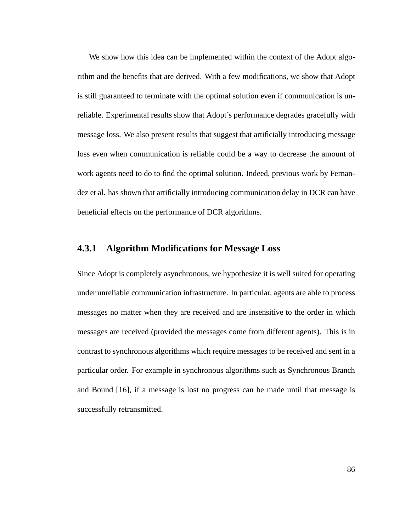We show how this idea can be implemented within the context of the Adopt algorithm and the benefits that are derived. With a few modifications, we show that Adopt is still guaranteed to terminate with the optimal solution even if communication is unreliable. Experimental results show that Adopt's performance degrades gracefully with message loss. We also present results that suggest that artificially introducing message loss even when communication is reliable could be a way to decrease the amount of work agents need to do to find the optimal solution. Indeed, previous work by Fernandez et al. has shown that artificially introducing communication delay in DCR can have beneficial effects on the performance of DCR algorithms.

#### **4.3.1 Algorithm Modifications for Message Loss**

Since Adopt is completely asynchronous, we hypothesize it is well suited for operating under unreliable communication infrastructure. In particular, agents are able to process messages no matter when they are received and are insensitive to the order in which messages are received (provided the messages come from different agents). This is in contrast to synchronous algorithms which require messages to be received and sent in a particular order. For example in synchronous algorithms such as Synchronous Branch and Bound [16], if a message is lost no progress can be made until that message is successfully retransmitted.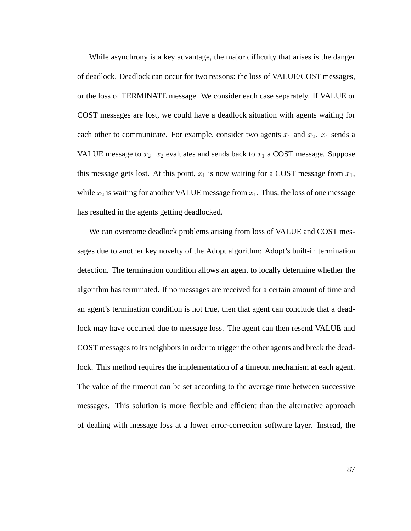While asynchrony is a key advantage, the major difficulty that arises is the danger of deadlock. Deadlock can occur for two reasons: the loss of VALUE/COST messages, or the loss of TERMINATE message. We consider each case separately. If VALUE or COST messages are lost, we could have a deadlock situation with agents waiting for each other to communicate. For example, consider two agents  $x_1$  and  $x_2$ .  $x_1$  sends a VALUE message to  $x_2$ .  $x_2$  evaluates and sends back to  $x_1$  a COST message. Suppose this message gets lost. At this point,  $x_1$  is now waiting for a COST message from  $x_1$ , while  $x_2$  is waiting for another VALUE message from  $x_1$ . Thus, the loss of one message has resulted in the agents getting deadlocked.

We can overcome deadlock problems arising from loss of VALUE and COST messages due to another key novelty of the Adopt algorithm: Adopt's built-in termination detection. The termination condition allows an agent to locally determine whether the algorithm has terminated. If no messages are received for a certain amount of time and an agent's termination condition is not true, then that agent can conclude that a deadlock may have occurred due to message loss. The agent can then resend VALUE and COST messages to its neighbors in order to trigger the other agents and break the deadlock. This method requires the implementation of a timeout mechanism at each agent. The value of the timeout can be set according to the average time between successive messages. This solution is more flexible and efficient than the alternative approach of dealing with message loss at a lower error-correction software layer. Instead, the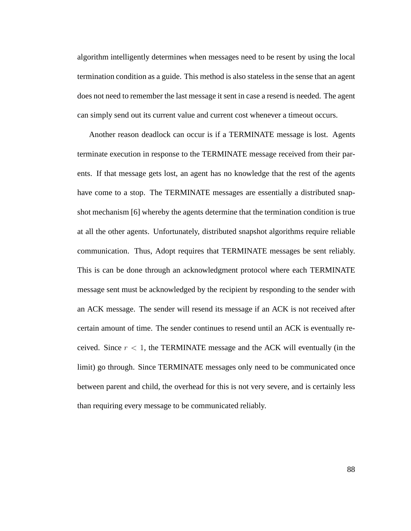algorithm intelligently determines when messages need to be resent by using the local termination condition as a guide. This method is also stateless in the sense that an agent does not need to remember the last message it sent in case a resend is needed. The agent can simply send out its current value and current cost whenever a timeout occurs.

Another reason deadlock can occur is if a TERMINATE message is lost. Agents terminate execution in response to the TERMINATE message received from their parents. If that message gets lost, an agent has no knowledge that the rest of the agents have come to a stop. The TERMINATE messages are essentially a distributed snapshot mechanism [6] whereby the agents determine that the termination condition is true at all the other agents. Unfortunately, distributed snapshot algorithms require reliable communication. Thus, Adopt requires that TERMINATE messages be sent reliably. This is can be done through an acknowledgment protocol where each TERMINATE message sent must be acknowledged by the recipient by responding to the sender with an ACK message. The sender will resend its message if an ACK is not received after certain amount of time. The sender continues to resend until an ACK is eventually received. Since  $r < 1$ , the TERMINATE message and the ACK will eventually (in the limit) go through. Since TERMINATE messages only need to be communicated once between parent and child, the overhead for this is not very severe, and is certainly less than requiring every message to be communicated reliably.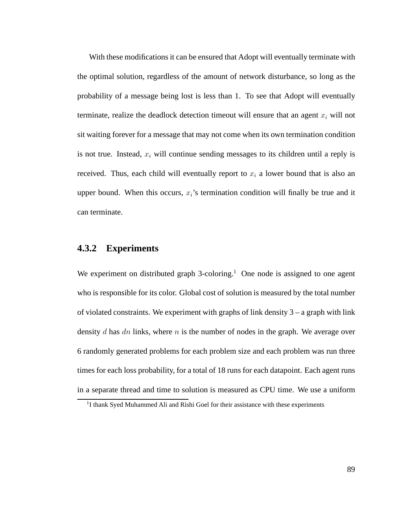With these modifications it can be ensured that Adopt will eventually terminate with the optimal solution, regardless of the amount of network disturbance, so long as the probability of a message being lost is less than 1. To see that Adopt will eventually terminate, realize the deadlock detection timeout will ensure that an agent  $x_i$  will not sit waiting forever for a message that may not come when its own termination condition is not true. Instead,  $x_i$  will continue sending messages to its children until a reply is received. Thus, each child will eventually report to  $x_i$  a lower bound that is also an upper bound. When this occurs,  $x_i$ 's termination condition will finally be true and it can terminate.

#### **4.3.2 Experiments**

We experiment on distributed graph  $3$ -coloring.<sup>1</sup> One node is assigned to one agent who is responsible for its color. Global cost of solution is measured by the total number of violated constraints. We experiment with graphs of link density  $3 - a$  graph with link density  $d$  has  $dn$  links, where  $n$  is the number of nodes in the graph. We average over 6 randomly generated problems for each problem size and each problem was run three times for each loss probability, for a total of 18 runs for each datapoint. Each agent runs in a separate thread and time to solution is measured as CPU time. We use a uniform

<sup>&</sup>lt;sup>1</sup>I thank Syed Muhammed Ali and Rishi Goel for their assistance with these experiments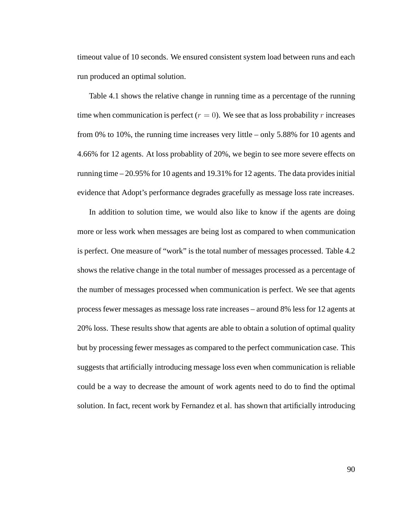timeout value of 10 seconds. We ensured consistent system load between runs and each run produced an optimal solution.

Table 4.1 shows the relative change in running time as a percentage of the running time when communication is perfect  $(r = 0)$ . We see that as loss probability r increases from 0% to 10%, the running time increases very little – only 5.88% for 10 agents and 4.66% for 12 agents. At loss probablity of 20%, we begin to see more severe effects on running time – 20.95% for 10 agents and 19.31% for 12 agents. The data provides initial evidence that Adopt's performance degrades gracefully as message loss rate increases.

In addition to solution time, we would also like to know if the agents are doing more or less work when messages are being lost as compared to when communication is perfect. One measure of "work" is the total number of messages processed. Table 4.2 shows the relative change in the total number of messages processed as a percentage of the number of messages processed when communication is perfect. We see that agents process fewer messages as message loss rate increases – around 8% less for 12 agents at 20% loss. These results show that agents are able to obtain a solution of optimal quality but by processing fewer messages as compared to the perfect communication case. This suggests that artificially introducing message loss even when communication is reliable could be a way to decrease the amount of work agents need to do to find the optimal solution. In fact, recent work by Fernandez et al. has shown that artificially introducing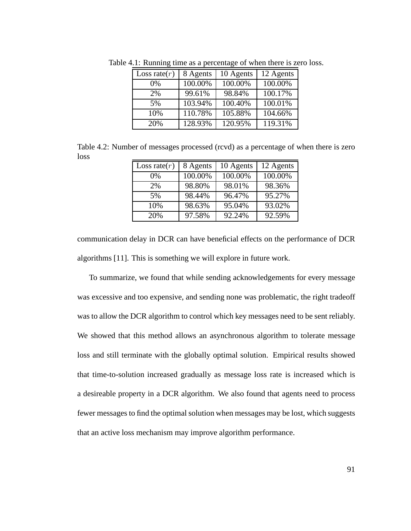| Loss rate $(r)$ | 8 Agents | 10 Agents | 12 Agents |
|-----------------|----------|-----------|-----------|
| $0\%$           | 100.00%  | 100.00%   | 100.00%   |
| 2%              | 99.61%   | 98.84%    | 100.17%   |
| 5%              | 103.94%  | 100.40%   | 100.01%   |
| 10%             | 110.78%  | 105.88%   | 104.66%   |
| 20%             | 128.93%  | 120.95%   | 119.31%   |

Table 4.1: Running time as a percentage of when there is zero loss.

Table 4.2: Number of messages processed (rcvd) as a percentage of when there is zero loss

| Loss rate $(r)$ | 8 Agents | 10 Agents | 12 Agents |
|-----------------|----------|-----------|-----------|
| $0\%$           | 100.00%  | 100.00%   | 100.00%   |
| 2%              | 98.80%   | 98.01%    | 98.36%    |
| 5%              | 98.44%   | 96.47%    | 95.27%    |
| 10%             | 98.63%   | 95.04%    | 93.02%    |
| 20%             | 97.58%   | 92.24%    | 92.59%    |

communication delay in DCR can have beneficial effects on the performance of DCR algorithms [11]. This is something we will explore in future work.

To summarize, we found that while sending acknowledgements for every message was excessive and too expensive, and sending none was problematic, the right tradeoff was to allow the DCR algorithm to control which key messages need to be sent reliably. We showed that this method allows an asynchronous algorithm to tolerate message loss and still terminate with the globally optimal solution. Empirical results showed that time-to-solution increased gradually as message loss rate is increased which is a desireable property in a DCR algorithm. We also found that agents need to process fewer messages to find the optimal solution when messages may be lost, which suggests that an active loss mechanism may improve algorithm performance.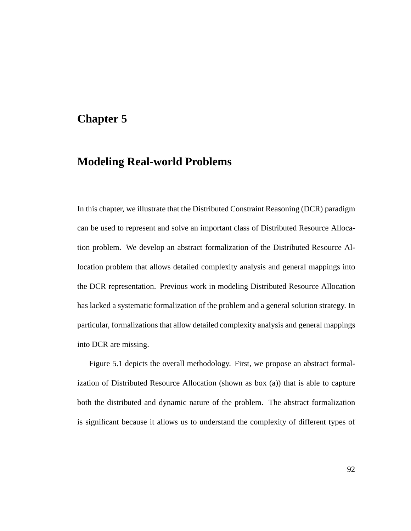# **Chapter 5**

### **Modeling Real-world Problems**

In this chapter, we illustrate that the Distributed Constraint Reasoning (DCR) paradigm can be used to represent and solve an important class of Distributed Resource Allocation problem. We develop an abstract formalization of the Distributed Resource Allocation problem that allows detailed complexity analysis and general mappings into the DCR representation. Previous work in modeling Distributed Resource Allocation has lacked a systematic formalization of the problem and a general solution strategy. In particular, formalizations that allow detailed complexity analysis and general mappings into DCR are missing.

Figure 5.1 depicts the overall methodology. First, we propose an abstract formalization of Distributed Resource Allocation (shown as box (a)) that is able to capture both the distributed and dynamic nature of the problem. The abstract formalization is significant because it allows us to understand the complexity of different types of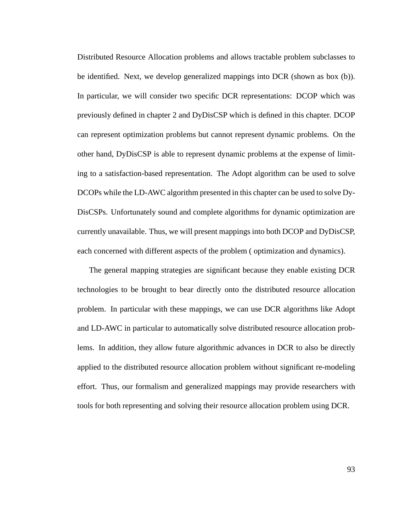Distributed Resource Allocation problems and allows tractable problem subclasses to be identified. Next, we develop generalized mappings into DCR (shown as box (b)). In particular, we will consider two specific DCR representations: DCOP which was previously defined in chapter 2 and DyDisCSP which is defined in this chapter. DCOP can represent optimization problems but cannot represent dynamic problems. On the other hand, DyDisCSP is able to represent dynamic problems at the expense of limiting to a satisfaction-based representation. The Adopt algorithm can be used to solve DCOPs while the LD-AWC algorithm presented in this chapter can be used to solve Dy-DisCSPs. Unfortunately sound and complete algorithms for dynamic optimization are currently unavailable. Thus, we will present mappings into both DCOP and DyDisCSP, each concerned with different aspects of the problem ( optimization and dynamics).

The general mapping strategies are significant because they enable existing DCR technologies to be brought to bear directly onto the distributed resource allocation problem. In particular with these mappings, we can use DCR algorithms like Adopt and LD-AWC in particular to automatically solve distributed resource allocation problems. In addition, they allow future algorithmic advances in DCR to also be directly applied to the distributed resource allocation problem without significant re-modeling effort. Thus, our formalism and generalized mappings may provide researchers with tools for both representing and solving their resource allocation problem using DCR.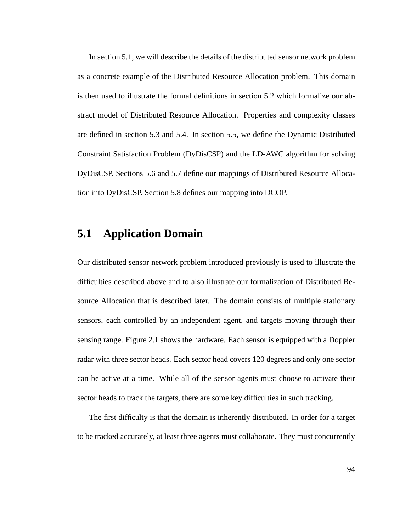In section 5.1, we will describe the details of the distributed sensor network problem as a concrete example of the Distributed Resource Allocation problem. This domain is then used to illustrate the formal definitions in section 5.2 which formalize our abstract model of Distributed Resource Allocation. Properties and complexity classes are defined in section 5.3 and 5.4. In section 5.5, we define the Dynamic Distributed Constraint Satisfaction Problem (DyDisCSP) and the LD-AWC algorithm for solving DyDisCSP. Sections 5.6 and 5.7 define our mappings of Distributed Resource Allocation into DyDisCSP. Section 5.8 defines our mapping into DCOP.

# **5.1 Application Domain**

Our distributed sensor network problem introduced previously is used to illustrate the difficulties described above and to also illustrate our formalization of Distributed Resource Allocation that is described later. The domain consists of multiple stationary sensors, each controlled by an independent agent, and targets moving through their sensing range. Figure 2.1 shows the hardware. Each sensor is equipped with a Doppler radar with three sector heads. Each sector head covers 120 degrees and only one sector can be active at a time. While all of the sensor agents must choose to activate their sector heads to track the targets, there are some key difficulties in such tracking.

The first difficulty is that the domain is inherently distributed. In order for a target to be tracked accurately, at least three agents must collaborate. They must concurrently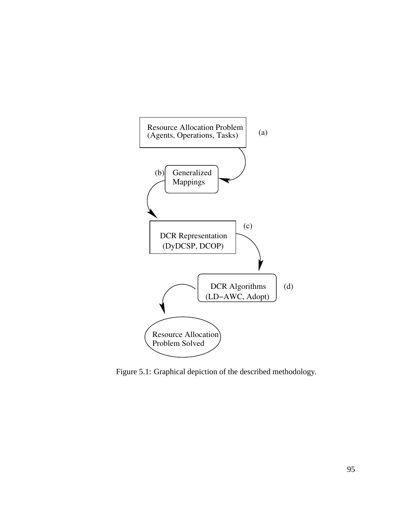

Figure 5.1: Graphical depiction of the described methodology.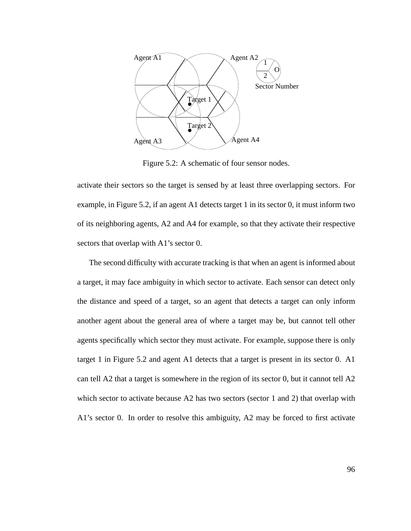

Figure 5.2: A schematic of four sensor nodes.

activate their sectors so the target is sensed by at least three overlapping sectors. For example, in Figure 5.2, if an agent A1 detects target 1 in its sector 0, it must inform two of its neighboring agents, A2 and A4 for example, so that they activate their respective sectors that overlap with A1's sector 0.

The second difficulty with accurate tracking is that when an agent is informed about a target, it may face ambiguity in which sector to activate. Each sensor can detect only the distance and speed of a target, so an agent that detects a target can only inform another agent about the general area of where a target may be, but cannot tell other agents specifically which sector they must activate. For example, suppose there is only target 1 in Figure 5.2 and agent A1 detects that a target is present in its sector 0. A1 can tell A2 that a target is somewhere in the region of its sector 0, but it cannot tell A2 which sector to activate because A2 has two sectors (sector 1 and 2) that overlap with A1's sector 0. In order to resolve this ambiguity, A2 may be forced to first activate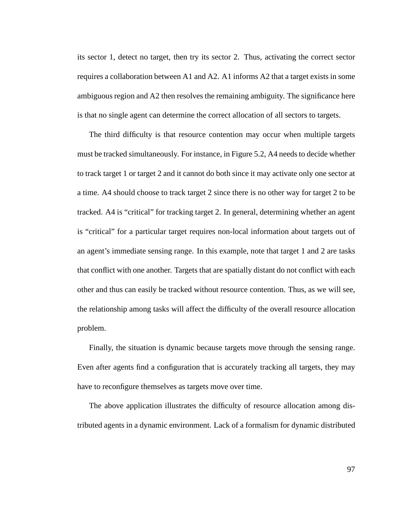its sector 1, detect no target, then try its sector 2. Thus, activating the correct sector requires a collaboration between A1 and A2. A1 informs A2 that a target exists in some ambiguous region and A2 then resolves the remaining ambiguity. The significance here is that no single agent can determine the correct allocation of all sectors to targets.

The third difficulty is that resource contention may occur when multiple targets must be tracked simultaneously. For instance, in Figure 5.2, A4 needs to decide whether to track target 1 or target 2 and it cannot do both since it may activate only one sector at a time. A4 should choose to track target 2 since there is no other way for target 2 to be tracked. A4 is "critical" for tracking target 2. In general, determining whether an agent is "critical" for a particular target requires non-local information about targets out of an agent's immediate sensing range. In this example, note that target 1 and 2 are tasks that conflict with one another. Targets that are spatially distant do not conflict with each other and thus can easily be tracked without resource contention. Thus, as we will see, the relationship among tasks will affect the difficulty of the overall resource allocation problem.

Finally, the situation is dynamic because targets move through the sensing range. Even after agents find a configuration that is accurately tracking all targets, they may have to reconfigure themselves as targets move over time.

The above application illustrates the difficulty of resource allocation among distributed agents in a dynamic environment. Lack of a formalism for dynamic distributed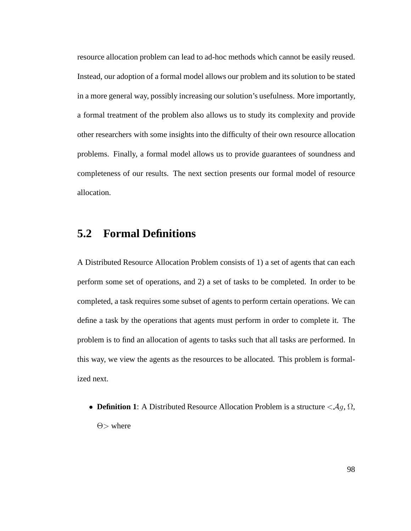resource allocation problem can lead to ad-hoc methods which cannot be easily reused. Instead, our adoption of a formal model allows our problem and its solution to be stated in a more general way, possibly increasing our solution's usefulness. More importantly, a formal treatment of the problem also allows us to study its complexity and provide other researchers with some insights into the difficulty of their own resource allocation problems. Finally, a formal model allows us to provide guarantees of soundness and completeness of our results. The next section presents our formal model of resource allocation.

# **5.2 Formal Definitions**

A Distributed Resource Allocation Problem consists of 1) a set of agents that can each perform some set of operations, and 2) a set of tasks to be completed. In order to be completed, a task requires some subset of agents to perform certain operations. We can define a task by the operations that agents must perform in order to complete it. The problem is to find an allocation of agents to tasks such that all tasks are performed. In this way, we view the agents as the resources to be allocated. This problem is formalized next.

• **Definition 1**: A Distributed Resource Allocation Problem is a structure  $\langle \mathcal{A}, \Omega, \Omega \rangle$  $\Theta$  where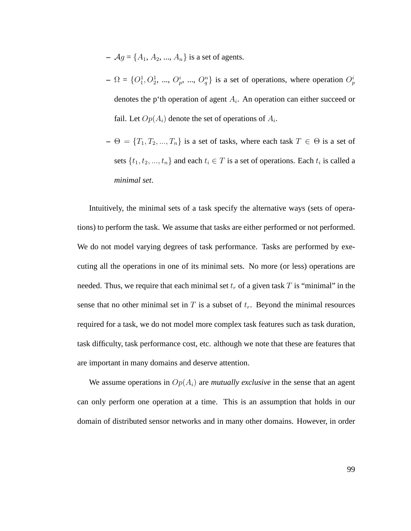- $-$  *Ag* = { $A_1$ ,  $A_2$ , ...,  $A_n$ } is a set of agents.
- $\Omega = \{O_1^1, O_2^1, ..., O_p^i, ..., O_q^n\}$  is a set of operations, where operation  $O_p^i$ denotes the p'th operation of agent  $A_i$ . An operation can either succeed or fail. Let  $Op(A_i)$  denote the set of operations of  $A_i$ .
- $\Theta = \{T_1, T_2, ..., T_n\}$  is a set of tasks, where each task  $T \in \Theta$  is a set of sets  $\{t_1, t_2, ..., t_n\}$  and each  $t_i \in T$  is a set of operations. Each  $t_i$  is called a *minimal set*.

Intuitively, the minimal sets of a task specify the alternative ways (sets of operations) to perform the task. We assume that tasks are either performed or not performed. We do not model varying degrees of task performance. Tasks are performed by executing all the operations in one of its minimal sets. No more (or less) operations are needed. Thus, we require that each minimal set  $t_r$  of a given task T is "minimal" in the sense that no other minimal set in T is a subset of  $t_r$ . Beyond the minimal resources required for a task, we do not model more complex task features such as task duration, task difficulty, task performance cost, etc. although we note that these are features that are important in many domains and deserve attention.

We assume operations in  $Op(A_i)$  are *mutually exclusive* in the sense that an agent can only perform one operation at a time. This is an assumption that holds in our domain of distributed sensor networks and in many other domains. However, in order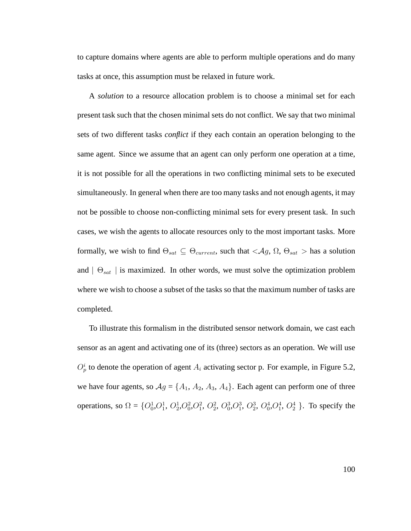to capture domains where agents are able to perform multiple operations and do many tasks at once, this assumption must be relaxed in future work.

A *solution* to a resource allocation problem is to choose a minimal set for each present task such that the chosen minimal sets do not conflict. We say that two minimal sets of two different tasks *conflict* if they each contain an operation belonging to the same agent. Since we assume that an agent can only perform one operation at a time, it is not possible for all the operations in two conflicting minimal sets to be executed simultaneously. In general when there are too many tasks and not enough agents, it may not be possible to choose non-conflicting minimal sets for every present task. In such cases, we wish the agents to allocate resources only to the most important tasks. More formally, we wish to find  $\Theta_{sat} \subseteq \Theta_{current}$ , such that  $\langle Ag, \Omega, \Theta_{sat} \rangle$  has a solution and  $| \Theta_{sat} |$  is maximized. In other words, we must solve the optimization problem where we wish to choose a subset of the tasks so that the maximum number of tasks are completed.

To illustrate this formalism in the distributed sensor network domain, we cast each sensor as an agent and activating one of its (three) sectors as an operation. We will use  $O_p^i$  to denote the operation of agent  $A_i$  activating sector p. For example, in Figure 5.2, we have four agents, so  $Ag = \{A_1, A_2, A_3, A_4\}$ . Each agent can perform one of three operations, so  $\Omega = \{O_0^1, O_1^1, O_2^1, O_0^2, O_1^2, O_2^2, O_0^3, O_1^3, O_2^3, O_0^4, O_1^4, O_2^4\}$ . To specify the

100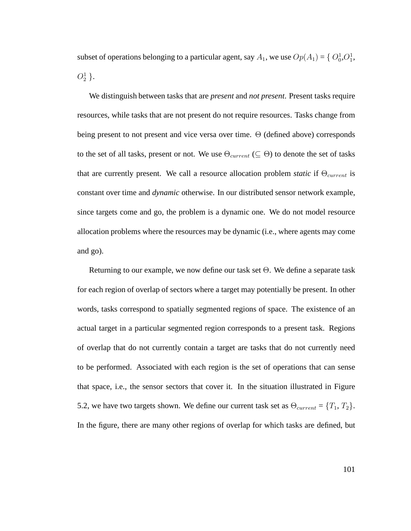subset of operations belonging to a particular agent, say  $A_1$ , we use  $Op(A_1) = \{O_0^1, O_1^1,$  $O^1_2$  }.

We distinguish between tasks that are *present* and *not present*. Present tasks require resources, while tasks that are not present do not require resources. Tasks change from being present to not present and vice versa over time. Θ (defined above) corresponds to the set of all tasks, present or not. We use  $\Theta_{current} (\subseteq \Theta)$  to denote the set of tasks that are currently present. We call a resource allocation problem *static* if  $\Theta_{current}$  is constant over time and *dynamic* otherwise. In our distributed sensor network example, since targets come and go, the problem is a dynamic one. We do not model resource allocation problems where the resources may be dynamic (i.e., where agents may come and go).

Returning to our example, we now define our task set Θ. We define a separate task for each region of overlap of sectors where a target may potentially be present. In other words, tasks correspond to spatially segmented regions of space. The existence of an actual target in a particular segmented region corresponds to a present task. Regions of overlap that do not currently contain a target are tasks that do not currently need to be performed. Associated with each region is the set of operations that can sense that space, i.e., the sensor sectors that cover it. In the situation illustrated in Figure 5.2, we have two targets shown. We define our current task set as  $\Theta_{current} = \{T_1, T_2\}$ . In the figure, there are many other regions of overlap for which tasks are defined, but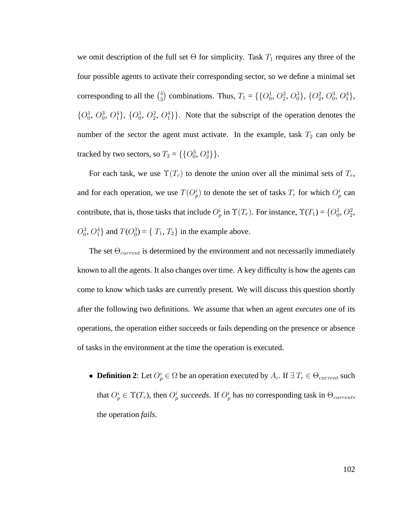we omit description of the full set  $\Theta$  for simplicity. Task  $T_1$  requires any three of the four possible agents to activate their corresponding sector, so we define a minimal set corresponding to all the  $\binom{4}{3}$ <sup>4</sup>/<sub>3</sub>) combinations. Thus,  $T_1 = \{ \{O_0^1, O_2^2, O_0^3\}, \{O_2^2, O_0^3, O_1^4\},\}$  $\{O_0^1, O_0^3, O_1^4\}$ ,  $\{O_0^1, O_2^2, O_1^4\}$ . Note that the subscript of the operation denotes the number of the sector the agent must activate. In the example, task  $T_2$  can only be tracked by two sectors, so  $T_2 = \{\{O_0^3, O_2^4\}\}.$ 

For each task, we use  $\Upsilon(T_r)$  to denote the union over all the minimal sets of  $T_r$ , and for each operation, we use  $T(O_p^i)$  to denote the set of tasks  $T_r$  for which  $O_p^i$  can contribute, that is, those tasks that include  $O_p^i$  in  $\Upsilon(T_r)$ . For instance,  $\Upsilon(T_1) = \{O_0^1, O_2^2, O_3^2\}$  $O_0^3$ ,  $O_1^4$ } and  $T(O_0^3) = \{T_1, T_2\}$  in the example above.

The set  $\Theta_{current}$  is determined by the environment and not necessarily immediately known to all the agents. It also changes over time. A key difficulty is how the agents can come to know which tasks are currently present. We will discuss this question shortly after the following two definitions. We assume that when an agent *executes* one of its operations, the operation either succeeds or fails depending on the presence or absence of tasks in the environment at the time the operation is executed.

• **Definition 2**: Let  $O_p^i \in \Omega$  be an operation executed by  $A_i$ . If  $\exists T_r \in \Theta_{current}$  such that  $O_p^i \in \Upsilon(T_r)$ , then  $O_p^i$  succeeds. If  $O_p^i$  has no corresponding task in  $\Theta_{current}$ , the operation *fails*.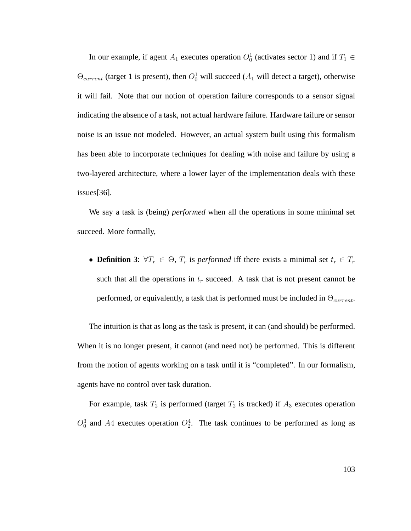In our example, if agent  $A_1$  executes operation  $O_0^1$  (activates sector 1) and if  $T_1 \in$  $\Theta_{current}$  (target 1 is present), then  $O_0^1$  will succeed ( $A_1$  will detect a target), otherwise it will fail. Note that our notion of operation failure corresponds to a sensor signal indicating the absence of a task, not actual hardware failure. Hardware failure or sensor noise is an issue not modeled. However, an actual system built using this formalism has been able to incorporate techniques for dealing with noise and failure by using a two-layered architecture, where a lower layer of the implementation deals with these issues[36].

We say a task is (being) *performed* when all the operations in some minimal set succeed. More formally,

• **Definition 3**:  $\forall T_r \in \Theta$ ,  $T_r$  is *performed* iff there exists a minimal set  $t_r \in T_r$ such that all the operations in  $t_r$  succeed. A task that is not present cannot be performed, or equivalently, a task that is performed must be included in  $\Theta_{current}$ .

The intuition is that as long as the task is present, it can (and should) be performed. When it is no longer present, it cannot (and need not) be performed. This is different from the notion of agents working on a task until it is "completed". In our formalism, agents have no control over task duration.

For example, task  $T_2$  is performed (target  $T_2$  is tracked) if  $A_3$  executes operation  $O_0^3$  and A4 executes operation  $O_2^4$ . The task continues to be performed as long as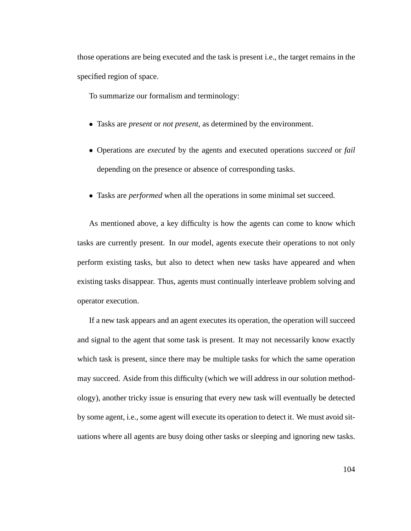those operations are being executed and the task is present i.e., the target remains in the specified region of space.

To summarize our formalism and terminology:

- Tasks are *present* or *not present*, as determined by the environment.
- Operations are *executed* by the agents and executed operations *succeed* or *fail* depending on the presence or absence of corresponding tasks.
- Tasks are *performed* when all the operations in some minimal set succeed.

As mentioned above, a key difficulty is how the agents can come to know which tasks are currently present. In our model, agents execute their operations to not only perform existing tasks, but also to detect when new tasks have appeared and when existing tasks disappear. Thus, agents must continually interleave problem solving and operator execution.

If a new task appears and an agent executes its operation, the operation will succeed and signal to the agent that some task is present. It may not necessarily know exactly which task is present, since there may be multiple tasks for which the same operation may succeed. Aside from this difficulty (which we will address in our solution methodology), another tricky issue is ensuring that every new task will eventually be detected by some agent, i.e., some agent will execute its operation to detect it. We must avoid situations where all agents are busy doing other tasks or sleeping and ignoring new tasks.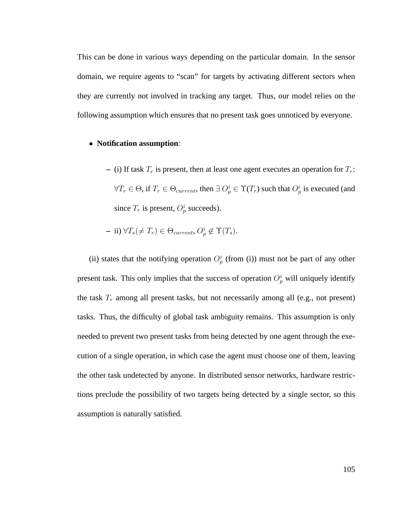This can be done in various ways depending on the particular domain. In the sensor domain, we require agents to "scan" for targets by activating different sectors when they are currently not involved in tracking any target. Thus, our model relies on the following assumption which ensures that no present task goes unnoticed by everyone.

#### • **Notification assumption**:

– (i) If task  $T_r$  is present, then at least one agent executes an operation for  $T_r$ :  $\forall T_r \in \Theta$ , if  $T_r \in \Theta_{current}$ , then  $\exists O_p^i \in \Upsilon(T_r)$  such that  $O_p^i$  is executed (and since  $T_r$  is present,  $O_p^i$  succeeds).

$$
- ii) \,\forall T_s(\neq T_r) \in \Theta_{current}, O_p^i \notin \Upsilon(T_s).
$$

(ii) states that the notifying operation  $O_p^i$  (from (i)) must not be part of any other present task. This only implies that the success of operation  $O_p^i$  will uniquely identify the task  $T_r$  among all present tasks, but not necessarily among all (e.g., not present) tasks. Thus, the difficulty of global task ambiguity remains. This assumption is only needed to prevent two present tasks from being detected by one agent through the execution of a single operation, in which case the agent must choose one of them, leaving the other task undetected by anyone. In distributed sensor networks, hardware restrictions preclude the possibility of two targets being detected by a single sector, so this assumption is naturally satisfied.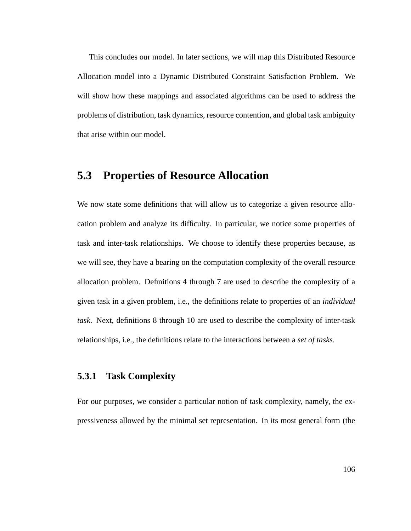This concludes our model. In later sections, we will map this Distributed Resource Allocation model into a Dynamic Distributed Constraint Satisfaction Problem. We will show how these mappings and associated algorithms can be used to address the problems of distribution, task dynamics, resource contention, and global task ambiguity that arise within our model.

# **5.3 Properties of Resource Allocation**

We now state some definitions that will allow us to categorize a given resource allocation problem and analyze its difficulty. In particular, we notice some properties of task and inter-task relationships. We choose to identify these properties because, as we will see, they have a bearing on the computation complexity of the overall resource allocation problem. Definitions 4 through 7 are used to describe the complexity of a given task in a given problem, i.e., the definitions relate to properties of an *individual task*. Next, definitions 8 through 10 are used to describe the complexity of inter-task relationships, i.e., the definitions relate to the interactions between a *set of tasks*.

### **5.3.1 Task Complexity**

For our purposes, we consider a particular notion of task complexity, namely, the expressiveness allowed by the minimal set representation. In its most general form (the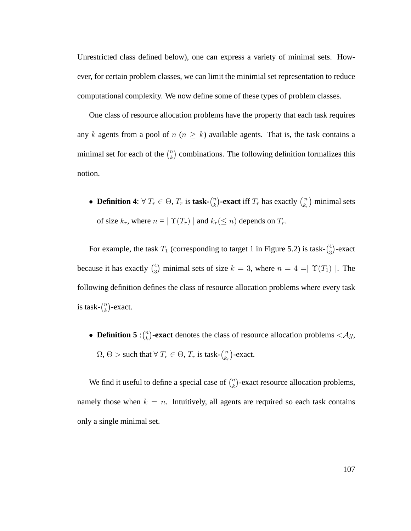Unrestricted class defined below), one can express a variety of minimal sets. However, for certain problem classes, we can limit the minimial set representation to reduce computational complexity. We now define some of these types of problem classes.

One class of resource allocation problems have the property that each task requires any k agents from a pool of  $n (n \ge k)$  available agents. That is, the task contains a minimal set for each of the  $\binom{n}{k}$  $\binom{n}{k}$  combinations. The following definition formalizes this notion.

• **Definition 4**:  $\forall T_r \in \Theta, T_r$  is **task-** $\binom{n}{k}$  $\binom{n}{k}$ **-exact** iff  $T_r$  has exactly  $\binom{n}{k_r}$  $\binom{n}{k_r}$  minimal sets of size  $k_r$ , where  $n = |\Upsilon(T_r)|$  and  $k_r (\leq n)$  depends on  $T_r$ .

For example, the task  $T_1$  (corresponding to target 1 in Figure 5.2) is task- $\binom{4}{3}$  $_{3}^{4}$ )-exact because it has exactly  $\binom{4}{3}$  $_3^4$ ) minimal sets of size  $k = 3$ , where  $n = 4 = |\Upsilon(T_1)|$ . The following definition defines the class of resource allocation problems where every task is task- $\binom{n}{k}$  $\binom{n}{k}$ -exact.

• **Definition 5** :  $\binom{n}{k}$  $\mathbf{F}_{k}^{n}$ )**-exact** denotes the class of resource allocation problems < Ag,  $\Omega, \Theta > \text{such that } \forall T_r \in \Theta, T_r \text{ is task-} \binom{n}{k_r}$  $\binom{n}{k_r}$ -exact.

We find it useful to define a special case of  $\binom{n}{k}$  $\binom{n}{k}$ -exact resource allocation problems, namely those when  $k = n$ . Intuitively, all agents are required so each task contains only a single minimal set.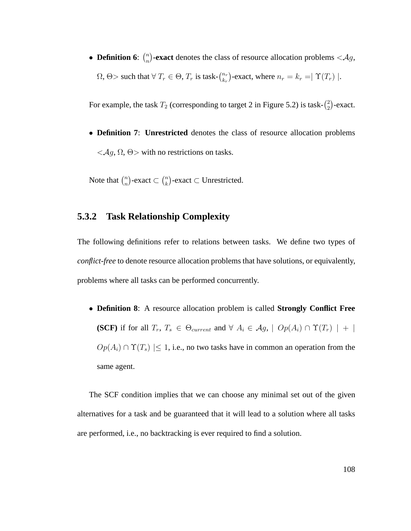• **Definition 6:**  $\binom{n}{n}$  $\binom{n}{n}$ -exact denotes the class of resource allocation problems <Ag,  $\Omega$ ,  $\Theta$  > such that  $\forall T_r \in \Theta$ ,  $T_r$  is task- $\binom{n_r}{k_r}$  $\binom{n_r}{k_r}$ -exact, where  $n_r = k_r = |\Upsilon(T_r)|$ .

For example, the task  $T_2$  (corresponding to target 2 in Figure 5.2) is task- $\binom{2}{3}$  $_{2}^{2}$ )-exact.

• **Definition 7**: **Unrestricted** denotes the class of resource allocation problems  $\langle \mathcal{A}, \Omega, \Theta \rangle$  with no restrictions on tasks.

Note that  $\binom{n}{n}$  $\binom{n}{n}$ -exact  $\subset \binom{n}{k}$  ${k \choose k}$ -exact  $\subset$  Unrestricted.

### **5.3.2 Task Relationship Complexity**

The following definitions refer to relations between tasks. We define two types of *conflict-free* to denote resource allocation problems that have solutions, or equivalently, problems where all tasks can be performed concurrently.

• **Definition 8**: A resource allocation problem is called **Strongly Conflict Free (SCF)** if for all  $T_r$ ,  $T_s \in \Theta_{current}$  and  $\forall A_i \in \mathcal{A}_g$ ,  $\mid Op(A_i) \cap \Upsilon(T_r) \mid + \mid$  $Op(A_i) \cap \Upsilon(T_s) \leq 1$ , i.e., no two tasks have in common an operation from the same agent.

The SCF condition implies that we can choose any minimal set out of the given alternatives for a task and be guaranteed that it will lead to a solution where all tasks are performed, i.e., no backtracking is ever required to find a solution.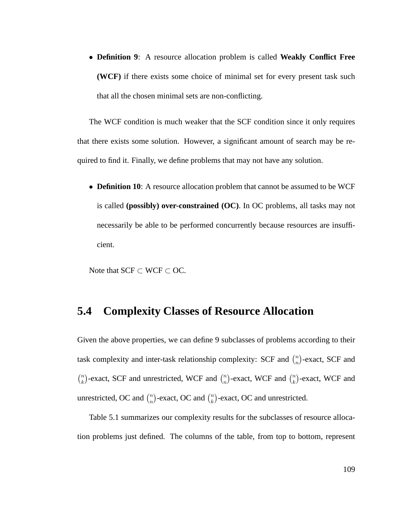• **Definition 9**: A resource allocation problem is called **Weakly Conflict Free (WCF)** if there exists some choice of minimal set for every present task such that all the chosen minimal sets are non-conflicting.

The WCF condition is much weaker that the SCF condition since it only requires that there exists some solution. However, a significant amount of search may be required to find it. Finally, we define problems that may not have any solution.

• **Definition 10**: A resource allocation problem that cannot be assumed to be WCF is called **(possibly) over-constrained (OC)**. In OC problems, all tasks may not necessarily be able to be performed concurrently because resources are insufficient.

Note that  $SCF \subset WCF \subset OC$ .

## **5.4 Complexity Classes of Resource Allocation**

Given the above properties, we can define 9 subclasses of problems according to their task complexity and inter-task relationship complexity: SCF and  $\binom{n}{n}$  $\binom{n}{n}$ -exact, SCF and  $\binom{n}{k}$  $\binom{n}{k}$ -exact, SCF and unrestricted, WCF and  $\binom{n}{n}$  $\binom{n}{n}$ -exact, WCF and  $\binom{n}{k}$  $\binom{n}{k}$ -exact, WCF and unrestricted, OC and  $\binom{n}{n}$  $\binom{n}{n}$ -exact, OC and  $\binom{n}{k}$  $\binom{n}{k}$ -exact, OC and unrestricted.

Table 5.1 summarizes our complexity results for the subclasses of resource allocation problems just defined. The columns of the table, from top to bottom, represent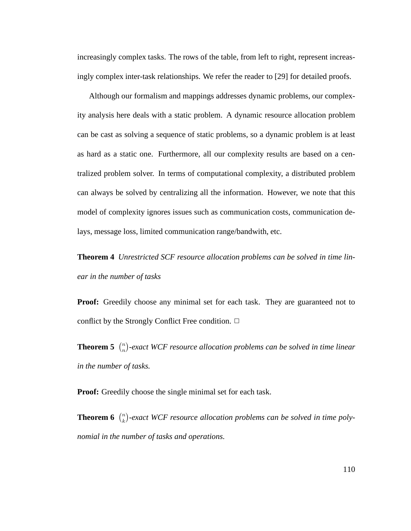increasingly complex tasks. The rows of the table, from left to right, represent increasingly complex inter-task relationships. We refer the reader to [29] for detailed proofs.

Although our formalism and mappings addresses dynamic problems, our complexity analysis here deals with a static problem. A dynamic resource allocation problem can be cast as solving a sequence of static problems, so a dynamic problem is at least as hard as a static one. Furthermore, all our complexity results are based on a centralized problem solver. In terms of computational complexity, a distributed problem can always be solved by centralizing all the information. However, we note that this model of complexity ignores issues such as communication costs, communication delays, message loss, limited communication range/bandwith, etc.

**Theorem 4** *Unrestricted SCF resource allocation problems can be solved in time linear in the number of tasks*

Proof: Greedily choose any minimal set for each task. They are guaranteed not to conflict by the Strongly Conflict Free condition.  $\Box$ 

**Theorem 5**  $\binom{n}{n}$  $\binom{n}{n}$ -exact WCF resource allocation problems can be solved in time linear *in the number of tasks.*

**Proof:** Greedily choose the single minimal set for each task.

**Theorem 6**  $\binom{n}{k}$ <sup>n</sup>)-exact WCF resource allocation problems can be solved in time poly*nomial in the number of tasks and operations.*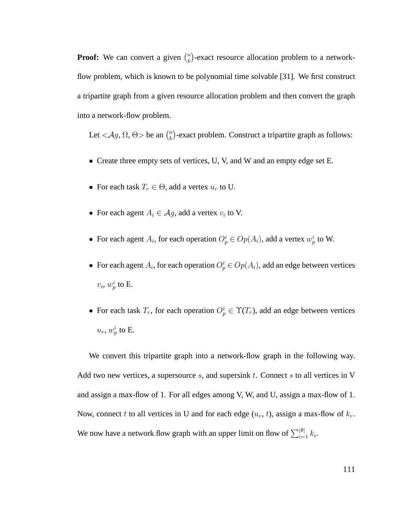**Proof:** We can convert a given  $\binom{n}{k}$  $\binom{n}{k}$ -exact resource allocation problem to a networkflow problem, which is known to be polynomial time solvable [31]. We first construct a tripartite graph from a given resource allocation problem and then convert the graph into a network-flow problem.

Let  $\langle \mathcal{A}g, \Omega, \Theta \rangle$  be an  $\binom{n}{k}$  $\binom{n}{k}$ -exact problem. Construct a tripartite graph as follows:

- Create three empty sets of vertices, U, V, and W and an empty edge set E.
- For each task  $T_r \in \Theta$ , add a vertex  $u_r$  to U.
- For each agent  $A_i \in \mathcal{A}g$ , add a vertex  $v_i$  to V.
- For each agent  $A_i$ , for each operation  $O_p^i \in Op(A_i)$ , add a vertex  $w_p^i$  to W.
- For each agent  $A_i$ , for each operation  $O_p^i \in Op(A_i)$ , add an edge between vertices  $v_i$ ,  $w_p^i$  to E.
- For each task  $T_r$ , for each operation  $O_p^i \in \Upsilon(T_r)$ , add an edge between vertices  $u_r$ ,  $w_p^i$  to E.

We convert this tripartite graph into a network-flow graph in the following way. Add two new vertices, a supersource  $s$ , and supersink  $t$ . Connect  $s$  to all vertices in V and assign a max-flow of 1. For all edges among V, W, and U, assign a max-flow of 1. Now, connect t to all vertices in U and for each edge  $(u_r, t)$ , assign a max-flow of  $k_r$ . We now have a network flow graph with an upper limit on flow of  $\sum_{i=1}^{|\theta|} k_i$ .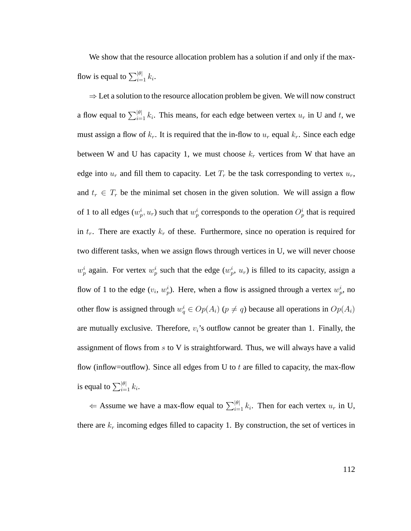We show that the resource allocation problem has a solution if and only if the maxflow is equal to  $\sum_{i=1}^{|\theta|} k_i$ .

 $\Rightarrow$  Let a solution to the resource allocation problem be given. We will now construct a flow equal to  $\sum_{i=1}^{|\theta|} k_i$ . This means, for each edge between vertex  $u_r$  in U and t, we must assign a flow of  $k_r$ . It is required that the in-flow to  $u_r$  equal  $k_r$ . Since each edge between W and U has capacity 1, we must choose  $k_r$  vertices from W that have an edge into  $u_r$  and fill them to capacity. Let  $T_r$  be the task corresponding to vertex  $u_r$ , and  $t_r \in T_r$  be the minimal set chosen in the given solution. We will assign a flow of 1 to all edges  $(w_p^i, u_r)$  such that  $w_p^i$  corresponds to the operation  $O_p^i$  that is required in  $t_r$ . There are exactly  $k_r$  of these. Furthermore, since no operation is required for two different tasks, when we assign flows through vertices in U, we will never choose  $w_p^i$  again. For vertex  $w_p^i$  such that the edge  $(w_p^i, u_r)$  is filled to its capacity, assign a flow of 1 to the edge  $(v_i, w_p^i)$ . Here, when a flow is assigned through a vertex  $w_p^i$ , no other flow is assigned through  $w_q^i \in Op(A_i)$  ( $p \neq q$ ) because all operations in  $Op(A_i)$ are mutually exclusive. Therefore,  $v_i$ 's outflow cannot be greater than 1. Finally, the assignment of flows from  $s$  to V is straightforward. Thus, we will always have a valid flow (inflow=outflow). Since all edges from U to  $t$  are filled to capacity, the max-flow is equal to  $\sum_{i=1}^{|\theta|} k_i$ .

 $\Leftarrow$  Assume we have a max-flow equal to  $\sum_{i=1}^{|\theta|} k_i$ . Then for each vertex  $u_r$  in U, there are  $k_r$  incoming edges filled to capacity 1. By construction, the set of vertices in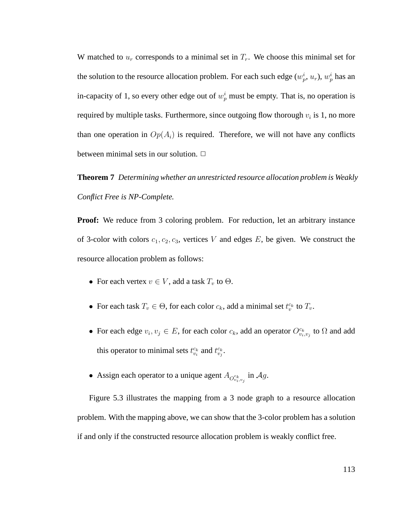W matched to  $u_r$  corresponds to a minimal set in  $T_r$ . We choose this minimal set for the solution to the resource allocation problem. For each such edge  $(w_p^i, u_r)$ ,  $w_p^i$  has an in-capacity of 1, so every other edge out of  $w_p^i$  must be empty. That is, no operation is required by multiple tasks. Furthermore, since outgoing flow thorough  $v_i$  is 1, no more than one operation in  $Op(A_i)$  is required. Therefore, we will not have any conflicts between minimal sets in our solution.  $\Box$ 

**Theorem 7** *Determining whether an unrestricted resource allocation problem is Weakly Conflict Free is NP-Complete.*

**Proof:** We reduce from 3 coloring problem. For reduction, let an arbitrary instance of 3-color with colors  $c_1, c_2, c_3$ , vertices V and edges E, be given. We construct the resource allocation problem as follows:

- For each vertex  $v \in V$ , add a task  $T_v$  to  $\Theta$ .
- For each task  $T_v \in \Theta$ , for each color  $c_k$ , add a minimal set  $t_v^{c_k}$  to  $T_v$ .
- For each edge  $v_i, v_j \in E$ , for each color  $c_k$ , add an operator  $O_{v_i, v_j}^{c_k}$  to  $\Omega$  and add this operator to minimal sets  $t_{v_i}^{c_k}$  and  $t_{v_j}^{c_k}$ .
- Assign each operator to a unique agent  $A_{O_{v_i,v_j}^{c_k}}$  in  $Ag$ .

Figure 5.3 illustrates the mapping from a 3 node graph to a resource allocation problem. With the mapping above, we can show that the 3-color problem has a solution if and only if the constructed resource allocation problem is weakly conflict free.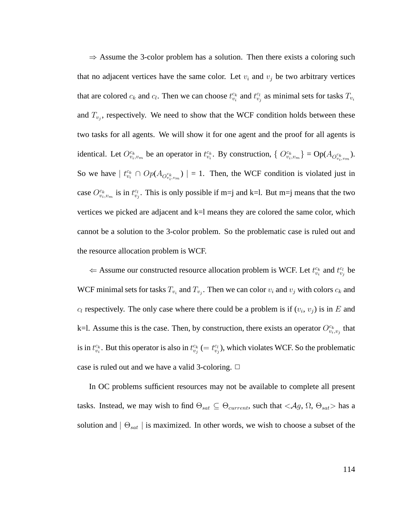$\Rightarrow$  Assume the 3-color problem has a solution. Then there exists a coloring such that no adjacent vertices have the same color. Let  $v_i$  and  $v_j$  be two arbitrary vertices that are colored  $c_k$  and  $c_l$ . Then we can choose  $t_{v_i}^{c_k}$  and  $t_{v_j}^{c_l}$  as minimal sets for tasks  $T_{v_i}$ and  $T_{v_j}$ , respectively. We need to show that the WCF condition holds between these two tasks for all agents. We will show it for one agent and the proof for all agents is identical. Let  $O_{v_i,v_m}^{c_k}$  be an operator in  $t_{v_i}^{c_k}$ . By construction,  $\{O_{v_i,v_m}^{c_k}\}=Op(A_{O_{v_i,v_m}^{c_k}})$ . So we have  $|t_{v_i}^{c_k} \cap Op(A_{O_{v_i,v_m}})| = 1$ . Then, the WCF condition is violated just in case  $O_{v_i,v_m}^{c_k}$  is in  $t_{v_j}^{c_l}$ . This is only possible if m=j and k=l. But m=j means that the two vertices we picked are adjacent and  $k=1$  means they are colored the same color, which cannot be a solution to the 3-color problem. So the problematic case is ruled out and the resource allocation problem is WCF.

 $\Leftarrow$  Assume our constructed resource allocation problem is WCF. Let  $t_{v_i}^{c_k}$  and  $t_{v_j}^{c_l}$  be WCF minimal sets for tasks  $T_{v_i}$  and  $T_{v_j}$ . Then we can color  $v_i$  and  $v_j$  with colors  $c_k$  and  $c_l$  respectively. The only case where there could be a problem is if  $(v_i, v_j)$  is in E and k=l. Assume this is the case. Then, by construction, there exists an operator  $O_{v_i,v_j}^{c_k}$  that is in  $t_{v_i}^{c_k}$ . But this operator is also in  $t_{v_j}^{c_k} (= t_{v_j}^{c_l})$ , which violates WCF. So the problematic case is ruled out and we have a valid 3-coloring.  $\Box$ 

In OC problems sufficient resources may not be available to complete all present tasks. Instead, we may wish to find  $\Theta_{sat} \subseteq \Theta_{current}$ , such that  $\langle Ag, \Omega, \Theta_{sat} \rangle$  has a solution and  $\mid \Theta_{sat} \mid$  is maximized. In other words, we wish to choose a subset of the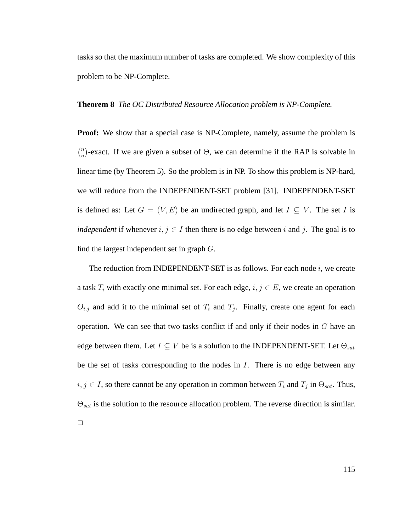tasks so that the maximum number of tasks are completed. We show complexity of this problem to be NP-Complete.

#### **Theorem 8** *The OC Distributed Resource Allocation problem is NP-Complete.*

**Proof:** We show that a special case is NP-Complete, namely, assume the problem is  $\binom{n}{n}$  $_n^n$ )-exact. If we are given a subset of  $\Theta$ , we can determine if the RAP is solvable in linear time (by Theorem 5). So the problem is in NP. To show this problem is NP-hard, we will reduce from the INDEPENDENT-SET problem [31]. INDEPENDENT-SET is defined as: Let  $G = (V, E)$  be an undirected graph, and let  $I \subseteq V$ . The set I is *independent* if whenever  $i, j \in I$  then there is no edge between i and j. The goal is to find the largest independent set in graph G.

The reduction from INDEPENDENT-SET is as follows. For each node  $i$ , we create a task  $T_i$  with exactly one minimal set. For each edge,  $i, j \in E$ , we create an operation  $O_{i,j}$  and add it to the minimal set of  $T_i$  and  $T_j$ . Finally, create one agent for each operation. We can see that two tasks conflict if and only if their nodes in G have an edge between them. Let  $I \subseteq V$  be is a solution to the INDEPENDENT-SET. Let  $\Theta_{sat}$ be the set of tasks corresponding to the nodes in I. There is no edge between any  $i, j \in I$ , so there cannot be any operation in common between  $T_i$  and  $T_j$  in  $\Theta_{sat}$ . Thus,  $\Theta_{sat}$  is the solution to the resource allocation problem. The reverse direction is similar.  $\Box$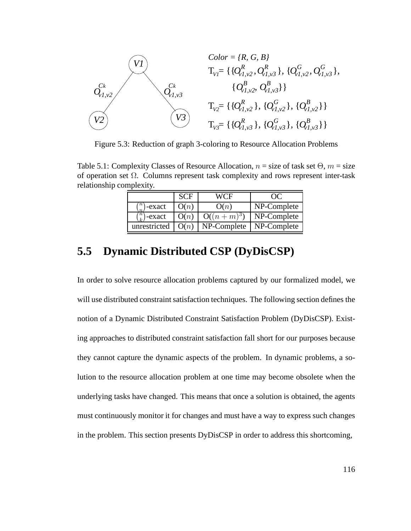

Figure 5.3: Reduction of graph 3-coloring to Resource Allocation Problems

Table 5.1: Complexity Classes of Resource Allocation,  $n =$  size of task set  $\Theta$ ,  $m =$  size of operation set  $\Omega$ . Columns represent task complexity and rows represent inter-task relationship complexity.

|                       | <b>SCF</b> | WCF          | $\bullet$ )( $\bullet$ |
|-----------------------|------------|--------------|------------------------|
| $\, n \,$<br>)-exact  | O(n)       | O(n)         | NP-Complete            |
| $\binom{n}{k}$ -exact | O(n)       | $O((n+m)^3)$ | NP-Complete            |
| unrestricted          | O(n)       | NP-Complete  | NP-Complete            |

# **5.5 Dynamic Distributed CSP (DyDisCSP)**

In order to solve resource allocation problems captured by our formalized model, we will use distributed constraint satisfaction techniques. The following section defines the notion of a Dynamic Distributed Constraint Satisfaction Problem (DyDisCSP). Existing approaches to distributed constraint satisfaction fall short for our purposes because they cannot capture the dynamic aspects of the problem. In dynamic problems, a solution to the resource allocation problem at one time may become obsolete when the underlying tasks have changed. This means that once a solution is obtained, the agents must continuously monitor it for changes and must have a way to express such changes in the problem. This section presents DyDisCSP in order to address this shortcoming,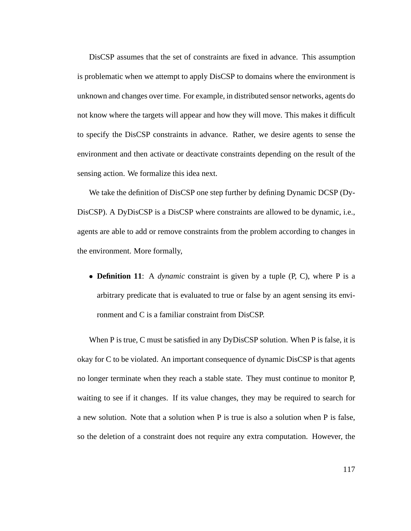DisCSP assumes that the set of constraints are fixed in advance. This assumption is problematic when we attempt to apply DisCSP to domains where the environment is unknown and changes over time. For example, in distributed sensor networks, agents do not know where the targets will appear and how they will move. This makes it difficult to specify the DisCSP constraints in advance. Rather, we desire agents to sense the environment and then activate or deactivate constraints depending on the result of the sensing action. We formalize this idea next.

We take the definition of DisCSP one step further by defining Dynamic DCSP (Dy-DisCSP). A DyDisCSP is a DisCSP where constraints are allowed to be dynamic, i.e., agents are able to add or remove constraints from the problem according to changes in the environment. More formally,

• **Definition 11**: A *dynamic* constraint is given by a tuple (P, C), where P is a arbitrary predicate that is evaluated to true or false by an agent sensing its environment and C is a familiar constraint from DisCSP.

When P is true, C must be satisfied in any DyDisCSP solution. When P is false, it is okay for C to be violated. An important consequence of dynamic DisCSP is that agents no longer terminate when they reach a stable state. They must continue to monitor P, waiting to see if it changes. If its value changes, they may be required to search for a new solution. Note that a solution when P is true is also a solution when P is false, so the deletion of a constraint does not require any extra computation. However, the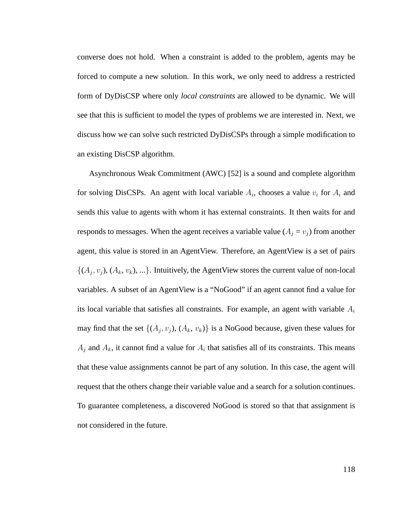converse does not hold. When a constraint is added to the problem, agents may be forced to compute a new solution. In this work, we only need to address a restricted form of DyDisCSP where only *local constraints* are allowed to be dynamic. We will see that this is sufficient to model the types of problems we are interested in. Next, we discuss how we can solve such restricted DyDisCSPs through a simple modification to an existing DisCSP algorithm.

Asynchronous Weak Commitment (AWC) [52] is a sound and complete algorithm for solving DisCSPs. An agent with local variable  $A_i$ , chooses a value  $v_i$  for  $A_i$  and sends this value to agents with whom it has external constraints. It then waits for and responds to messages. When the agent receives a variable value  $(A_i = v_i)$  from another agent, this value is stored in an AgentView. Therefore, an AgentView is a set of pairs  $\{(A_j, v_j), (A_k, v_k), ...\}$ . Intuitively, the AgentView stores the current value of non-local variables. A subset of an AgentView is a "NoGood" if an agent cannot find a value for its local variable that satisfies all constraints. For example, an agent with variable  $A_i$ may find that the set  $\{(A_j, v_j), (A_k, v_k)\}\$ is a NoGood because, given these values for  $A_j$  and  $A_k$ , it cannot find a value for  $A_i$  that satisfies all of its constraints. This means that these value assignments cannot be part of any solution. In this case, the agent will request that the others change their variable value and a search for a solution continues. To guarantee completeness, a discovered NoGood is stored so that that assignment is not considered in the future.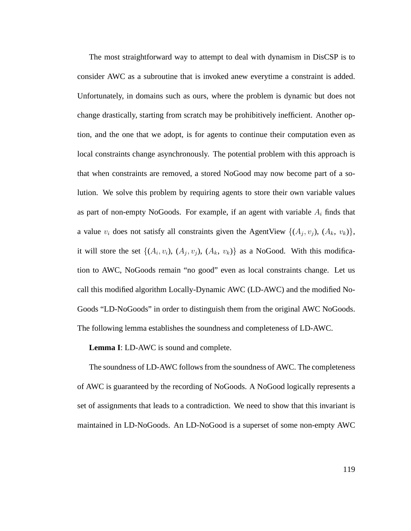The most straightforward way to attempt to deal with dynamism in DisCSP is to consider AWC as a subroutine that is invoked anew everytime a constraint is added. Unfortunately, in domains such as ours, where the problem is dynamic but does not change drastically, starting from scratch may be prohibitively inefficient. Another option, and the one that we adopt, is for agents to continue their computation even as local constraints change asynchronously. The potential problem with this approach is that when constraints are removed, a stored NoGood may now become part of a solution. We solve this problem by requiring agents to store their own variable values as part of non-empty NoGoods. For example, if an agent with variable  $A_i$  finds that a value  $v_i$  does not satisfy all constraints given the AgentView  $\{(A_j, v_j), (A_k, v_k)\},$ it will store the set  $\{(A_i, v_i), (A_j, v_j), (A_k, v_k)\}\$  as a NoGood. With this modification to AWC, NoGoods remain "no good" even as local constraints change. Let us call this modified algorithm Locally-Dynamic AWC (LD-AWC) and the modified No-Goods "LD-NoGoods" in order to distinguish them from the original AWC NoGoods. The following lemma establishes the soundness and completeness of LD-AWC.

**Lemma I**: LD-AWC is sound and complete.

The soundness of LD-AWC follows from the soundness of AWC. The completeness of AWC is guaranteed by the recording of NoGoods. A NoGood logically represents a set of assignments that leads to a contradiction. We need to show that this invariant is maintained in LD-NoGoods. An LD-NoGood is a superset of some non-empty AWC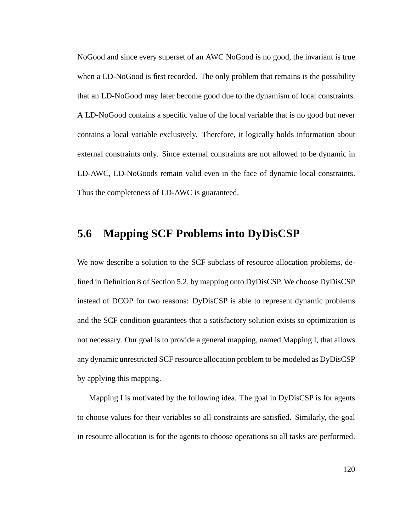NoGood and since every superset of an AWC NoGood is no good, the invariant is true when a LD-NoGood is first recorded. The only problem that remains is the possibility that an LD-NoGood may later become good due to the dynamism of local constraints. A LD-NoGood contains a specific value of the local variable that is no good but never contains a local variable exclusively. Therefore, it logically holds information about external constraints only. Since external constraints are not allowed to be dynamic in LD-AWC, LD-NoGoods remain valid even in the face of dynamic local constraints. Thus the completeness of LD-AWC is guaranteed.

## **5.6 Mapping SCF Problems into DyDisCSP**

We now describe a solution to the SCF subclass of resource allocation problems, defined in Definition 8 of Section 5.2, by mapping onto DyDisCSP. We choose DyDisCSP instead of DCOP for two reasons: DyDisCSP is able to represent dynamic problems and the SCF condition guarantees that a satisfactory solution exists so optimization is not necessary. Our goal is to provide a general mapping, named Mapping I, that allows any dynamic unrestricted SCF resource allocation problem to be modeled as DyDisCSP by applying this mapping.

Mapping I is motivated by the following idea. The goal in DyDisCSP is for agents to choose values for their variables so all constraints are satisfied. Similarly, the goal in resource allocation is for the agents to choose operations so all tasks are performed.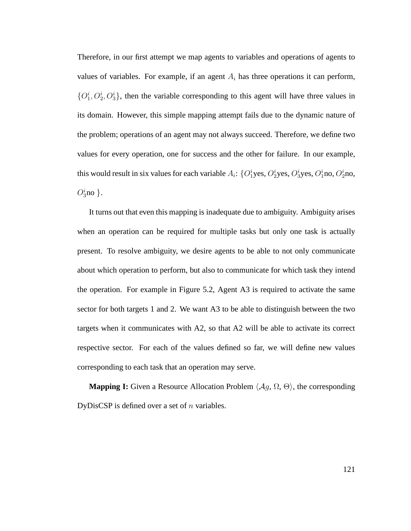Therefore, in our first attempt we map agents to variables and operations of agents to values of variables. For example, if an agent  $A_i$  has three operations it can perform,  $\{O_1^i, O_2^i, O_3^i\}$ , then the variable corresponding to this agent will have three values in its domain. However, this simple mapping attempt fails due to the dynamic nature of the problem; operations of an agent may not always succeed. Therefore, we define two values for every operation, one for success and the other for failure. In our example, this would result in six values for each variable  $A_i$ :  $\{O_1^i$ yes,  $O_2^i$ yes,  $O_3^i$ yes,  $O_1^i$ no,  $O_2^i$ no,  $O_3^i$ no }.

It turns out that even this mapping is inadequate due to ambiguity. Ambiguity arises when an operation can be required for multiple tasks but only one task is actually present. To resolve ambiguity, we desire agents to be able to not only communicate about which operation to perform, but also to communicate for which task they intend the operation. For example in Figure 5.2, Agent A3 is required to activate the same sector for both targets 1 and 2. We want A3 to be able to distinguish between the two targets when it communicates with A2, so that A2 will be able to activate its correct respective sector. For each of the values defined so far, we will define new values corresponding to each task that an operation may serve.

**Mapping I:** Given a Resource Allocation Problem  $\langle Ag, \Omega, \Theta \rangle$ , the corresponding DyDisCSP is defined over a set of  $n$  variables.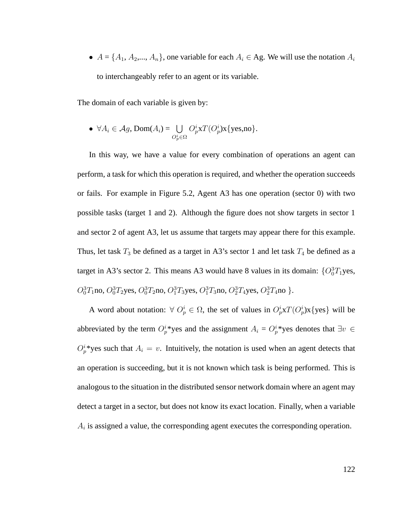•  $A = \{A_1, A_2, ..., A_n\}$ , one variable for each  $A_i \in \text{Ag. We will use the notation } A_i$ to interchangeably refer to an agent or its variable.

The domain of each variable is given by:

• 
$$
\forall A_i \in \mathcal{A}\mathcal{G}
$$
, Dom $(A_i) = \bigcup_{O_p^i \in \Omega} O_p^i x T(O_p^i) x \{ \text{yes,no} \}.$ 

In this way, we have a value for every combination of operations an agent can perform, a task for which this operation is required, and whether the operation succeeds or fails. For example in Figure 5.2, Agent A3 has one operation (sector 0) with two possible tasks (target 1 and 2). Although the figure does not show targets in sector 1 and sector 2 of agent A3, let us assume that targets may appear there for this example. Thus, let task  $T_3$  be defined as a target in A3's sector 1 and let task  $T_4$  be defined as a target in A3's sector 2. This means A3 would have 8 values in its domain:  ${O_0^3T_1yes}$ ,  $O_0^3T_1$ no,  $O_0^3T_2$ yes,  $O_0^3T_2$ no,  $O_1^3T_3$ yes,  $O_1^3T_3$ no,  $O_2^3T_4$ yes,  $O_2^3T_4$ no }.

A word about notation:  $\forall O_p^i \in \Omega$ , the set of values in  $O_p^i \times T(O_p^i) \times \{ \text{yes} \}$  will be abbreviated by the term  $O_p^i$  yes and the assignment  $A_i = O_p^i$  yes denotes that  $\exists v \in$  $O_p^i$  yes such that  $A_i = v$ . Intuitively, the notation is used when an agent detects that an operation is succeeding, but it is not known which task is being performed. This is analogous to the situation in the distributed sensor network domain where an agent may detect a target in a sector, but does not know its exact location. Finally, when a variable  $A_i$  is assigned a value, the corresponding agent executes the corresponding operation.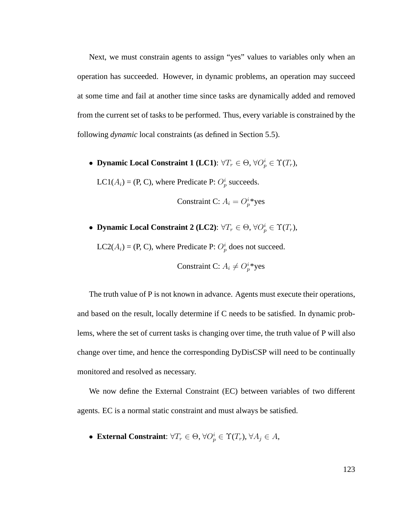Next, we must constrain agents to assign "yes" values to variables only when an operation has succeeded. However, in dynamic problems, an operation may succeed at some time and fail at another time since tasks are dynamically added and removed from the current set of tasks to be performed. Thus, every variable is constrained by the following *dynamic* local constraints (as defined in Section 5.5).

• **Dynamic Local Constraint 1 (LC1)**:  $\forall T_r \in \Theta$ ,  $\forall O_p^i \in \Upsilon(T_r)$ ,

LC1( $A_i$ ) = (P, C), where Predicate P:  $O_p^i$  succeeds.

$$
Construction: A_i = O_p^{i*}yes
$$

• **Dynamic Local Constraint 2 (LC2)**:  $\forall T_r \in \Theta$ ,  $\forall O_p^i \in \Upsilon(T_r)$ ,

LC2( $A_i$ ) = (P, C), where Predicate P:  $O_p^i$  does not succeed.

$$
Construction: A_i \neq O_p^{i*}yes
$$

The truth value of P is not known in advance. Agents must execute their operations, and based on the result, locally determine if C needs to be satisfied. In dynamic problems, where the set of current tasks is changing over time, the truth value of P will also change over time, and hence the corresponding DyDisCSP will need to be continually monitored and resolved as necessary.

We now define the External Constraint (EC) between variables of two different agents. EC is a normal static constraint and must always be satisfied.

• **External Constraint**:  $\forall T_r \in \Theta$ ,  $\forall O_p^i \in \Upsilon(T_r)$ ,  $\forall A_j \in A$ ,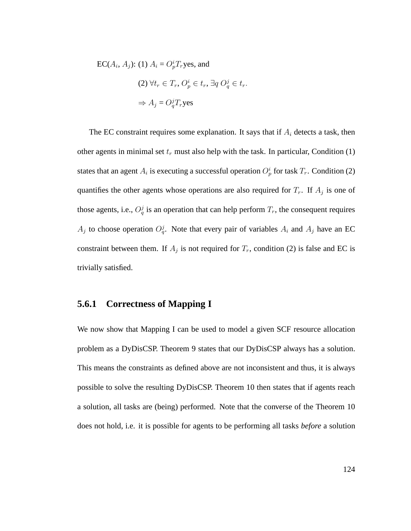EC( $A_i$ ,  $A_j$ ): (1)  $A_i = O_p^i T_r$ yes, and  $(2) \,\forall t_r \in T_r, O_p^i \in t_r, \exists q \, O_q^j \in t_r.$  $\Rightarrow A_j = O_q^j T_r$ yes

The EC constraint requires some explanation. It says that if  $A_i$  detects a task, then other agents in minimal set  $t_r$  must also help with the task. In particular, Condition (1) states that an agent  $A_i$  is executing a successful operation  $O_p^i$  for task  $T_r$ . Condition (2) quantifies the other agents whose operations are also required for  $T_r$ . If  $A_j$  is one of those agents, i.e.,  $O_q^j$  is an operation that can help perform  $T_r$ , the consequent requires  $A_j$  to choose operation  $O_q^j$ . Note that every pair of variables  $A_i$  and  $A_j$  have an EC constraint between them. If  $A_j$  is not required for  $T_r$ , condition (2) is false and EC is trivially satisfied.

### **5.6.1 Correctness of Mapping I**

We now show that Mapping I can be used to model a given SCF resource allocation problem as a DyDisCSP. Theorem 9 states that our DyDisCSP always has a solution. This means the constraints as defined above are not inconsistent and thus, it is always possible to solve the resulting DyDisCSP. Theorem 10 then states that if agents reach a solution, all tasks are (being) performed. Note that the converse of the Theorem 10 does not hold, i.e. it is possible for agents to be performing all tasks *before* a solution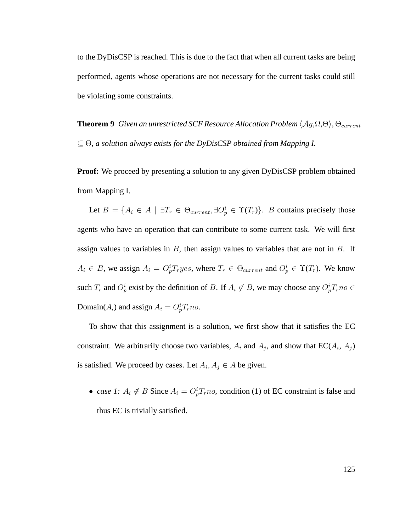to the DyDisCSP is reached. This is due to the fact that when all current tasks are being performed, agents whose operations are not necessary for the current tasks could still be violating some constraints.

**Theorem 9** *Given an unrestricted SCF Resource Allocation Problem*  $\langle Ag, \Omega, \Theta \rangle$ ,  $\Theta_{current}$ ⊆ Θ*, a solution always exists for the DyDisCSP obtained from Mapping I.*

**Proof:** We proceed by presenting a solution to any given DyDisCSP problem obtained from Mapping I.

Let  $B = \{A_i \in A \mid \exists T_r \in \Theta_{current}, \exists O_p^i \in \Upsilon(T_r)\}\$ . B contains precisely those agents who have an operation that can contribute to some current task. We will first assign values to variables in  $B$ , then assign values to variables that are not in  $B$ . If  $A_i \in B$ , we assign  $A_i = O_p^i T_r yes$ , where  $T_r \in \Theta_{current}$  and  $O_p^i \in \Upsilon(T_r)$ . We know such  $T_r$  and  $O_p^i$  exist by the definition of B. If  $A_i \notin B$ , we may choose any  $O_p^i T_r n o \in$ Domain( $A_i$ ) and assign  $A_i = O_p^i T_r$ no.

To show that this assignment is a solution, we first show that it satisfies the EC constraint. We arbitrarily choose two variables,  $A_i$  and  $A_j$ , and show that  $EC(A_i, A_j)$ is satisfied. We proceed by cases. Let  $A_i, A_j \in A$  be given.

• *case 1:*  $A_i \notin B$  Since  $A_i = O_p^i T_r n_o$ , condition (1) of EC constraint is false and thus EC is trivially satisfied.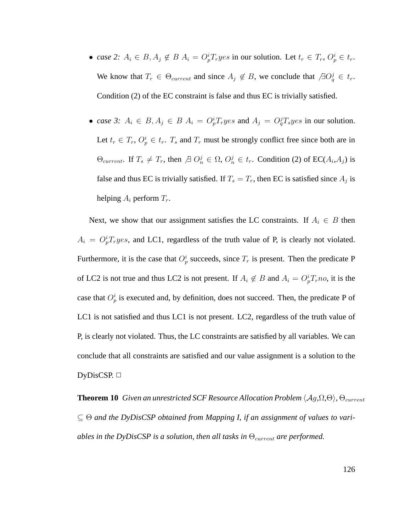- *case 2:*  $A_i \in B$ ,  $A_j \notin B$   $A_i = O_p^i T_r yes$  in our solution. Let  $t_r \in T_r$ ,  $O_p^i \in t_r$ . We know that  $T_r \in \Theta_{current}$  and since  $A_j \notin B$ , we conclude that  $\Box Q_q^j \in t_r$ . Condition (2) of the EC constraint is false and thus EC is trivially satisfied.
- *case 3:*  $A_i \in B$ ,  $A_j \in B$   $A_i = O_p^i T_r$  yes and  $A_j = O_q^i T_s$  yes in our solution. Let  $t_r \in T_r$ ,  $O_p^i \in t_r$ .  $T_s$  and  $T_r$  must be strongly conflict free since both are in  $\Theta_{current}$ . If  $T_s \neq T_r$ , then  $\Box Q_n^j \in \Omega$ ,  $O_n^j \in t_r$ . Condition (2) of EC( $A_i, A_j$ ) is false and thus EC is trivially satisfied. If  $T_s = T_r$ , then EC is satisfied since  $A_j$  is helping  $A_i$  perform  $T_r$ .

Next, we show that our assignment satisfies the LC constraints. If  $A_i \in B$  then  $A_i = O_p^i T_r yes$ , and LC1, regardless of the truth value of P, is clearly not violated. Furthermore, it is the case that  $O_p^i$  succeeds, since  $T_r$  is present. Then the predicate P of LC2 is not true and thus LC2 is not present. If  $A_i \notin B$  and  $A_i = O_p^i T_r n o$ , it is the case that  $O_p^i$  is executed and, by definition, does not succeed. Then, the predicate P of LC1 is not satisfied and thus LC1 is not present. LC2, regardless of the truth value of P, is clearly not violated. Thus, the LC constraints are satisfied by all variables. We can conclude that all constraints are satisfied and our value assignment is a solution to the DyDisCSP.  $\Box$ 

**Theorem 10** *Given an unrestricted SCF Resource Allocation Problem*  $\langle Ag, \Omega, \Theta \rangle$ *,*  $\Theta_{current}$ ⊆ Θ *and the DyDisCSP obtained from Mapping I, if an assignment of values to variables in the DyDisCSP is a solution, then all tasks in*  $\Theta_{current}$  *are performed.*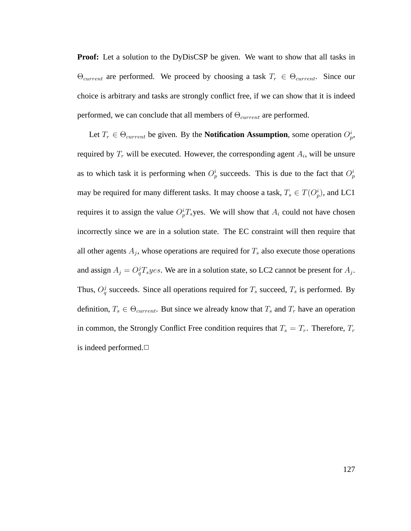**Proof:** Let a solution to the DyDisCSP be given. We want to show that all tasks in  $\Theta_{current}$  are performed. We proceed by choosing a task  $T_r \in \Theta_{current}$ . Since our choice is arbitrary and tasks are strongly conflict free, if we can show that it is indeed performed, we can conclude that all members of  $\Theta_{current}$  are performed.

Let  $T_r \in \Theta_{current}$  be given. By the **Notification Assumption**, some operation  $O_p^i$ , required by  $T_r$  will be executed. However, the corresponding agent  $A_i$ , will be unsure as to which task it is performing when  $O_p^i$  succeeds. This is due to the fact that  $O_p^i$ may be required for many different tasks. It may choose a task,  $T_s \in T(O_p^i)$ , and LC1 requires it to assign the value  $O_p^i T_s$ yes. We will show that  $A_i$  could not have chosen incorrectly since we are in a solution state. The EC constraint will then require that all other agents  $A_j$ , whose operations are required for  $T_s$  also execute those operations and assign  $A_j = O_q^j T_s yes$ . We are in a solution state, so LC2 cannot be present for  $A_j$ . Thus,  $O_q^j$  succeeds. Since all operations required for  $T_s$  succeed,  $T_s$  is performed. By definition,  $T_s \in \Theta_{current}$ . But since we already know that  $T_s$  and  $T_r$  have an operation in common, the Strongly Conflict Free condition requires that  $T_s = T_r$ . Therefore,  $T_r$ is indeed performed.**□**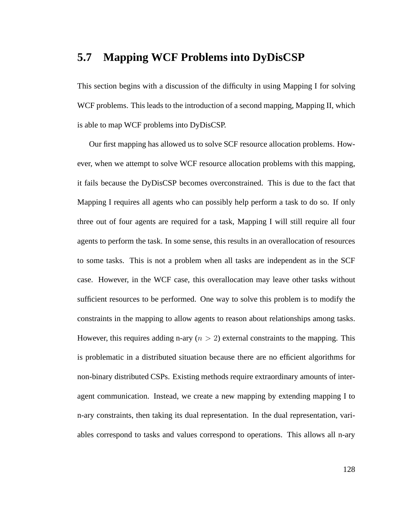# **5.7 Mapping WCF Problems into DyDisCSP**

This section begins with a discussion of the difficulty in using Mapping I for solving WCF problems. This leads to the introduction of a second mapping, Mapping II, which is able to map WCF problems into DyDisCSP.

Our first mapping has allowed us to solve SCF resource allocation problems. However, when we attempt to solve WCF resource allocation problems with this mapping, it fails because the DyDisCSP becomes overconstrained. This is due to the fact that Mapping I requires all agents who can possibly help perform a task to do so. If only three out of four agents are required for a task, Mapping I will still require all four agents to perform the task. In some sense, this results in an overallocation of resources to some tasks. This is not a problem when all tasks are independent as in the SCF case. However, in the WCF case, this overallocation may leave other tasks without sufficient resources to be performed. One way to solve this problem is to modify the constraints in the mapping to allow agents to reason about relationships among tasks. However, this requires adding n-ary  $(n > 2)$  external constraints to the mapping. This is problematic in a distributed situation because there are no efficient algorithms for non-binary distributed CSPs. Existing methods require extraordinary amounts of interagent communication. Instead, we create a new mapping by extending mapping I to n-ary constraints, then taking its dual representation. In the dual representation, variables correspond to tasks and values correspond to operations. This allows all n-ary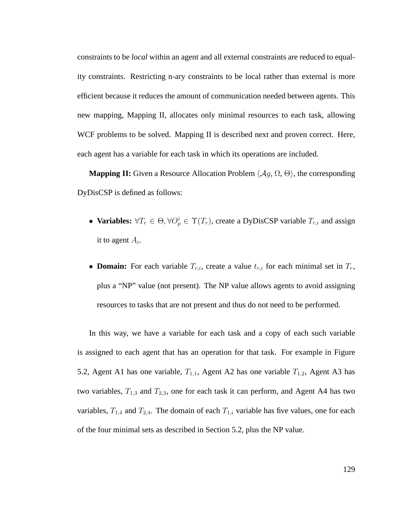constraints to be *local* within an agent and all external constraints are reduced to equality constraints. Restricting n-ary constraints to be local rather than external is more efficient because it reduces the amount of communication needed between agents. This new mapping, Mapping II, allocates only minimal resources to each task, allowing WCF problems to be solved. Mapping II is described next and proven correct. Here, each agent has a variable for each task in which its operations are included.

**Mapping II:** Given a Resource Allocation Problem  $\langle Ag, \Omega, \Theta \rangle$ , the corresponding DyDisCSP is defined as follows:

- **Variables:**  $\forall T_r \in \Theta, \forall O_p^i \in \Upsilon(T_r)$ , create a DyDisCSP variable  $T_{r,i}$  and assign it to agent  $A_i$ .
- **Domain:** For each variable  $T_{r,i}$ , create a value  $t_{r,i}$  for each minimal set in  $T_r$ , plus a "NP" value (not present). The NP value allows agents to avoid assigning resources to tasks that are not present and thus do not need to be performed.

In this way, we have a variable for each task and a copy of each such variable is assigned to each agent that has an operation for that task. For example in Figure 5.2, Agent A1 has one variable,  $T_{1,1}$ , Agent A2 has one variable  $T_{1,2}$ , Agent A3 has two variables,  $T_{1,3}$  and  $T_{2,3}$ , one for each task it can perform, and Agent A4 has two variables,  $T_{1,4}$  and  $T_{2,4}$ . The domain of each  $T_{1,i}$  variable has five values, one for each of the four minimal sets as described in Section 5.2, plus the NP value.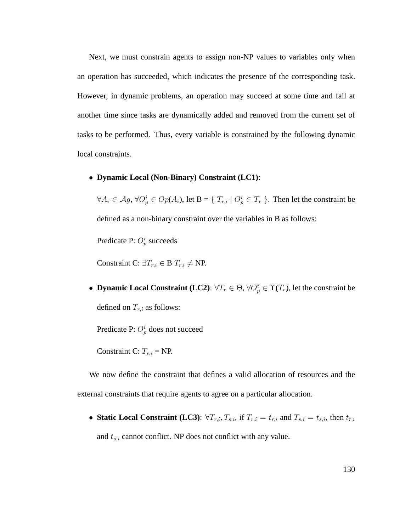Next, we must constrain agents to assign non-NP values to variables only when an operation has succeeded, which indicates the presence of the corresponding task. However, in dynamic problems, an operation may succeed at some time and fail at another time since tasks are dynamically added and removed from the current set of tasks to be performed. Thus, every variable is constrained by the following dynamic local constraints.

#### • **Dynamic Local (Non-Binary) Constraint (LC1)**:

 $\forall A_i \in \mathcal{A}_g$ ,  $\forall O_p^i \in Op(A_i)$ , let  $B = \{T_{r,i} \mid O_p^i \in T_r \}$ . Then let the constraint be defined as a non-binary constraint over the variables in B as follows:

Predicate P:  $O_p^i$  succeeds

Constraint C:  $\exists T_{r,i} \in B$   $T_{r,i} \neq NP$ .

• **Dynamic Local Constraint (LC2)**:  $\forall T_r \in \Theta$ ,  $\forall O_p^i \in \Upsilon(T_r)$ , let the constraint be defined on  $T_{r,i}$  as follows:

Predicate P:  $O_p^i$  does not succeed

Constraint C:  $T_{r,i}$  = NP.

We now define the constraint that defines a valid allocation of resources and the external constraints that require agents to agree on a particular allocation.

• **Static Local Constraint (LC3)**:  $\forall T_{r,i}, T_{s,i}$ , if  $T_{r,i} = t_{r,i}$  and  $T_{s,i} = t_{s,i}$ , then  $t_{r,i}$ 

and  $t_{s,i}$  cannot conflict. NP does not conflict with any value.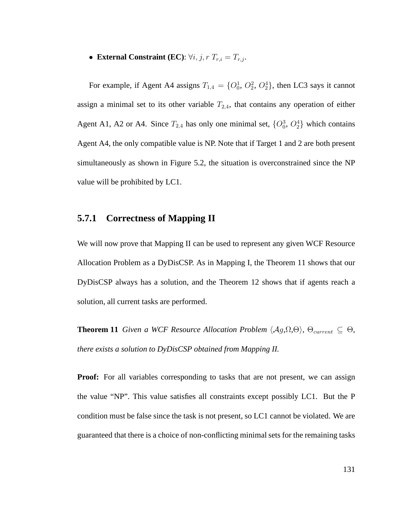• **External Constraint (EC)**:  $\forall i, j, r$   $T_{r,i} = T_{r,j}$ .

For example, if Agent A4 assigns  $T_{1,4} = \{O_0^1, O_2^2, O_2^4\}$ , then LC3 says it cannot assign a minimal set to its other variable  $T_{2,4}$ , that contains any operation of either Agent A1, A2 or A4. Since  $T_{2,4}$  has only one minimal set,  $\{O_0^3, O_2^4\}$  which contains Agent A4, the only compatible value is NP. Note that if Target 1 and 2 are both present simultaneously as shown in Figure 5.2, the situation is overconstrained since the NP value will be prohibited by LC1.

### **5.7.1 Correctness of Mapping II**

We will now prove that Mapping II can be used to represent any given WCF Resource Allocation Problem as a DyDisCSP. As in Mapping I, the Theorem 11 shows that our DyDisCSP always has a solution, and the Theorem 12 shows that if agents reach a solution, all current tasks are performed.

**Theorem 11** *Given a WCF Resource Allocation Problem*  $\langle Ag, \Omega, \Theta \rangle$ *,*  $\Theta_{current} \subseteq \Theta$ *, there exists a solution to DyDisCSP obtained from Mapping II.*

**Proof:** For all variables corresponding to tasks that are not present, we can assign the value "NP". This value satisfies all constraints except possibly LC1. But the P condition must be false since the task is not present, so LC1 cannot be violated. We are guaranteed that there is a choice of non-conflicting minimal sets for the remaining tasks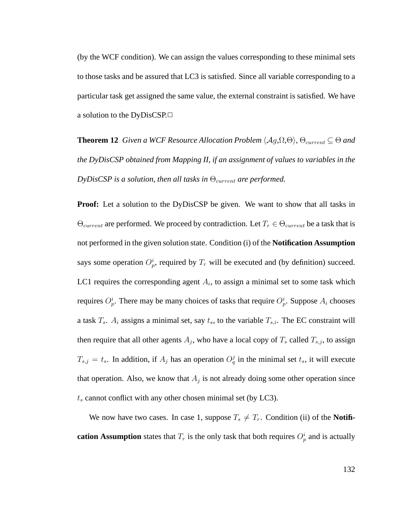(by the WCF condition). We can assign the values corresponding to these minimal sets to those tasks and be assured that LC3 is satisfied. Since all variable corresponding to a particular task get assigned the same value, the external constraint is satisfied. We have a solution to the DyDisCSP.

**Theorem 12** *Given a WCF Resource Allocation Problem*  $\langle Ag, \Omega, \Theta \rangle$ *,*  $\Theta_{current} \subseteq \Theta$  *and the DyDisCSP obtained from Mapping II, if an assignment of values to variables in the*  $DyDiscSP$  *is a solution, then all tasks in*  $\Theta_{current}$  *are performed.* 

**Proof:** Let a solution to the DyDisCSP be given. We want to show that all tasks in  $\Theta_{current}$  are performed. We proceed by contradiction. Let  $T_r \in \Theta_{current}$  be a task that is not performed in the given solution state. Condition (i) of the **Notification Assumption** says some operation  $O_p^i$ , required by  $T_r$  will be executed and (by definition) succeed. LC1 requires the corresponding agent  $A_i$ , to assign a minimal set to some task which requires  $O_p^i$ . There may be many choices of tasks that require  $O_p^i$ . Suppose  $A_i$  chooses a task  $T_s$ .  $A_i$  assigns a minimal set, say  $t_s$ , to the variable  $T_{s,i}$ . The EC constraint will then require that all other agents  $A_j$ , who have a local copy of  $T_s$  called  $T_{s,j}$ , to assign  $T_{s,j} = t_s$ . In addition, if  $A_j$  has an operation  $O_q^j$  in the minimal set  $t_s$ , it will execute that operation. Also, we know that  $A_j$  is not already doing some other operation since  $t<sub>s</sub>$  cannot conflict with any other chosen minimal set (by LC3).

We now have two cases. In case 1, suppose  $T_s \neq T_r$ . Condition (ii) of the **Notification Assumption** states that  $T_r$  is the only task that both requires  $O_p^i$  and is actually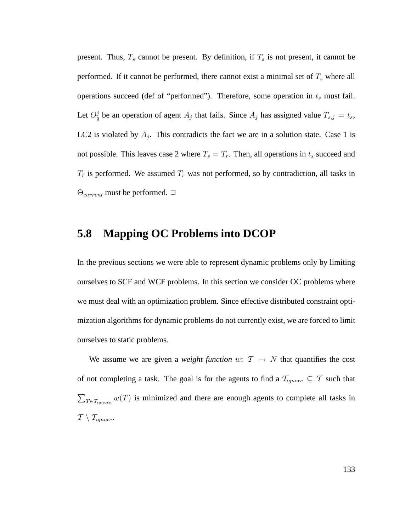present. Thus,  $T_s$  cannot be present. By definition, if  $T_s$  is not present, it cannot be performed. If it cannot be performed, there cannot exist a minimal set of  $T<sub>s</sub>$  where all operations succeed (def of "performed"). Therefore, some operation in  $t_s$  must fail. Let  $O_q^j$  be an operation of agent  $A_j$  that fails. Since  $A_j$  has assigned value  $T_{s,j} = t_s$ , LC2 is violated by  $A_j$ . This contradicts the fact we are in a solution state. Case 1 is not possible. This leaves case 2 where  $T_s = T_r$ . Then, all operations in  $t_s$  succeed and  $T_r$  is performed. We assumed  $T_r$  was not performed, so by contradiction, all tasks in  $\Theta_{current}$  must be performed.  $\Box$ 

## **5.8 Mapping OC Problems into DCOP**

In the previous sections we were able to represent dynamic problems only by limiting ourselves to SCF and WCF problems. In this section we consider OC problems where we must deal with an optimization problem. Since effective distributed constraint optimization algorithms for dynamic problems do not currently exist, we are forced to limit ourselves to static problems.

We assume we are given a *weight function* w:  $T \rightarrow N$  that quantifies the cost of not completing a task. The goal is for the agents to find a  $\mathcal{T}_{ignore} \subseteq \mathcal{T}$  such that  $\sum_{T \in \mathcal{T}_{ignore}} w(T)$  is minimized and there are enough agents to complete all tasks in  $\mathcal{T} \setminus \mathcal{T}_{i\textrm{anore}}.$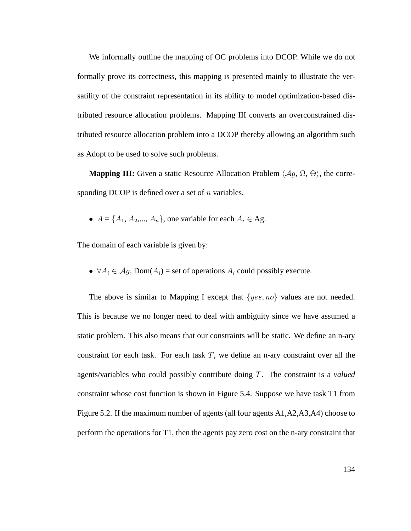We informally outline the mapping of OC problems into DCOP. While we do not formally prove its correctness, this mapping is presented mainly to illustrate the versatility of the constraint representation in its ability to model optimization-based distributed resource allocation problems. Mapping III converts an overconstrained distributed resource allocation problem into a DCOP thereby allowing an algorithm such as Adopt to be used to solve such problems.

**Mapping III:** Given a static Resource Allocation Problem  $\langle Ag, \Omega, \Theta \rangle$ , the corresponding DCOP is defined over a set of  $n$  variables.

•  $A = \{A_1, A_2, ..., A_n\}$ , one variable for each  $A_i \in \mathbf{Ag}$ .

The domain of each variable is given by:

•  $\forall A_i \in \mathcal{A}_i$ , Dom $(A_i)$  = set of operations  $A_i$  could possibly execute.

The above is similar to Mapping I except that  $\{yes, no\}$  values are not needed. This is because we no longer need to deal with ambiguity since we have assumed a static problem. This also means that our constraints will be static. We define an n-ary constraint for each task. For each task  $T$ , we define an n-ary constraint over all the agents/variables who could possibly contribute doing T. The constraint is a *valued* constraint whose cost function is shown in Figure 5.4. Suppose we have task T1 from Figure 5.2. If the maximum number of agents (all four agents A1,A2,A3,A4) choose to perform the operations for T1, then the agents pay zero cost on the n-ary constraint that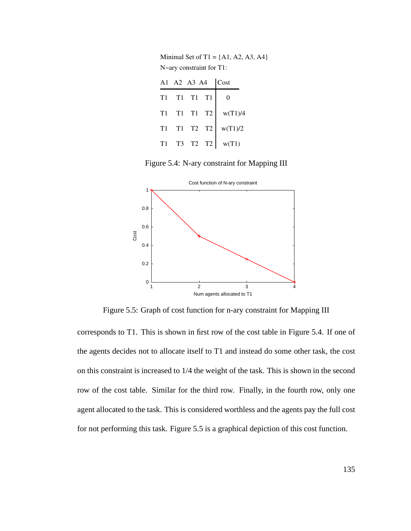Minimal Set of T1 =  ${A1, A2, A3, A4}$ N−ary constraint for T1:

| Cost    | A1 A2 A3 A4 |          |  |            |
|---------|-------------|----------|--|------------|
|         |             | T1 T1 T1 |  | T1         |
| w(T1)/4 |             | T1 T1 T2 |  | T1         |
| w(T1)/2 |             | T1 T2 T2 |  | <b>T</b> 1 |
| w(T1)   |             | T3 T2 T2 |  | T1.        |

Figure 5.4: N-ary constraint for Mapping III



Figure 5.5: Graph of cost function for n-ary constraint for Mapping III

corresponds to T1. This is shown in first row of the cost table in Figure 5.4. If one of the agents decides not to allocate itself to T1 and instead do some other task, the cost on this constraint is increased to 1/4 the weight of the task. This is shown in the second row of the cost table. Similar for the third row. Finally, in the fourth row, only one agent allocated to the task. This is considered worthless and the agents pay the full cost for not performing this task. Figure 5.5 is a graphical depiction of this cost function.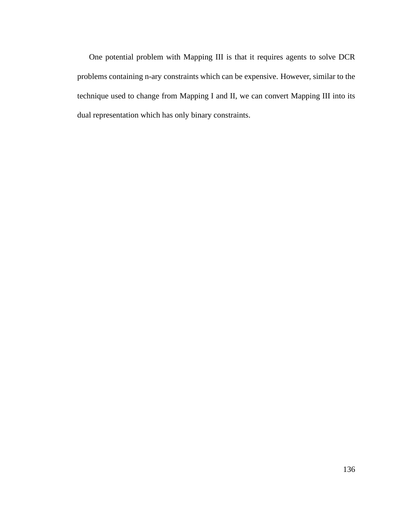One potential problem with Mapping III is that it requires agents to solve DCR problems containing n-ary constraints which can be expensive. However, similar to the technique used to change from Mapping I and II, we can convert Mapping III into its dual representation which has only binary constraints.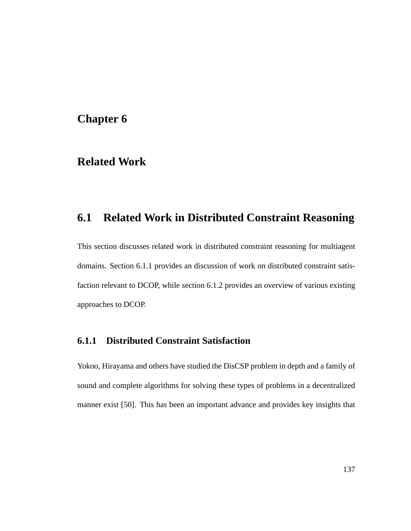#### **Chapter 6**

# **Related Work**

# **6.1 Related Work in Distributed Constraint Reasoning**

This section discusses related work in distributed constraint reasoning for multiagent domains. Section 6.1.1 provides an discussion of work on distributed constraint satisfaction relevant to DCOP, while section 6.1.2 provides an overview of various existing approaches to DCOP.

#### **6.1.1 Distributed Constraint Satisfaction**

Yokoo, Hirayama and others have studied the DisCSP problem in depth and a family of sound and complete algorithms for solving these types of problems in a decentralized manner exist [50]. This has been an important advance and provides key insights that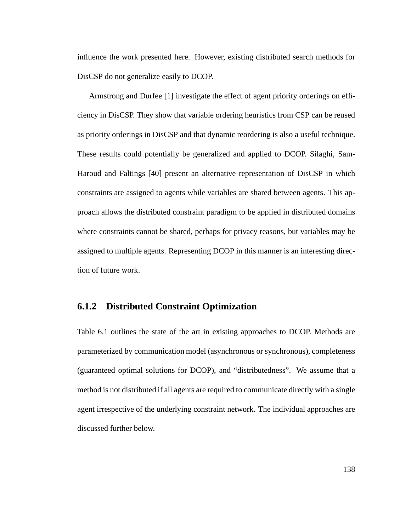influence the work presented here. However, existing distributed search methods for DisCSP do not generalize easily to DCOP.

Armstrong and Durfee [1] investigate the effect of agent priority orderings on efficiency in DisCSP. They show that variable ordering heuristics from CSP can be reused as priority orderings in DisCSP and that dynamic reordering is also a useful technique. These results could potentially be generalized and applied to DCOP. Silaghi, Sam-Haroud and Faltings [40] present an alternative representation of DisCSP in which constraints are assigned to agents while variables are shared between agents. This approach allows the distributed constraint paradigm to be applied in distributed domains where constraints cannot be shared, perhaps for privacy reasons, but variables may be assigned to multiple agents. Representing DCOP in this manner is an interesting direction of future work.

#### **6.1.2 Distributed Constraint Optimization**

Table 6.1 outlines the state of the art in existing approaches to DCOP. Methods are parameterized by communication model (asynchronous or synchronous), completeness (guaranteed optimal solutions for DCOP), and "distributedness". We assume that a method is not distributed if all agents are required to communicate directly with a single agent irrespective of the underlying constraint network. The individual approaches are discussed further below.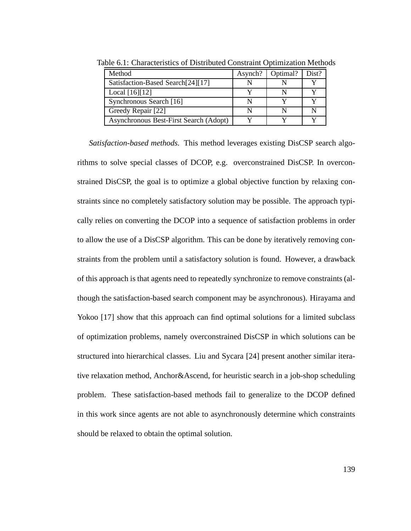| Method                                 | Asynch? | Optimal? | Dist? |
|----------------------------------------|---------|----------|-------|
| Satisfaction-Based Search[24][17]      |         |          |       |
| Local $[16][12]$                       |         |          |       |
| Synchronous Search [16]                |         |          |       |
| Greedy Repair [22]                     |         |          |       |
| Asynchronous Best-First Search (Adopt) |         |          |       |

Table 6.1: Characteristics of Distributed Constraint Optimization Methods

*Satisfaction-based methods.* This method leverages existing DisCSP search algorithms to solve special classes of DCOP, e.g. overconstrained DisCSP. In overconstrained DisCSP, the goal is to optimize a global objective function by relaxing constraints since no completely satisfactory solution may be possible. The approach typically relies on converting the DCOP into a sequence of satisfaction problems in order to allow the use of a DisCSP algorithm. This can be done by iteratively removing constraints from the problem until a satisfactory solution is found. However, a drawback of this approach is that agents need to repeatedly synchronize to remove constraints (although the satisfaction-based search component may be asynchronous). Hirayama and Yokoo [17] show that this approach can find optimal solutions for a limited subclass of optimization problems, namely overconstrained DisCSP in which solutions can be structured into hierarchical classes. Liu and Sycara [24] present another similar iterative relaxation method, Anchor&Ascend, for heuristic search in a job-shop scheduling problem. These satisfaction-based methods fail to generalize to the DCOP defined in this work since agents are not able to asynchronously determine which constraints should be relaxed to obtain the optimal solution.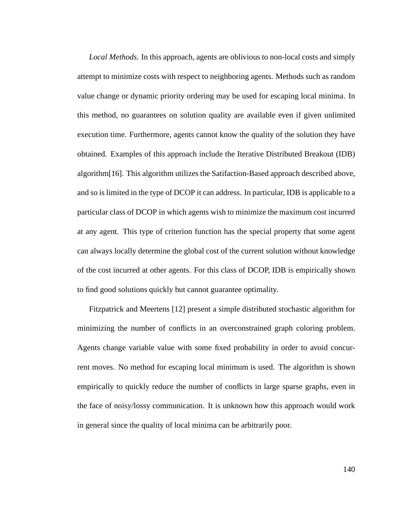*Local Methods.* In this approach, agents are oblivious to non-local costs and simply attempt to minimize costs with respect to neighboring agents. Methods such as random value change or dynamic priority ordering may be used for escaping local minima. In this method, no guarantees on solution quality are available even if given unlimited execution time. Furthermore, agents cannot know the quality of the solution they have obtained. Examples of this approach include the Iterative Distributed Breakout (IDB) algorithm[16]. This algorithm utilizes the Satifaction-Based approach described above, and so is limited in the type of DCOP it can address. In particular, IDB is applicable to a particular class of DCOP in which agents wish to minimize the maximum cost incurred at any agent. This type of criterion function has the special property that some agent can always locally determine the global cost of the current solution without knowledge of the cost incurred at other agents. For this class of DCOP, IDB is empirically shown to find good solutions quickly but cannot guarantee optimality.

Fitzpatrick and Meertens [12] present a simple distributed stochastic algorithm for minimizing the number of conflicts in an overconstrained graph coloring problem. Agents change variable value with some fixed probability in order to avoid concurrent moves. No method for escaping local minimum is used. The algorithm is shown empirically to quickly reduce the number of conflicts in large sparse graphs, even in the face of noisy/lossy communication. It is unknown how this approach would work in general since the quality of local minima can be arbitrarily poor.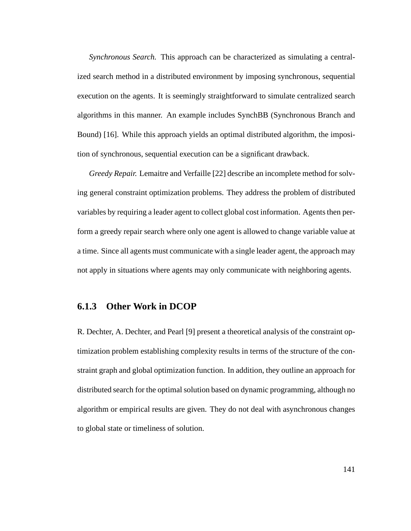*Synchronous Search.* This approach can be characterized as simulating a centralized search method in a distributed environment by imposing synchronous, sequential execution on the agents. It is seemingly straightforward to simulate centralized search algorithms in this manner. An example includes SynchBB (Synchronous Branch and Bound) [16]. While this approach yields an optimal distributed algorithm, the imposition of synchronous, sequential execution can be a significant drawback.

*Greedy Repair.* Lemaitre and Verfaille [22] describe an incomplete method for solving general constraint optimization problems. They address the problem of distributed variables by requiring a leader agent to collect global cost information. Agents then perform a greedy repair search where only one agent is allowed to change variable value at a time. Since all agents must communicate with a single leader agent, the approach may not apply in situations where agents may only communicate with neighboring agents.

#### **6.1.3 Other Work in DCOP**

R. Dechter, A. Dechter, and Pearl [9] present a theoretical analysis of the constraint optimization problem establishing complexity results in terms of the structure of the constraint graph and global optimization function. In addition, they outline an approach for distributed search for the optimal solution based on dynamic programming, although no algorithm or empirical results are given. They do not deal with asynchronous changes to global state or timeliness of solution.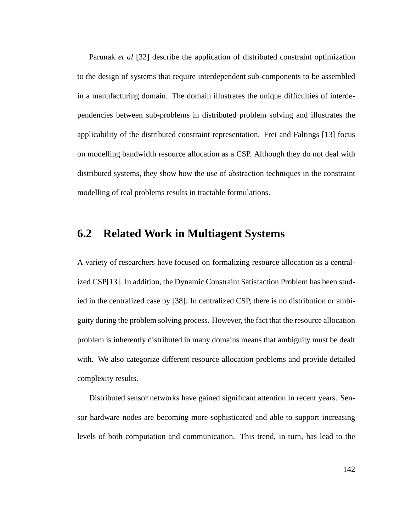Parunak *et al* [32] describe the application of distributed constraint optimization to the design of systems that require interdependent sub-components to be assembled in a manufacturing domain. The domain illustrates the unique difficulties of interdependencies between sub-problems in distributed problem solving and illustrates the applicability of the distributed constraint representation. Frei and Faltings [13] focus on modelling bandwidth resource allocation as a CSP. Although they do not deal with distributed systems, they show how the use of abstraction techniques in the constraint modelling of real problems results in tractable formulations.

#### **6.2 Related Work in Multiagent Systems**

A variety of researchers have focused on formalizing resource allocation as a centralized CSP[13]. In addition, the Dynamic Constraint Satisfaction Problem has been studied in the centralized case by [38]. In centralized CSP, there is no distribution or ambiguity during the problem solving process. However, the fact that the resource allocation problem is inherently distributed in many domains means that ambiguity must be dealt with. We also categorize different resource allocation problems and provide detailed complexity results.

Distributed sensor networks have gained significant attention in recent years. Sensor hardware nodes are becoming more sophisticated and able to support increasing levels of both computation and communication. This trend, in turn, has lead to the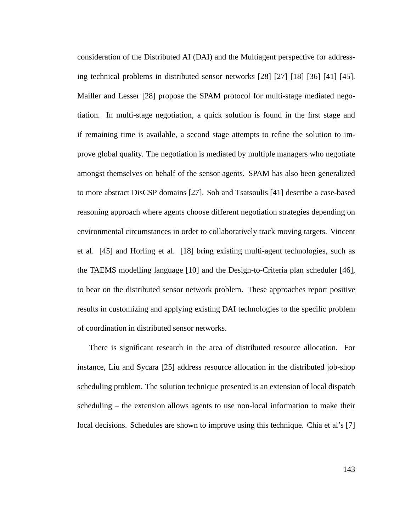consideration of the Distributed AI (DAI) and the Multiagent perspective for addressing technical problems in distributed sensor networks [28] [27] [18] [36] [41] [45]. Mailler and Lesser [28] propose the SPAM protocol for multi-stage mediated negotiation. In multi-stage negotiation, a quick solution is found in the first stage and if remaining time is available, a second stage attempts to refine the solution to improve global quality. The negotiation is mediated by multiple managers who negotiate amongst themselves on behalf of the sensor agents. SPAM has also been generalized to more abstract DisCSP domains [27]. Soh and Tsatsoulis [41] describe a case-based reasoning approach where agents choose different negotiation strategies depending on environmental circumstances in order to collaboratively track moving targets. Vincent et al. [45] and Horling et al. [18] bring existing multi-agent technologies, such as the TAEMS modelling language [10] and the Design-to-Criteria plan scheduler [46], to bear on the distributed sensor network problem. These approaches report positive results in customizing and applying existing DAI technologies to the specific problem of coordination in distributed sensor networks.

There is significant research in the area of distributed resource allocation. For instance, Liu and Sycara [25] address resource allocation in the distributed job-shop scheduling problem. The solution technique presented is an extension of local dispatch scheduling – the extension allows agents to use non-local information to make their local decisions. Schedules are shown to improve using this technique. Chia et al's [7]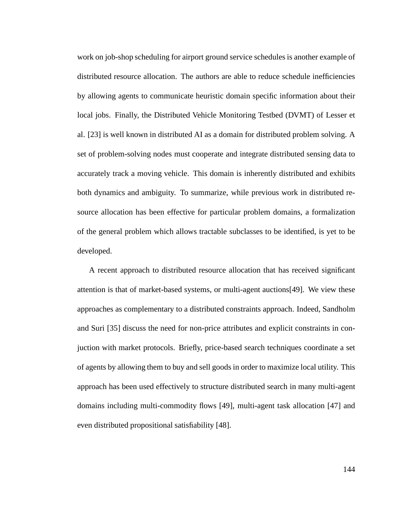work on job-shop scheduling for airport ground service schedules is another example of distributed resource allocation. The authors are able to reduce schedule inefficiencies by allowing agents to communicate heuristic domain specific information about their local jobs. Finally, the Distributed Vehicle Monitoring Testbed (DVMT) of Lesser et al. [23] is well known in distributed AI as a domain for distributed problem solving. A set of problem-solving nodes must cooperate and integrate distributed sensing data to accurately track a moving vehicle. This domain is inherently distributed and exhibits both dynamics and ambiguity. To summarize, while previous work in distributed resource allocation has been effective for particular problem domains, a formalization of the general problem which allows tractable subclasses to be identified, is yet to be developed.

A recent approach to distributed resource allocation that has received significant attention is that of market-based systems, or multi-agent auctions[49]. We view these approaches as complementary to a distributed constraints approach. Indeed, Sandholm and Suri [35] discuss the need for non-price attributes and explicit constraints in conjuction with market protocols. Briefly, price-based search techniques coordinate a set of agents by allowing them to buy and sell goods in order to maximize local utility. This approach has been used effectively to structure distributed search in many multi-agent domains including multi-commodity flows [49], multi-agent task allocation [47] and even distributed propositional satisfiability [48].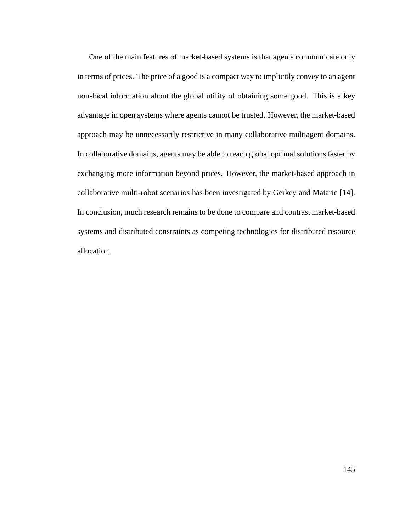One of the main features of market-based systems is that agents communicate only in terms of prices. The price of a good is a compact way to implicitly convey to an agent non-local information about the global utility of obtaining some good. This is a key advantage in open systems where agents cannot be trusted. However, the market-based approach may be unnecessarily restrictive in many collaborative multiagent domains. In collaborative domains, agents may be able to reach global optimal solutions faster by exchanging more information beyond prices. However, the market-based approach in collaborative multi-robot scenarios has been investigated by Gerkey and Mataric [14]. In conclusion, much research remains to be done to compare and contrast market-based systems and distributed constraints as competing technologies for distributed resource allocation.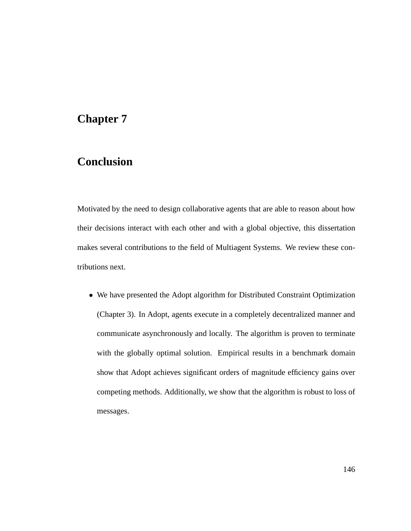# **Chapter 7**

# **Conclusion**

Motivated by the need to design collaborative agents that are able to reason about how their decisions interact with each other and with a global objective, this dissertation makes several contributions to the field of Multiagent Systems. We review these contributions next.

• We have presented the Adopt algorithm for Distributed Constraint Optimization (Chapter 3). In Adopt, agents execute in a completely decentralized manner and communicate asynchronously and locally. The algorithm is proven to terminate with the globally optimal solution. Empirical results in a benchmark domain show that Adopt achieves significant orders of magnitude efficiency gains over competing methods. Additionally, we show that the algorithm is robust to loss of messages.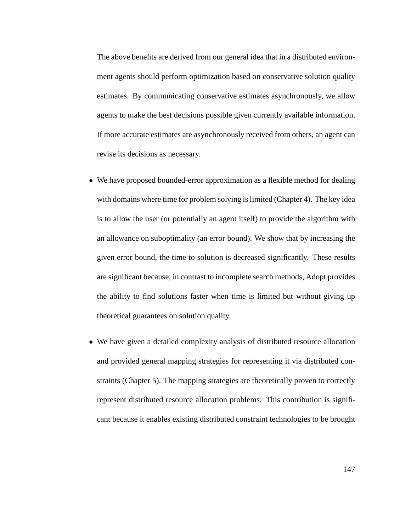The above benefits are derived from our general idea that in a distributed environment agents should perform optimization based on conservative solution quality estimates. By communicating conservative estimates asynchronously, we allow agents to make the best decisions possible given currently available information. If more accurate estimates are asynchronously received from others, an agent can revise its decisions as necessary.

- We have proposed bounded-error approximation as a flexible method for dealing with domains where time for problem solving is limited (Chapter 4). The key idea is to allow the user (or potentially an agent itself) to provide the algorithm with an allowance on suboptimality (an error bound). We show that by increasing the given error bound, the time to solution is decreased significantly. These results are significant because, in contrast to incomplete search methods, Adopt provides the ability to find solutions faster when time is limited but without giving up theoretical guarantees on solution quality.
- We have given a detailed complexity analysis of distributed resource allocation and provided general mapping strategies for representing it via distributed constraints (Chapter 5). The mapping strategies are theoretically proven to correctly represent distributed resource allocation problems. This contribution is significant because it enables existing distributed constraint technologies to be brought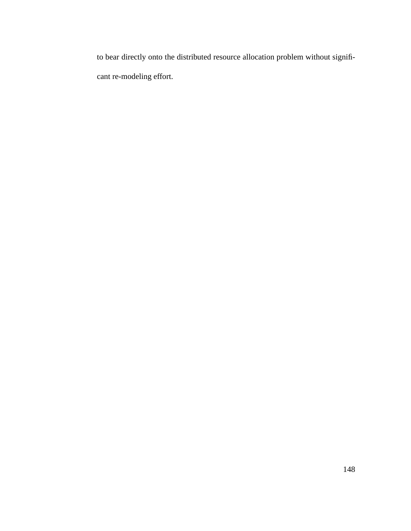to bear directly onto the distributed resource allocation problem without significant re-modeling effort.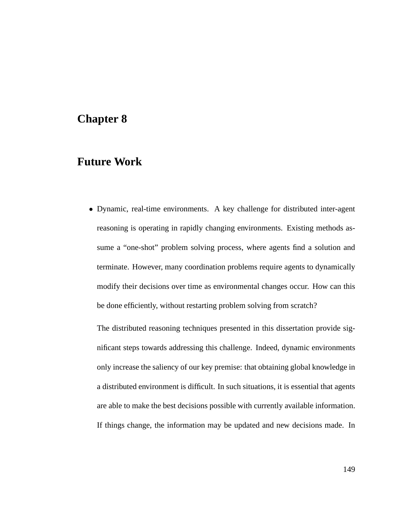#### **Chapter 8**

#### **Future Work**

• Dynamic, real-time environments. A key challenge for distributed inter-agent reasoning is operating in rapidly changing environments. Existing methods assume a "one-shot" problem solving process, where agents find a solution and terminate. However, many coordination problems require agents to dynamically modify their decisions over time as environmental changes occur. How can this be done efficiently, without restarting problem solving from scratch?

The distributed reasoning techniques presented in this dissertation provide significant steps towards addressing this challenge. Indeed, dynamic environments only increase the saliency of our key premise: that obtaining global knowledge in a distributed environment is difficult. In such situations, it is essential that agents are able to make the best decisions possible with currently available information. If things change, the information may be updated and new decisions made. In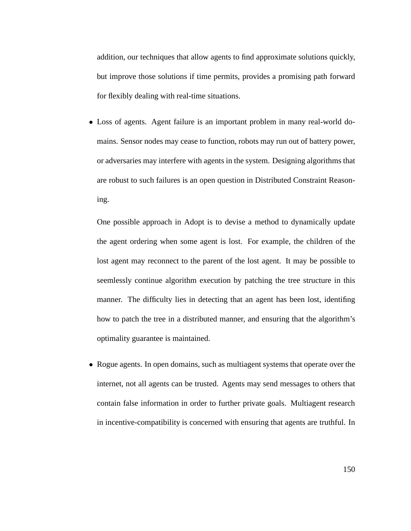addition, our techniques that allow agents to find approximate solutions quickly, but improve those solutions if time permits, provides a promising path forward for flexibly dealing with real-time situations.

• Loss of agents. Agent failure is an important problem in many real-world domains. Sensor nodes may cease to function, robots may run out of battery power, or adversaries may interfere with agents in the system. Designing algorithms that are robust to such failures is an open question in Distributed Constraint Reasoning.

One possible approach in Adopt is to devise a method to dynamically update the agent ordering when some agent is lost. For example, the children of the lost agent may reconnect to the parent of the lost agent. It may be possible to seemlessly continue algorithm execution by patching the tree structure in this manner. The difficulty lies in detecting that an agent has been lost, identifing how to patch the tree in a distributed manner, and ensuring that the algorithm's optimality guarantee is maintained.

• Rogue agents. In open domains, such as multiagent systems that operate over the internet, not all agents can be trusted. Agents may send messages to others that contain false information in order to further private goals. Multiagent research in incentive-compatibility is concerned with ensuring that agents are truthful. In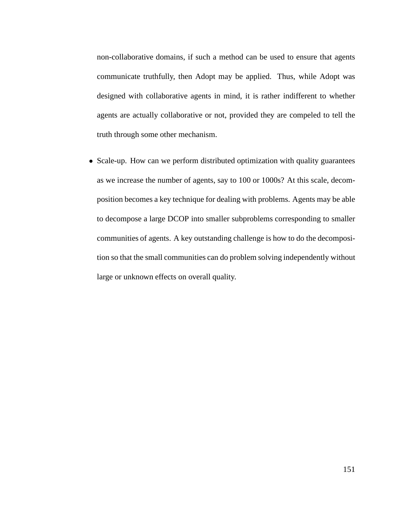non-collaborative domains, if such a method can be used to ensure that agents communicate truthfully, then Adopt may be applied. Thus, while Adopt was designed with collaborative agents in mind, it is rather indifferent to whether agents are actually collaborative or not, provided they are compeled to tell the truth through some other mechanism.

• Scale-up. How can we perform distributed optimization with quality guarantees as we increase the number of agents, say to 100 or 1000s? At this scale, decomposition becomes a key technique for dealing with problems. Agents may be able to decompose a large DCOP into smaller subproblems corresponding to smaller communities of agents. A key outstanding challenge is how to do the decomposition so that the small communities can do problem solving independently without large or unknown effects on overall quality.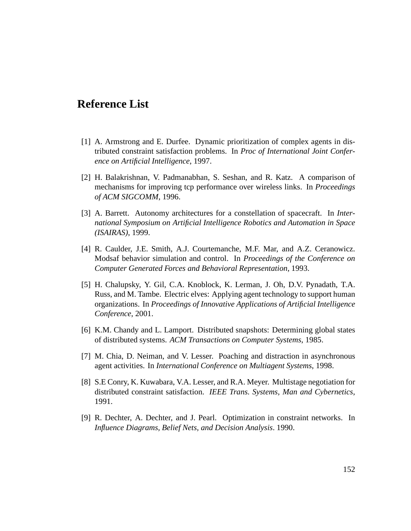#### **Reference List**

- [1] A. Armstrong and E. Durfee. Dynamic prioritization of complex agents in distributed constraint satisfaction problems. In *Proc of International Joint Conference on Artificial Intelligence*, 1997.
- [2] H. Balakrishnan, V. Padmanabhan, S. Seshan, and R. Katz. A comparison of mechanisms for improving tcp performance over wireless links. In *Proceedings of ACM SIGCOMM*, 1996.
- [3] A. Barrett. Autonomy architectures for a constellation of spacecraft. In *International Symposium on Artificial Intelligence Robotics and Automation in Space (ISAIRAS)*, 1999.
- [4] R. Caulder, J.E. Smith, A.J. Courtemanche, M.F. Mar, and A.Z. Ceranowicz. Modsaf behavior simulation and control. In *Proceedings of the Conference on Computer Generated Forces and Behavioral Representation*, 1993.
- [5] H. Chalupsky, Y. Gil, C.A. Knoblock, K. Lerman, J. Oh, D.V. Pynadath, T.A. Russ, and M. Tambe. Electric elves: Applying agent technology to support human organizations. In *Proceedings of Innovative Applications of Artificial Intelligence Conference*, 2001.
- [6] K.M. Chandy and L. Lamport. Distributed snapshots: Determining global states of distributed systems. *ACM Transactions on Computer Systems*, 1985.
- [7] M. Chia, D. Neiman, and V. Lesser. Poaching and distraction in asynchronous agent activities. In *International Conference on Multiagent Systems*, 1998.
- [8] S.E Conry, K. Kuwabara, V.A. Lesser, and R.A. Meyer. Multistage negotiation for distributed constraint satisfaction. *IEEE Trans. Systems, Man and Cybernetics*, 1991.
- [9] R. Dechter, A. Dechter, and J. Pearl. Optimization in constraint networks. In *Influence Diagrams, Belief Nets, and Decision Analysis*. 1990.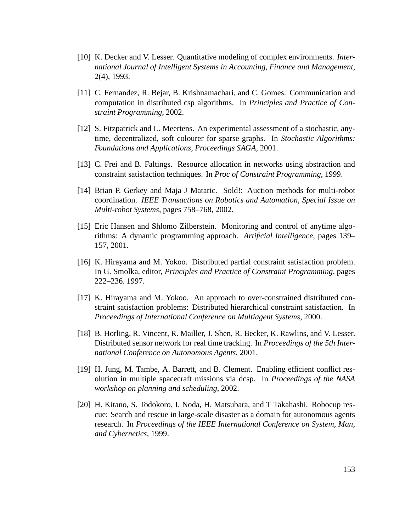- [10] K. Decker and V. Lesser. Quantitative modeling of complex environments. *International Journal of Intelligent Systems in Accounting, Finance and Management*, 2(4), 1993.
- [11] C. Fernandez, R. Bejar, B. Krishnamachari, and C. Gomes. Communication and computation in distributed csp algorithms. In *Principles and Practice of Constraint Programming*, 2002.
- [12] S. Fitzpatrick and L. Meertens. An experimental assessment of a stochastic, anytime, decentralized, soft colourer for sparse graphs. In *Stochastic Algorithms: Foundations and Applications, Proceedings SAGA*, 2001.
- [13] C. Frei and B. Faltings. Resource allocation in networks using abstraction and constraint satisfaction techniques. In *Proc of Constraint Programming*, 1999.
- [14] Brian P. Gerkey and Maja J Mataric. Sold!: Auction methods for multi-robot coordination. *IEEE Transactions on Robotics and Automation, Special Issue on Multi-robot Systems*, pages 758–768, 2002.
- [15] Eric Hansen and Shlomo Zilberstein. Monitoring and control of anytime algorithms: A dynamic programming approach. *Artificial Intelligence*, pages 139– 157, 2001.
- [16] K. Hirayama and M. Yokoo. Distributed partial constraint satisfaction problem. In G. Smolka, editor, *Principles and Practice of Constraint Programming*, pages 222–236. 1997.
- [17] K. Hirayama and M. Yokoo. An approach to over-constrained distributed constraint satisfaction problems: Distributed hierarchical constraint satisfaction. In *Proceedings of International Conference on Multiagent Systems*, 2000.
- [18] B. Horling, R. Vincent, R. Mailler, J. Shen, R. Becker, K. Rawlins, and V. Lesser. Distributed sensor network for real time tracking. In *Proceedings of the 5th International Conference on Autonomous Agents*, 2001.
- [19] H. Jung, M. Tambe, A. Barrett, and B. Clement. Enabling efficient conflict resolution in multiple spacecraft missions via dcsp. In *Proceedings of the NASA workshop on planning and scheduling*, 2002.
- [20] H. Kitano, S. Todokoro, I. Noda, H. Matsubara, and T Takahashi. Robocup rescue: Search and rescue in large-scale disaster as a domain for autonomous agents research. In *Proceedings of the IEEE International Conference on System, Man, and Cybernetics*, 1999.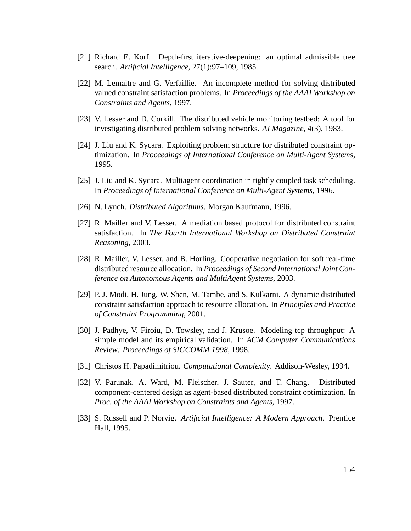- [21] Richard E. Korf. Depth-first iterative-deepening: an optimal admissible tree search. *Artificial Intelligence*, 27(1):97–109, 1985.
- [22] M. Lemaitre and G. Verfaillie. An incomplete method for solving distributed valued constraint satisfaction problems. In *Proceedings of the AAAI Workshop on Constraints and Agents*, 1997.
- [23] V. Lesser and D. Corkill. The distributed vehicle monitoring testbed: A tool for investigating distributed problem solving networks. *AI Magazine*, 4(3), 1983.
- [24] J. Liu and K. Sycara. Exploiting problem structure for distributed constraint optimization. In *Proceedings of International Conference on Multi-Agent Systems*, 1995.
- [25] J. Liu and K. Sycara. Multiagent coordination in tightly coupled task scheduling. In *Proceedings of International Conference on Multi-Agent Systems*, 1996.
- [26] N. Lynch. *Distributed Algorithms*. Morgan Kaufmann, 1996.
- [27] R. Mailler and V. Lesser. A mediation based protocol for distributed constraint satisfaction. In *The Fourth International Workshop on Distributed Constraint Reasoning*, 2003.
- [28] R. Mailler, V. Lesser, and B. Horling. Cooperative negotiation for soft real-time distributed resource allocation. In *Proceedings of Second International Joint Conference on Autonomous Agents and MultiAgent Systems*, 2003.
- [29] P. J. Modi, H. Jung, W. Shen, M. Tambe, and S. Kulkarni. A dynamic distributed constraint satisfaction approach to resource allocation. In *Principles and Practice of Constraint Programming*, 2001.
- [30] J. Padhye, V. Firoiu, D. Towsley, and J. Krusoe. Modeling tcp throughput: A simple model and its empirical validation. In *ACM Computer Communications Review: Proceedings of SIGCOMM 1998*, 1998.
- [31] Christos H. Papadimitriou. *Computational Complexity*. Addison-Wesley, 1994.
- [32] V. Parunak, A. Ward, M. Fleischer, J. Sauter, and T. Chang. Distributed component-centered design as agent-based distributed constraint optimization. In *Proc. of the AAAI Workshop on Constraints and Agents*, 1997.
- [33] S. Russell and P. Norvig. *Artificial Intelligence: A Modern Approach*. Prentice Hall, 1995.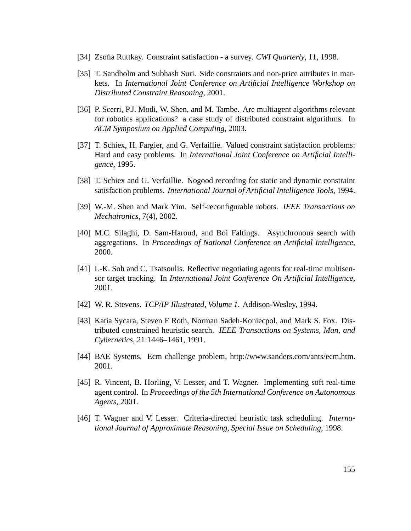- [34] Zsofia Ruttkay. Constraint satisfaction a survey. *CWI Quarterly*, 11, 1998.
- [35] T. Sandholm and Subhash Suri. Side constraints and non-price attributes in markets. In *International Joint Conference on Artificial Intelligence Workshop on Distributed Constraint Reasoning*, 2001.
- [36] P. Scerri, P.J. Modi, W. Shen, and M. Tambe. Are multiagent algorithms relevant for robotics applications? a case study of distributed constraint algorithms. In *ACM Symposium on Applied Computing*, 2003.
- [37] T. Schiex, H. Fargier, and G. Verfaillie. Valued constraint satisfaction problems: Hard and easy problems. In *International Joint Conference on Artificial Intelligence*, 1995.
- [38] T. Schiex and G. Verfaillie. Nogood recording for static and dynamic constraint satisfaction problems. *International Journal of Artificial Intelligence Tools*, 1994.
- [39] W.-M. Shen and Mark Yim. Self-reconfigurable robots. *IEEE Transactions on Mechatronics*, 7(4), 2002.
- [40] M.C. Silaghi, D. Sam-Haroud, and Boi Faltings. Asynchronous search with aggregations. In *Proceedings of National Conference on Artificial Intelligence*, 2000.
- [41] L-K. Soh and C. Tsatsoulis. Reflective negotiating agents for real-time multisensor target tracking. In *International Joint Conference On Artificial Intelligence*, 2001.
- [42] W. R. Stevens. *TCP/IP Illustrated, Volume 1*. Addison-Wesley, 1994.
- [43] Katia Sycara, Steven F Roth, Norman Sadeh-Koniecpol, and Mark S. Fox. Distributed constrained heuristic search. *IEEE Transactions on Systems, Man, and Cybernetics*, 21:1446–1461, 1991.
- [44] BAE Systems. Ecm challenge problem, http://www.sanders.com/ants/ecm.htm. 2001.
- [45] R. Vincent, B. Horling, V. Lesser, and T. Wagner. Implementing soft real-time agent control. In *Proceedings of the 5th International Conference on Autonomous Agents*, 2001.
- [46] T. Wagner and V. Lesser. Criteria-directed heuristic task scheduling. *International Journal of Approximate Reasoning, Special Issue on Scheduling*, 1998.